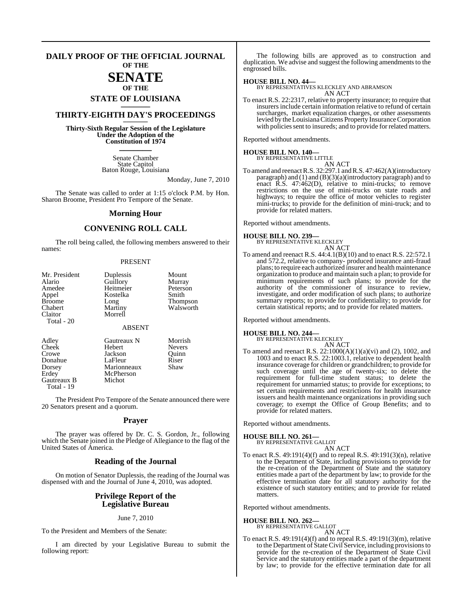## **DAILY PROOF OF THE OFFICIAL JOURNAL OF THE**

## **SENATE OF THE**

## **STATE OF LOUISIANA \_\_\_\_\_\_\_**

## **THIRTY-EIGHTH DAY'S PROCEEDINGS \_\_\_\_\_\_\_**

**Thirty-Sixth Regular Session of the Legislature Under the Adoption of the Constitution of 1974 \_\_\_\_\_\_\_**

> Senate Chamber State Capitol Baton Rouge, Louisiana

> > Monday, June 7, 2010

The Senate was called to order at 1:15 o'clock P.M. by Hon. Sharon Broome, President Pro Tempore of the Senate.

## **Morning Hour**

## **CONVENING ROLL CALL**

The roll being called, the following members answered to their names:

### PRESENT

| Mr. President<br>Alario<br>Amedee<br>Appel<br><b>Broome</b><br>Chabert<br>Claitor<br>Total - 20 | Duplessis<br>Guillory<br>Heitmeier<br>Kostelka<br>Long<br>Martiny<br>Morrell | Mount<br>Murray<br>Peterson<br>Smith<br>Thompson<br>Walsworth |
|-------------------------------------------------------------------------------------------------|------------------------------------------------------------------------------|---------------------------------------------------------------|
|                                                                                                 | <b>ABSENT</b>                                                                |                                                               |
| Adley<br>Cheek<br>Crowe<br>Donahue<br>Dorsey<br>Erdey                                           | Gautreaux N<br>Hebert<br>Jackson<br>LaFleur<br>Marionneaux<br>McPherson      | Morrish<br><b>Nevers</b><br>Ouinn<br>Riser<br>Shaw            |

The President Pro Tempore of the Senate announced there were 20 Senators present and a quorum.

## **Prayer**

The prayer was offered by Dr. C. S. Gordon, Jr., following which the Senate joined in the Pledge of Allegiance to the flag of the United States of America.

## **Reading of the Journal**

On motion of Senator Duplessis, the reading of the Journal was dispensed with and the Journal of June 4, 2010, was adopted.

## **Privilege Report of the Legislative Bureau**

### June 7, 2010

To the President and Members of the Senate:

Gautreaux B Michot

Total - 19

I am directed by your Legislative Bureau to submit the following report:

The following bills are approved as to construction and duplication. We advise and suggest the following amendments to the engrossed bills.

### **HOUSE BILL NO. 44—**

BY REPRESENTATIVES KLECKLEY AND ABRAMSON AN ACT

To enact R.S. 22:2317, relative to property insurance; to require that insurers include certain information relative to refund of certain surcharges, market equalization charges, or other assessments levied by the Louisiana Citizens Property Insurance Corporation with policies sent to insureds; and to provide for related matters.

Reported without amendments.

**HOUSE BILL NO. 140—**

BY REPRESENTATIVE LITTLE

AN ACT To amend and reenact R.S. 32:297.1 and R.S. 47:462(A)(introductory paragraph) and (1) and (B)(3)(a)(introductory paragraph) and to enact R.S. 47:462(D), relative to mini-trucks; to remove restrictions on the use of mini-trucks on state roads and highways; to require the office of motor vehicles to register mini-trucks; to provide for the definition of mini-truck; and to provide for related matters.

Reported without amendments.

## **HOUSE BILL NO. 239—** BY REPRESENTATIVE KLECKLEY

- AN ACT
- To amend and reenact R.S. 44:4.1(B)(10) and to enact R.S. 22:572.1 and 572.2, relative to company- produced insurance anti-fraud plans; to require each authorized insurer and health maintenance organization to produce and maintain such a plan; to provide for minimum requirements of such plans; to provide for the authority of the commissioner of insurance to review, investigate, and order modification of such plans; to authorize summary reports; to provide for confidentiality; to provide for certain statistical reports; and to provide for related matters.

Reported without amendments.

## **HOUSE BILL NO. 244—**

BY REPRESENTATIVE KLECKLEY AN ACT

To amend and reenact R.S. 22:1000(A)(1)(a)(vi) and (2), 1002, and 1003 and to enact R.S. 22:1003.1, relative to dependent health insurance coverage for children or grandchildren; to provide for such coverage until the age of twenty-six; to delete the requirement for full-time student status; to delete the requirement for unmarried status; to provide for exceptions; to set certain requirements and restrictions for health insurance issuers and health maintenance organizations in providing such coverage; to exempt the Office of Group Benefits; and to provide for related matters.

Reported without amendments.

## **HOUSE BILL NO. 261—**

BY REPRESENTATIVE GALLOT AN ACT

To enact R.S. 49:191(4)(f) and to repeal R.S. 49:191(3)(n), relative to the Department of State, including provisions to provide for the re-creation of the Department of State and the statutory entities made a part of the department by law; to provide for the effective termination date for all statutory authority for the existence of such statutory entities; and to provide for related matters.

Reported without amendments.

**HOUSE BILL NO. 262—** BY REPRESENTATIVE GALLOT

AN ACT

To enact R.S. 49:191(4)(f) and to repeal R.S. 49:191(3)(m), relative to the Department of State Civil Service, including provisions to provide for the re-creation of the Department of State Civil Service and the statutory entities made a part of the department by law; to provide for the effective termination date for all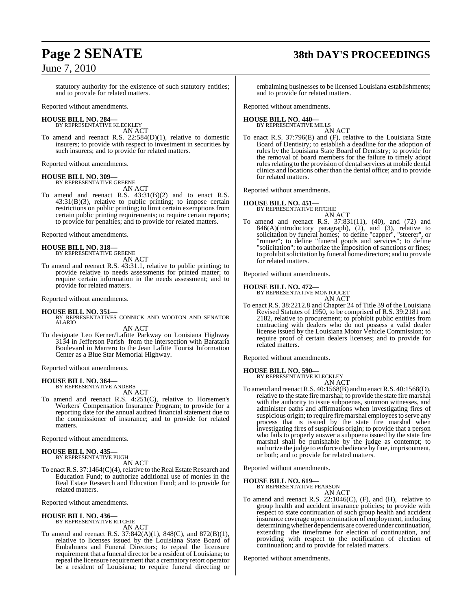## **Page 2 SENATE 38th DAY'S PROCEEDINGS**

statutory authority for the existence of such statutory entities; and to provide for related matters.

Reported without amendments.

#### **HOUSE BILL NO. 284—** BY REPRESENTATIVE KLECKLEY

AN ACT

To amend and reenact R.S. 22:584(D)(1), relative to domestic insurers; to provide with respect to investment in securities by such insurers; and to provide for related matters.

Reported without amendments.

### **HOUSE BILL NO. 309—** BY REPRESENTATIVE GREENE

AN ACT

To amend and reenact R.S. 43:31(B)(2) and to enact R.S. 43:31(B)(3), relative to public printing; to impose certain restrictions on public printing; to limit certain exemptions from certain public printing requirements; to require certain reports; to provide for penalties; and to provide for related matters.

Reported without amendments.

**HOUSE BILL NO. 318—** BY REPRESENTATIVE GREENE AN ACT

To amend and reenact R.S. 43:31.1, relative to public printing; to provide relative to needs assessments for printed matter; to require certain information in the needs assessment; and to provide for related matters.

Reported without amendments.

**HOUSE BILL NO. 351—** BY REPRESENTATIVES CONNICK AND WOOTON AND SENATOR ALARIO

AN ACT

To designate Leo Kerner/Lafitte Parkway on Louisiana Highway 3134 in Jefferson Parish from the intersection with Barataria Boulevard in Marrero to the Jean Lafitte Tourist Information Center as a Blue Star Memorial Highway.

Reported without amendments.

## **HOUSE BILL NO. 364—** BY REPRESENTATIVE ANDERS

AN ACT

To amend and reenact R.S. 4:251(C), relative to Horsemen's Workers' Compensation Insurance Program; to provide for a reporting date for the annual audited financial statement due to the commissioner of insurance; and to provide for related matters.

Reported without amendments.

#### **HOUSE BILL NO. 435—** BY REPRESENTATIVE PUGH

AN ACT

To enact R.S. 37:1464(C)(4), relative to the Real Estate Research and Education Fund; to authorize additional use of monies in the Real Estate Research and Education Fund; and to provide for related matters.

Reported without amendments.

## **HOUSE BILL NO. 436—** BY REPRESENTATIVE RITCHIE

AN ACT

To amend and reenact R.S. 37:842(A)(1), 848(C), and 872(B)(1), relative to licenses issued by the Louisiana State Board of Embalmers and Funeral Directors; to repeal the licensure requirement that a funeral director be a resident of Louisiana; to repeal the licensure requirement that a crematory retort operator be a resident of Louisiana; to require funeral directing or embalming businesses to be licensed Louisiana establishments; and to provide for related matters.

Reported without amendments.

### **HOUSE BILL NO. 440—** BY REPRESENTATIVE MILLS

AN ACT To enact R.S. 37:796(E) and (F), relative to the Louisiana State Board of Dentistry; to establish a deadline for the adoption of rules by the Louisiana State Board of Dentistry; to provide for the removal of board members for the failure to timely adopt rules relating to the provision of dental services at mobile dental clinics and locations other than the dental office; and to provide for related matters.

Reported without amendments.

## **HOUSE BILL NO. 451—**

BY REPRESENTATIVE RITCHIE

- AN ACT
- To amend and reenact R.S. 37:831(11), (40), and (72) and 846(A)(introductory paragraph), (2), and (3), relative to solicitation by funeral homes; to define "capper", "steerer", or "runner"; to define "funeral goods and services"; to define "solicitation"; to authorize the imposition of sanctions or fines; to prohibitsolicitation by funeral home directors; and to provide for related matters.

Reported without amendments.

## **HOUSE BILL NO. 472—** BY REPRESENTATIVE MONTOUCET

AN ACT

To enact R.S. 38:2212.8 and Chapter 24 of Title 39 of the Louisiana Revised Statutes of 1950, to be comprised of R.S. 39:2181 and 2182, relative to procurement; to prohibit public entities from contracting with dealers who do not possess a valid dealer license issued by the Louisiana Motor Vehicle Commission; to require proof of certain dealers licenses; and to provide for related matters.

Reported without amendments.

## **HOUSE BILL NO. 590—**

BY REPRESENTATIVE KLECKLEY

AN ACT To amend and reenactR.S. 40:1568(B) and to enactR.S. 40:1568(D), relative to the state fire marshal; to provide the state fire marshal with the authority to issue subpoenas, summon witnesses, and administer oaths and affirmations when investigating fires of suspicious origin; to require fire marshal employees to serve any process that is issued by the state fire marshal when investigating fires of suspicious origin; to provide that a person who fails to properly answer a subpoena issued by the state fire marshal shall be punishable by the judge as contempt; to authorize the judge to enforce obedience by fine, imprisonment, or both; and to provide for related matters.

Reported without amendments.

## **HOUSE BILL NO. 619—** BY REPRESENTATIVE PEARSON

AN ACT

To amend and reenact R.S. 22:1046(C), (F), and (H), relative to group health and accident insurance policies; to provide with respect to state continuation of such group health and accident insurance coverage upon termination of employment, including determining whether dependents are covered under continuation, extending the timeframe for election of continuation, and providing with respect to the notification of election of continuation; and to provide for related matters.

Reported without amendments.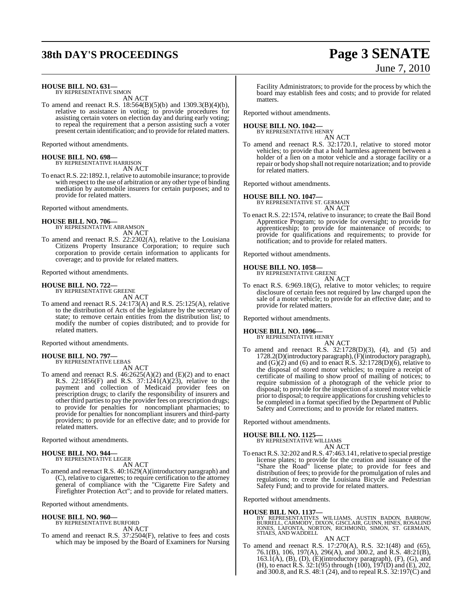## **38th DAY'S PROCEEDINGS Page 3 SENATE**

# June 7, 2010

**HOUSE BILL NO. 631—** BY REPRESENTATIVE SIMON

AN ACT

To amend and reenact R.S. 18:564(B)(5)(b) and 1309.3(B)(4)(b), relative to assistance in voting; to provide procedures for assisting certain voters on election day and during early voting; to repeal the requirement that a person assisting such a voter present certain identification; and to provide for related matters.

Reported without amendments.

## **HOUSE BILL NO. 698—** BY REPRESENTATIVE HARRISON

AN ACT

To enact R.S. 22:1892.1, relative to automobile insurance; to provide with respect to the use of arbitration or any other type of binding mediation by automobile insurers for certain purposes; and to provide for related matters.

Reported without amendments.

### **HOUSE BILL NO. 706—**

BY REPRESENTATIVE ABRAMSON AN ACT

To amend and reenact R.S. 22:2302(A), relative to the Louisiana Citizens Property Insurance Corporation; to require such corporation to provide certain information to applicants for coverage; and to provide for related matters.

Reported without amendments.

## **HOUSE BILL NO. 722—** BY REPRESENTATIVE GREENE

AN ACT

To amend and reenact R.S. 24:173(A) and R.S. 25:125(A), relative to the distribution of Acts of the legislature by the secretary of state; to remove certain entities from the distribution list; to modify the number of copies distributed; and to provide for related matters.

Reported without amendments.

### **HOUSE BILL NO. 797—** BY REPRESENTATIVE LEBAS

AN ACT

To amend and reenact R.S. 46:2625(A)(2) and (E)(2) and to enact R.S. 22:1856(F) and R.S. 37:1241(A)(23), relative to the payment and collection of Medicaid provider fees on prescription drugs; to clarify the responsibility of insurers and other third parties to pay the provider fees on prescription drugs; to provide for penalties for noncompliant pharmacies; to provide for penalties for noncompliant insurers and third-party providers; to provide for an effective date; and to provide for related matters.

Reported without amendments.

#### **HOUSE BILL NO. 944—** BY REPRESENTATIVE LEGER

AN ACT

To amend and reenact R.S. 40:1629(A)(introductory paragraph) and (C), relative to cigarettes; to require certification to the attorney general of compliance with the "Cigarette Fire Safety and Firefighter Protection Act"; and to provide for related matters.

Reported without amendments.

## **HOUSE BILL NO. 960—** BY REPRESENTATIVE BURFORD

AN ACT

To amend and reenact R.S. 37:2504(F), relative to fees and costs which may be imposed by the Board of Examiners for Nursing

Facility Administrators; to provide for the process by which the board may establish fees and costs; and to provide for related matters.

Reported without amendments.

## **HOUSE BILL NO. 1042—** BY REPRESENTATIVE HENRY

AN ACT

To amend and reenact R.S. 32:1720.1, relative to stored motor vehicles; to provide that a hold harmless agreement between a holder of a lien on a motor vehicle and a storage facility or a repair or body shop shall notrequire notarization; and to provide for related matters.

Reported without amendments.

## **HOUSE BILL NO. 1047—**

BY REPRESENTATIVE ST. GERMAIN AN ACT

To enact R.S. 22:1574, relative to insurance; to create the Bail Bond Apprentice Program; to provide for oversight; to provide for apprenticeship; to provide for maintenance of records; to provide for qualifications and requirements; to provide for notification; and to provide for related matters.

Reported without amendments.

## **HOUSE BILL NO. 1058—**

BY REPRESENTATIVE GREENE AN ACT

To enact R.S. 6:969.18(G), relative to motor vehicles; to require disclosure of certain fees not required by law charged upon the sale of a motor vehicle; to provide for an effective date; and to provide for related matters.

Reported without amendments.

## **HOUSE BILL NO. 1096—**

BY REPRESENTATIVE HENRY

## AN ACT

To amend and reenact R.S. 32:1728(D)(3), (4), and (5) and 1728.2(D)(introductory paragraph), (F)(introductory paragraph), and  $(G)(2)$  and  $(6)$  and to enact R.S. 32:1728 $(D)(6)$ , relative to the disposal of stored motor vehicles; to require a receipt of certificate of mailing to show proof of mailing of notices; to require submission of a photograph of the vehicle prior to disposal; to provide for the inspection of a stored motor vehicle prior to disposal; to require applications for crushing vehicles to be completed in a format specified by the Department of Public Safety and Corrections; and to provide for related matters.

Reported without amendments.

## **HOUSE BILL NO. 1125—**

BY REPRESENTATIVE WILLIAMS

AN ACT To enact R.S. 32:202 and R.S. 47:463.141, relative to special prestige license plates; to provide for the creation and issuance of the "Share the Road" license plate; to provide for fees and distribution of fees; to provide for the promulgation of rules and regulations; to create the Louisiana Bicycle and Pedestrian Safety Fund; and to provide for related matters.

Reported without amendments.

## **HOUSE BILL NO. 1137—**

BY REPRESENTATIVES WILLIAMS, AUSTIN BADON, BARROW, BURRELL, CARMODY, DIXON, GISCLAIR, GUINN, HINES, ROSALIND JONES, LAFONTA, NORTON, RICHMOND, SIMON, ST. GERMAIN, STIAES, AND WADDELL

AN ACT

To amend and reenact R.S. 17:270(A), R.S. 32:1(48) and (65), 76.1(B), 106, 197(A), 296(A), and 300.2, and R.S. 48:21(B),  $163.\dot{1}(\dot{A}), (B), (D), (\dot{E})$ (introductory paragraph), (F), (G), and (H), to enact R.S.  $32:1(95)$  through (100),  $197(D)$  and (E), 202, and 300.8, and R.S. 48:1 (24), and to repeal R.S. 32:197(C) and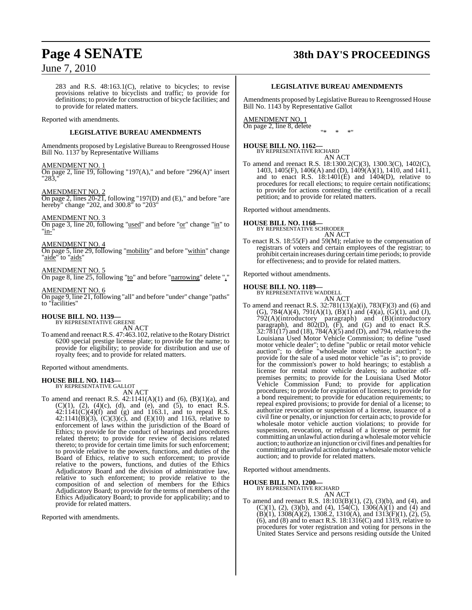## **Page 4 SENATE 38th DAY'S PROCEEDINGS**

## June 7, 2010

283 and R.S. 48:163.1(C), relative to bicycles; to revise provisions relative to bicyclists and traffic; to provide for definitions; to provide for construction of bicycle facilities; and to provide for related matters.

## Reported with amendments.

## **LEGISLATIVE BUREAU AMENDMENTS**

Amendments proposed by Legislative Bureau to Reengrossed House Bill No. 1137 by Representative Williams

### AMENDMENT NO. 1

On page 2, line 19, following "197(A)," and before "296(A)" insert "283.

### AMENDMENT NO. 2

On page 2, lines 20-21, following "197(D) and (E)," and before "are hereby" change "202, and 300.8" to "203"

## AMENDMENT NO. 3

On page 3, line 20, following "used" and before "or" change "in" to "in-

### AMENDMENT NO. 4

On page 5, line 29, following "mobility" and before "within" change "aide" to "aids"

## AMENDMENT NO. 5

On page 8, line 25, following "to" and before "narrowing" delete ","

### AMENDMENT NO. 6

On page 9, line 21, following "all" and before "under" change "paths" to "facilities"

# **HOUSE BILL NO. 1139—** BY REPRESENTATIVE GREENE AN ACT

To amend and reenact R.S. 47:463.102, relative to the Rotary District 6200 special prestige license plate; to provide for the name; to provide for eligibility; to provide for distribution and use of royalty fees; and to provide for related matters.

Reported without amendments.

### **HOUSE BILL NO. 1143—** BY REPRESENTATIVE GALLOT

AN ACT

To amend and reenact R.S. 42:1141(A)(1) and (6), (B)(1)(a), and  $(C)(1)$ ,  $(2)$ ,  $(4)(c)$ ,  $(d)$ , and  $(e)$ , and  $(5)$ , to enact R.S.  $42:1141(C)(4)(f)$  and (g) and 1163.1, and to repeal R.S. 42:1141(B)(3),  $(C)(3)(c)$ , and  $(E)(10)$  and 1163, relative to enforcement of laws within the jurisdiction of the Board of Ethics; to provide for the conduct of hearings and procedures related thereto; to provide for review of decisions related thereto; to provide for certain time limits for such enforcement; to provide relative to the powers, functions, and duties of the Board of Ethics, relative to such enforcement; to provide relative to the powers, functions, and duties of the Ethics Adjudicatory Board and the division of administrative law, relative to such enforcement; to provide relative to the composition of and selection of members for the Ethics Adjudicatory Board; to provide for the terms of members of the Ethics Adjudicatory Board; to provide for applicability; and to provide for related matters.

Reported with amendments.

## **LEGISLATIVE BUREAU AMENDMENTS**

Amendments proposed by Legislative Bureau to Reengrossed House Bill No. 1143 by Representative Gallot

#### AMENDMENT NO. 1 On page 2, line 8, delete "\* \* \*"

## **HOUSE BILL NO. 1162—** BY REPRESENTATIVE RICHARD

AN ACT

To amend and reenact R.S. 18:1300.2(C)(3), 1300.3(C), 1402(C), 1403, 1405(F), 1406(A) and (D), 1409(A)(1), 1410, and 1411, and to enact R.S.  $18:1401(E)$  and  $1404(D)$ , relative to procedures for recall elections; to require certain notifications; to provide for actions contesting the certification of a recall petition; and to provide for related matters.

Reported without amendments.

## **HOUSE BILL NO. 1168—** BY REPRESENTATIVE SCHRODER

AN ACT

To enact R.S. 18:55(F) and 59(M); relative to the compensation of registrars of voters and certain employees of the registrar; to prohibit certain increases during certain time periods; to provide for effectiveness; and to provide for related matters.

Reported without amendments.

## **HOUSE BILL NO. 1189—** BY REPRESENTATIVE WADDELL

AN ACT To amend and reenact R.S. 32:781(13)(a)(i), 783(F)(3) and (6) and (G),  $784(A)(4)$ ,  $791(A)(1)$ ,  $(B)(1)$  and  $(4)(a)$ ,  $(G)(1)$ , and  $(J)$ , 792(A)(introductory paragraph) and (B)(introductory paragraph), and  $802(D)$ ,  $(F)$ , and  $(G)$  and to enact R.S.  $32:781(17)$  and (18),  $784(A)(5)$  and (D), and 794, relative to the Louisiana Used Motor Vehicle Commission; to define "used motor vehicle dealer"; to define "public or retail motor vehicle auction"; to define "wholesale motor vehicle auction"; to provide for the sale of a used motor vehicle "as is"; to provide for the commission's power to hold hearings; to establish a license for rental motor vehicle dealers; to authorize offpremises permits; to provide for the Louisiana Used Motor Vehicle Commission Fund; to provide for application procedures; to provide for expiration of licenses; to provide for a bond requirement; to provide for education requirements; to repeal expired provisions; to provide for denial of a license; to authorize revocation or suspension of a license, issuance of a civil fine or penalty, or injunction for certain acts; to provide for wholesale motor vehicle auction violations; to provide for suspension, revocation, or refusal of a license or permit for committing an unlawful action during awholesalemotor vehicle auction; to authorize an injunction or civil fines and penalties for committing an unlawful action during a wholesale motor vehicle auction; and to provide for related matters.

Reported without amendments.

## **HOUSE BILL NO. 1200—** BY REPRESENTATIVE RICHARD

AN ACT

To amend and reenact R.S. 18:103(B)(1), (2), (3)(b), and (4), and (C)(1), (2), (3)(b), and (4), 154(C), 1306(A)(1) and (4) and  $(B)(1)$ , 1308 $(A)(2)$ , 1308.2, 1310 $(A)$ , and 1313 $(F)(1)$ ,  $(2)$ ,  $(5)$ , (6), and (8) and to enact R.S. 18:1316(C) and 1319, relative to procedures for voter registration and voting for persons in the United States Service and persons residing outside the United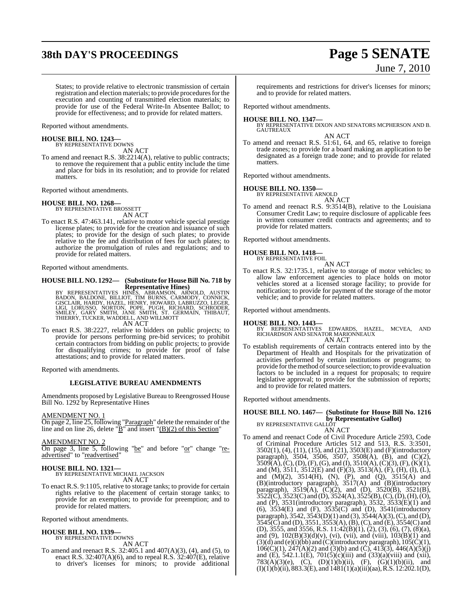## **38th DAY'S PROCEEDINGS Page 5 SENATE**

# June 7, 2010

States; to provide relative to electronic transmission of certain registration and election materials; to provide procedures for the execution and counting of transmitted election materials; to provide for use of the Federal Write-In Absentee Ballot; to provide for effectiveness; and to provide for related matters.

Reported without amendments.

## **HOUSE BILL NO. 1243—** BY REPRESENTATIVE DOWNS

AN ACT

To amend and reenact R.S. 38:2214(A), relative to public contracts; to remove the requirement that a public entity include the time and place for bids in its resolution; and to provide for related matters.

Reported without amendments.

## **HOUSE BILL NO. 1268—**

BY REPRESENTATIVE BROSSETT AN ACT

To enact R.S. 47:463.141, relative to motor vehicle special prestige license plates; to provide for the creation and issuance of such plates; to provide for the design of such plates; to provide relative to the fee and distribution of fees for such plates; to authorize the promulgation of rules and regulations; and to provide for related matters.

Reported without amendments.

## **HOUSE BILL NO. 1292— (Substitute for HouseBill No. 718 by**

**Representative Hines)**<br>BY REPRESENTATIVES HINES, ABRAMSON, ARNOLD, AUSTIN<br>BADON, BALDONE, BILLIOT, TIM BURNS, CARMODY, CONNICK,<br>GISCLAIR, HARDY, HAZEL, HENRY, HOWARD, LABRUZZO, LEGER,<br>LIGI, LORUSSO, NORTON, POPE, PUGH, RI

To enact R.S. 38:2227, relative to bidders on public projects; to provide for persons performing pre-bid services; to prohibit certain contractors from bidding on public projects; to provide for disqualifying crimes; to provide for proof of false attestations; and to provide for related matters.

Reported with amendments.

## **LEGISLATIVE BUREAU AMENDMENTS**

Amendments proposed by Legislative Bureau to Reengrossed House Bill No. 1292 by Representative Hines

AMENDMENT NO. 1

On page 2, line 25, following "Paragraph" delete the remainder of the line and on line 26, delete " $\underline{B}$ " and insert " $\underline{B}(2)$  of this Section"

AMENDMENT NO. 2

On page 3, line 5, following "be" and before "or" change "readvertised" to "readvertised"

## **HOUSE BILL NO. 1321—** BY REPRESENTATIVE MICHAEL JACKSON

AN ACT

To enact R.S. 9:1105, relative to storage tanks; to provide for certain rights relative to the placement of certain storage tanks; to provide for an exemption; to provide for preemption; and to provide for related matters.

Reported without amendments.

## **HOUSE BILL NO. 1339—** BY REPRESENTATIVE DOWNS

AN ACT To amend and reenact R.S. 32:405.1 and 407(A)(3), (4), and (5), to enact R.S. 32:407(A)(6), and to repeal R.S.  $32:407(E)$ , relative to driver's licenses for minors; to provide additional requirements and restrictions for driver's licenses for minors; and to provide for related matters.

Reported without amendments.

## **HOUSE BILL NO. 1347—**

BY REPRESENTATIVE DIXON AND SENATORS MCPHERSON AND B. GAUTREAUX

AN ACT

To amend and reenact R.S. 51:61, 64, and 65, relative to foreign trade zones; to provide for a board making an application to be designated as a foreign trade zone; and to provide for related matters.

Reported without amendments.

## **HOUSE BILL NO. 1350—** BY REPRESENTATIVE ARNOLD

AN ACT

To amend and reenact R.S. 9:3514(B), relative to the Louisiana Consumer Credit Law; to require disclosure of applicable fees in written consumer credit contracts and agreements; and to provide for related matters.

Reported without amendments.

## **HOUSE BILL NO. 1418—** BY REPRESENTATIVE FOIL

AN ACT

To enact R.S. 32:1735.1, relative to storage of motor vehicles; to allow law enforcement agencies to place holds on motor vehicles stored at a licensed storage facility; to provide for notification; to provide for payment of the storage of the motor vehicle; and to provide for related matters.

Reported without amendments.

## **HOUSE BILL NO. 1443—**

BY REPRESENTATIVES EDWARDS, HAZEL, MCVEA, AND RICHARDSON AND SENATOR MARIONNEAUX AN ACT

To establish requirements of certain contracts entered into by the Department of Health and Hospitals for the privatization of activities performed by certain institutions or programs; to provide for the method of source selection; to provide evaluation factors to be included in a request for proposals; to require legislative approval; to provide for the submission of reports; and to provide for related matters.

Reported without amendments.

#### **HOUSE BILL NO. 1467— (Substitute for House Bill No. 1216 by Representative Gallot)** BY REPRESENTATIVE GALLOT

AN ACT

To amend and reenact Code of Civil Procedure Article 2593, Code of Criminal Procedure Articles 512 and 513, R.S. 3:3501, 3502(1), (4), (11), (15), and (21), 3503(E) and (F)(introductory paragraph), 3504, 3506, 3507, 3508(A), (B), and (C)(2),  $3509(A), (C), (D), (F), (G),$  and  $(I), 3510(A), (C)(3), (F), (K)(1),$ and (M), 3511, 3512(E) and (F)(3), 3513(A), (F), (H), (I), (L), and  $(M)(2)$ ,  $3514(H)$ ,  $(N)$ ,  $(P)$ , and  $(Q)$ ,  $3515(A)$  and (B)(introductory paragraph), 3517(A) and (B)(introductory paragraph),  $3519(A)$ ,  $(C)(2)$ , and  $(D)$ ,  $3520(B)$ ,  $3521(B)$ ,  $3522(\overline{C})$ ,  $3523(\overline{C})$  and (D),  $3524(A)$ ,  $3525(B)$ , (C), (D), (H), (O), and (P),  $3531$ (introductory paragraph),  $3532$ ,  $3533(E)(1)$  and (6), 3534(E) and (F), 3535(C) and (D), 3541(introductory paragraph), 3542, 3543(D)(1) and (3), 3544(A)(3),(C), and (D),  $3545(C)$  and (D),  $3551, 3553(A)$ , (B), (C), and (E),  $3554(C)$  and (D), 3555, and 3556, R.S. 11:42(B)(1), (2), (3), (6), (7), (8)(a), and (9),  $102(B)(3)(d)(v)$ , (vi), (vii), and (viii),  $103(B)(1)$  and  $(3)(d)$  and  $(e)(i)(bb)$  and  $(C)(introducing paragraph)$ ,  $105(C)(1)$ ,  $106(C)(1)$ ,  $247(A)(2)$  and  $(3)(b)$  and  $(\dot{C})$ ,  $413(3)$ ,  $446(A)(5)(j)$ and (E), 542.1.1(E), 701(5)(c)(iii) and (33)(a)(viii) and (xii), 783(A)(3)(e), (C), (D)(1)(b)(ii), (F), (G)(1)(b)(ii), and  $(I)(1)(b)(ii)$ , 883.3 $(E)$ , and 1481 $(1)(a)(iii)(aa)$ , R.S. 12:202.1 $(D)$ ,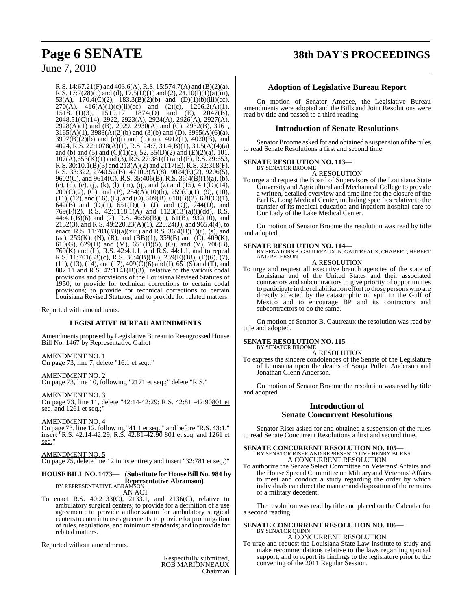## **Page 6 SENATE 38th DAY'S PROCEEDINGS**

## June 7, 2010

R.S. 14:67.21(F) and 403.6(A), R.S. 15:574.7(A) and (B)(2)(a), R.S. 17:7(28)(c) and (d), 17.5(D)(1) and (2), 24.10(I)(1)(a)(iii), 53(A),  $170.4(C)(2)$ ,  $183.3(B)(2)(b)$  and  $(D)(1)(b)(iii)(cc)$ ,  $270(A)$ ,  $416(A)(1)(c)(ii)(cc)$  and  $(2)(c)$ ,  $1206.2(A)(1)$ , 1518.1(I)(3), 1519.17, 1874(D) and (E), 2047(B), 2048.51(C)(14), 2922, 2923(A), 2924(A), 2926(A), 2927(A), 2928(A)(1) and (B), 2929, 2930(A) and (C), 2932(B), 3161,  $3165(A)(1)$ ,  $3983(A)(2)(b)$  and  $(3)(b)$  and  $(D)$ ,  $3995(A)(6)(a)$ ,  $3997(B)(2)(b)$  and (c)(i) and (ii)(aa),  $4012(1)$ ,  $4020(B)$ , and 4024, R.S. 22:1078(A)(1), R.S. 24:7, 31.4(B)(1), 31.5(A)(4)(a) and (b) and (5) and  $(C)(1)(a)$ , 52, 55(D)(2) and (E)(2)(a), 101,  $107(A)$ ,  $653(K)(1)$  and  $(3)$ , R.S.  $27:381(D)$  and  $(E)$ , R.S.  $29:653$ , R.S. 30:10.1(B)(3) and 213(A)(2) and 2117(E), R.S. 32:318(F), R.S. 33:322, 2740.52(B), 4710.3(A)(8), 9024(E)(2), 9206(5), 9602(C), and 9614(C), R.S. 35:406(B), R.S. 36:4(B)(1)(a), (b), (c), (d), (e), (j), (k), (l), (m), (q), and (z) and (15), 4.1(D)(14),  $209(C)(2)$ , (G), and (P),  $254(\text{\AA})(10)(\text{h})$ ,  $259(C)(1)$ , (9), (10),  $(11), (12),$  and  $(16), (L),$  and  $(O), 509(B), 610(B)(2), 628(C)(1),$ 642(B) and (D)(1), 651(D)(1), (J), and (Q), 744(D), and 769 $(F)(2)$ , R.S. 42:1118.1(A) and 1123(13)(a)(i)(dd), R.S. 44:4.1(B)(6) and (7), R.S. 46:56(B)(1), 61(B), 932(10), and 2132(3), and R.S. 49:220.23(A)(1), 220.24(J), and 965.4(4), to enact R.S. 11:701(33)(a)(xiii) and R.S. 36:4(B)(1)(r), (s), and (aa), 259(K), (N), (R), and (BB)(1), 359(B) and (C), 409(K), 610(G), 629(H) and (M), 651(D)(5), (O), and (V), 706(B), 769(K) and (L), R.S. 42:4.1.1, and R.S. 44:1.1, and to repeal R.S. 11:701(33)(c), R.S. 36:4(B)(10), 259(E)(18), (F)(6), (7), (11), (13), (14), and (17), 409(C)(6) and (I), 651(S) and (T), and  $802.11$  and R.S.  $42:1141(B)(3)$ , relative to the various codal provisions and provisions of the Louisiana Revised Statutes of 1950; to provide for technical corrections to certain codal provisions; to provide for technical corrections to certain Louisiana Revised Statutes; and to provide for related matters.

Reported with amendments.

## **LEGISLATIVE BUREAU AMENDMENTS**

Amendments proposed by Legislative Bureau to Reengrossed House Bill No. 1467 by Representative Gallot

## AMENDMENT NO. 1

On page 73, line 7, delete "16.1 et seq.,"

## AMENDMENT NO. 2

On page 73, line 10, following "2171 et seq.;" delete "R.S."

AMENDMENT NO. 3

On page 73, line 11, delete "42:14-42:29; R.S. 42:81 -42:90801 et seq. and 1261 et seq.;"

## AMENDMENT NO. 4

On page 73, line  $12$ , following " $41:1$  et seq.," and before "R.S. 43:1," insert <sup>"</sup>R.S. 42:<del>14-42:29; R.S. 42:81-42:90</del> 801 et seq. and 1261 et seq."

## AMENDMENT NO. 5

On page 75, delete line 12 in its entirety and insert "32:781 et seq.)"

## **HOUSE BILL NO. 1473— (Substitute for HouseBill No. 984 by Representative Abramson)** BY REPRESENTATIVE ABRAMSON

AN ACT To enact R.S. 40:2133(C), 2133.1, and 2136(C), relative to ambulatory surgical centers; to provide for a definition of a use agreement; to provide authorization for ambulatory surgical centers to enter into use agreements; to provide for promulgation ofrules, regulations, and minimumstandards; and to provide for related matters.

Reported without amendments.

Respectfully submitted, ROB MARIONNEAUX Chairman

## **Adoption of Legislative Bureau Report**

On motion of Senator Amedee, the Legislative Bureau amendments were adopted and the Bills and Joint Resolutions were read by title and passed to a third reading.

## **Introduction of Senate Resolutions**

Senator Broome asked for and obtained a suspension of the rules to read Senate Resolutions a first and second time.

## **SENATE RESOLUTION NO. 113—**

BY SENATOR BROOME A RESOLUTION

To urge and request the Board of Supervisors of the Louisiana State University and Agricultural and Mechanical College to provide a written, detailed overview and time line for the closure of the Earl K. Long Medical Center, including specifics relative to the transfer of its medical education and inpatient hospital care to Our Lady of the Lake Medical Center.

On motion of Senator Broome the resolution was read by title and adopted.

## **SENATE RESOLUTION NO. 114—**

BY SENATORS B. GAUTREAUX, N. GAUTREAUX, CHABERT, HEBERT AND PETERSON

## A RESOLUTION

To urge and request all executive branch agencies of the state of Louisiana and of the United States and their associated contractors and subcontractors to give priority of opportunities to participate in the rehabilitation effort to those persons who are directly affected by the catastrophic oil spill in the Gulf of Mexico and to encourage BP and its contractors and subcontractors to do the same.

On motion of Senator B. Gautreaux the resolution was read by title and adopted.

## **SENATE RESOLUTION NO. 115—**

BY SENATOR BROOME A RESOLUTION

To express the sincere condolences of the Senate of the Legislature of Louisiana upon the deaths of Sonja Pullen Anderson and Jonathan Glenn Anderson.

On motion of Senator Broome the resolution was read by title and adopted.

## **Introduction of Senate Concurrent Resolutions**

Senator Riser asked for and obtained a suspension of the rules to read Senate Concurrent Resolutions a first and second time.

## **SENATE CONCURRENT RESOLUTION NO. 105—** BY SENATOR RISER AND REPRESENTATIVE HENRY BURNS A CONCURRENT RESOLUTION

To authorize the Senate Select Committee on Veterans' Affairs and the House Special Committee on Military and Veterans' Affairs to meet and conduct a study regarding the order by which individuals can direct the manner and disposition of the remains of a military decedent.

The resolution was read by title and placed on the Calendar for a second reading.

## **SENATE CONCURRENT RESOLUTION NO. 106—** BY SENATOR QUINN A CONCURRENT RESOLUTION

To urge and request the Louisiana State Law Institute to study and make recommendations relative to the laws regarding spousal support, and to report its findings to the legislature prior to the convening of the 2011 Regular Session.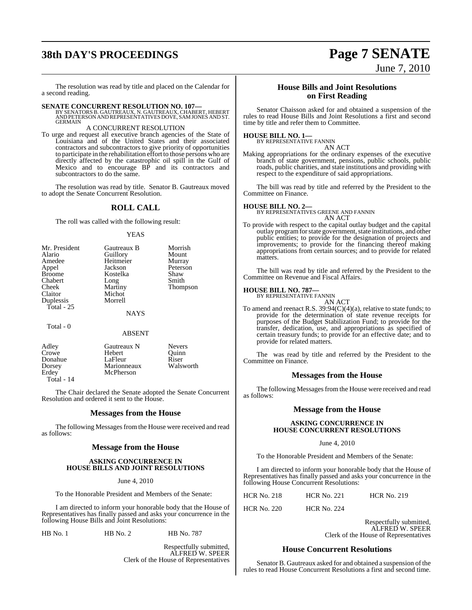## **38th DAY'S PROCEEDINGS Page 7 SENATE**

June 7, 2010

The resolution was read by title and placed on the Calendar for a second reading.

**SENATE CONCURRENT RESOLUTION NO. 107—**<br>BY SENATORS B. GAUTREAUX, N. GAUTREAUX, CHABERT, HEBERT<br>AND PETERSON AND REPRESENTATIVES DOVE, SAM JONES AND ST.<br>GERMAIN

## A CONCURRENT RESOLUTION

To urge and request all executive branch agencies of the State of Louisiana and of the United States and their associated contractors and subcontractors to give priority of opportunities to participate in the rehabilitation effort to those persons who are directly affected by the catastrophic oil spill in the Gulf of Mexico and to encourage BP and its contractors and subcontractors to do the same.

The resolution was read by title. Senator B. Gautreaux moved to adopt the Senate Concurrent Resolution.

## **ROLL CALL**

The roll was called with the following result:

### YEAS

| Mr. President | Gautreaux B | Morrish         |
|---------------|-------------|-----------------|
| Alario        | Guillory    | Mount           |
| Amedee        | Heitmeier   | Murray          |
| Appel         | Jackson     | Peterson        |
| <b>Broome</b> | Kostelka    | Shaw            |
| Chabert       | Long        | Smith           |
| Cheek         | Martiny     | <b>Thompson</b> |
| Claitor       | Michot      |                 |
| Duplessis     | Morrell     |                 |
| Total - $25$  |             |                 |
|               | <b>NAYS</b> |                 |
| $Total - 0$   |             |                 |

### ABSENT

| Gautreaux N | <b>Nevers</b> |
|-------------|---------------|
| Hebert      | Quinn         |
| LaFleur     | Riser         |
| Marionneaux | Walsworth     |
| McPherson   |               |
|             |               |
|             |               |

The Chair declared the Senate adopted the Senate Concurrent Resolution and ordered it sent to the House.

## **Messages from the House**

The following Messages from the House were received and read as follows:

## **Message from the House**

## **ASKING CONCURRENCE IN HOUSE BILLS AND JOINT RESOLUTIONS**

June 4, 2010

To the Honorable President and Members of the Senate:

I am directed to inform your honorable body that the House of Representatives has finally passed and asks your concurrence in the following House Bills and Joint Resolutions:

HB No. 1 HB No. 2 HB No. 787

Respectfully submitted, ALFRED W. SPEER Clerk of the House of Representatives

## **House Bills and Joint Resolutions on First Reading**

Senator Chaisson asked for and obtained a suspension of the rules to read House Bills and Joint Resolutions a first and second time by title and refer them to Committee.

## **HOUSE BILL NO. 1—** BY REPRESENTATIVE FANNIN

AN ACT

Making appropriations for the ordinary expenses of the executive branch of state government, pensions, public schools, public roads, public charities, and state institutions and providing with respect to the expenditure of said appropriations.

The bill was read by title and referred by the President to the Committee on Finance.

**HOUSE BILL NO. 2—** BY REPRESENTATIVES GREENE AND FANNIN AN ACT

To provide with respect to the capital outlay budget and the capital outlay programforstate government, state institutions, and other public entities; to provide for the designation of projects and improvements; to provide for the financing thereof making appropriations from certain sources; and to provide for related matters.

The bill was read by title and referred by the President to the Committee on Revenue and Fiscal Affairs.

## **HOUSE BILL NO. 787—** BY REPRESENTATIVE FANNIN

AN ACT

To amend and reenact R.S.  $39:94(C)(4)(a)$ , relative to state funds; to provide for the determination of state revenue receipts for purposes of the Budget Stabilization Fund; to provide for the transfer, dedication, use, and appropriations as specified of certain treasury funds; to provide for an effective date; and to provide for related matters.

The was read by title and referred by the President to the Committee on Finance.

## **Messages from the House**

The following Messages from the House were received and read as follows:

## **Message from the House**

## **ASKING CONCURRENCE IN HOUSE CONCURRENT RESOLUTIONS**

June 4, 2010

To the Honorable President and Members of the Senate:

I am directed to inform your honorable body that the House of Representatives has finally passed and asks your concurrence in the following House Concurrent Resolutions:

| <b>HCR No. 218</b> | <b>HCR No. 221</b> | <b>HCR No. 219</b> |
|--------------------|--------------------|--------------------|
|                    |                    |                    |

HCR No. 220 HCR No. 224

Respectfully submitted, ALFRED W. SPEER Clerk of the House of Representatives

## **House Concurrent Resolutions**

Senator B. Gautreaux asked for and obtained a suspension of the rules to read House Concurrent Resolutions a first and second time.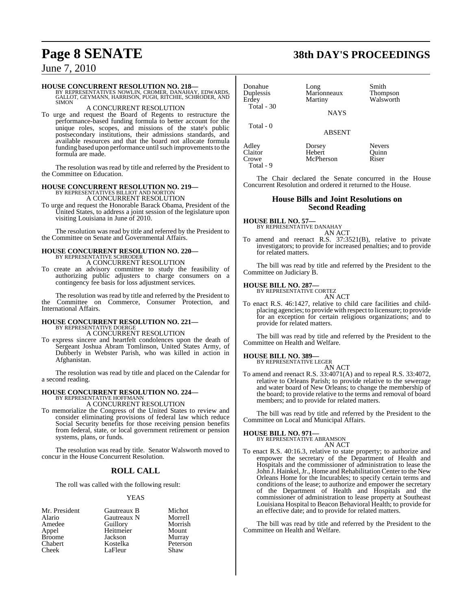**HOUSE CONCURRENT RESOLUTION NO. 218—**<br>BY REPRESENTATIVES NOWLIN, CROMER, DANAHAY, EDWARDS,<br>GALLOT, GEYMANN, HARRISON, PUGH, RITCHIE, SCHRODER, AND<br>SIMON

## A CONCURRENT RESOLUTION

To urge and request the Board of Regents to restructure the performance-based funding formula to better account for the unique roles, scopes, and missions of the state's public postsecondary institutions, their admissions standards, and available resources and that the board not allocate formula funding based upon performance until such improvements to the formula are made.

The resolution was read by title and referred by the President to the Committee on Education.

## **HOUSE CONCURRENT RESOLUTION NO. 219—** BY REPRESENTATIVES BILLIOT AND NORTON A CONCURRENT RESOLUTION

To urge and request the Honorable Barack Obama, President of the United States, to address a joint session of the legislature upon visiting Louisiana in June of 2010.

The resolution was read by title and referred by the President to the Committee on Senate and Governmental Affairs.

## **HOUSE CONCURRENT RESOLUTION NO. 220—** BY REPRESENTATIVE SCHRODER

A CONCURRENT RESOLUTION

To create an advisory committee to study the feasibility of authorizing public adjusters to charge consumers on a contingency fee basis for loss adjustment services.

The resolution was read by title and referred by the President to the Committee on Commerce, Consumer Protection, and International Affairs.

## **HOUSE CONCURRENT RESOLUTION NO. 221—** BY REPRESENTATIVE DOERGE A CONCURRENT RESOLUTION

To express sincere and heartfelt condolences upon the death of Sergeant Joshua Abram Tomlinson, United States Army, of Dubberly in Webster Parish, who was killed in action in Afghanistan.

The resolution was read by title and placed on the Calendar for a second reading.

## **HOUSE CONCURRENT RESOLUTION NO. 224—** BY REPRESENTATIVE HOFFMANN

A CONCURRENT RESOLUTION

To memorialize the Congress of the United States to review and consider eliminating provisions of federal law which reduce Social Security benefits for those receiving pension benefits from federal, state, or local government retirement or pension systems, plans, or funds.

The resolution was read by title. Senator Walsworth moved to concur in the House Concurrent Resolution.

## **ROLL CALL**

The roll was called with the following result:

## YEAS

| Mr. President  | Gautreaux B | Michot   |
|----------------|-------------|----------|
| Alario         | Gautreaux N | Morrell  |
| Amedee         | Guillory    | Morrish  |
| Appel          | Heitmeier   | Mount    |
| <b>Broome</b>  | Jackson     | Murray   |
| <b>Chabert</b> | Kostelka    | Peterson |
| Cheek          | LaFleur     | Shaw     |

Donahue Long Smith<br>
Duplessis Marionneaux Thompson Duplessis Marionneaux<br>Erdev Martiny Total - 30

**NAYS** 

**McPherson** 

ABSENT

Adley Dorsey Nevers<br>
Claitor Hebert Quinn Claitor Hebert Quinn<br>Crowe McPherson Riser Total - 9

Total - 0

The Chair declared the Senate concurred in the House Concurrent Resolution and ordered it returned to the House.

## **House Bills and Joint Resolutions on Second Reading**

**HOUSE BILL NO. 57—** BY REPRESENTATIVE DANAHAY

- AN ACT
- To amend and reenact R.S. 37:3521(B), relative to private investigators; to provide for increased penalties; and to provide for related matters.

The bill was read by title and referred by the President to the Committee on Judiciary B.

## **HOUSE BILL NO. 287—** BY REPRESENTATIVE CORTEZ

AN ACT

To enact R.S. 46:1427, relative to child care facilities and childplacing agencies; to provide with respect to licensure; to provide for an exception for certain religious organizations; and to provide for related matters.

The bill was read by title and referred by the President to the Committee on Health and Welfare.

**HOUSE BILL NO. 389—**

BY REPRESENTATIVE LEGER

AN ACT To amend and reenact R.S. 33:4071(A) and to repeal R.S. 33:4072, relative to Orleans Parish; to provide relative to the sewerage and water board of New Orleans; to change the membership of the board; to provide relative to the terms and removal of board members; and to provide for related matters.

The bill was read by title and referred by the President to the Committee on Local and Municipal Affairs.

## **HOUSE BILL NO. 971—**

BY REPRESENTATIVE ABRAMSON

- AN ACT
- To enact R.S. 40:16.3, relative to state property; to authorize and empower the secretary of the Department of Health and Hospitals and the commissioner of administration to lease the John J. Hainkel, Jr., Home and Rehabilitation Center to the New Orleans Home for the Incurables; to specify certain terms and conditions of the lease; to authorize and empower the secretary of the Department of Health and Hospitals and the commissioner of administration to lease property at Southeast Louisiana Hospital to Beacon Behavioral Health; to provide for an effective date; and to provide for related matters.

The bill was read by title and referred by the President to the Committee on Health and Welfare.

## **Page 8 SENATE 38th DAY'S PROCEEDINGS**

Walsworth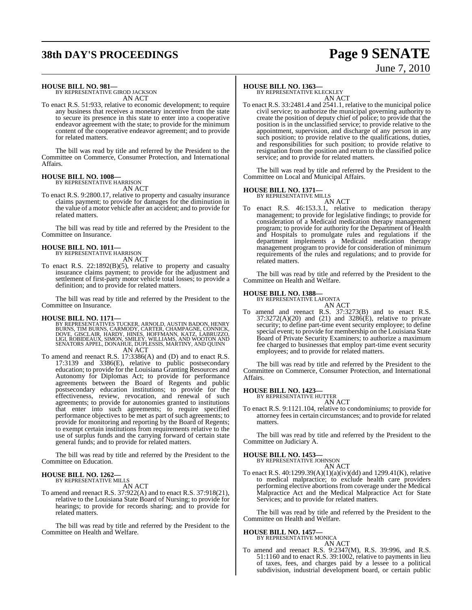## **38th DAY'S PROCEEDINGS Page 9 SENATE**

# June 7, 2010

## **HOUSE BILL NO. 981—** BY REPRESENTATIVE GIROD JACKSON

AN ACT

To enact R.S. 51:933, relative to economic development; to require any business that receives a monetary incentive from the state to secure its presence in this state to enter into a cooperative endeavor agreement with the state; to provide for the minimum content of the cooperative endeavor agreement; and to provide for related matters.

The bill was read by title and referred by the President to the Committee on Commerce, Consumer Protection, and International Affairs.

#### **HOUSE BILL NO. 1008—** BY REPRESENTATIVE HARRISON

AN ACT

To enact R.S. 9:2800.17, relative to property and casualty insurance claims payment; to provide for damages for the diminution in the value of a motor vehicle after an accident; and to provide for related matters.

The bill was read by title and referred by the President to the Committee on Insurance.

## **HOUSE BILL NO. 1011—**

BY REPRESENTATIVE HARRISON AN ACT

To enact R.S. 22:1892(B)(5), relative to property and casualty insurance claims payment; to provide for the adjustment and settlement of first-party motor vehicle total losses; to provide a definition; and to provide for related matters.

The bill was read by title and referred by the President to the Committee on Insurance.

**HOUSE BILL NO. 1171—**<br>BY REPRESENTATIVES TUCKER, ARNOLD, AUSTIN BADON, HENRY<br>BURNS, TIM BURNS, CARMODY, CARTER, CHAMPAGNE, CONNICK,<br>DOVE, GISCLAIR, HARDY, HINES, HOFFMANN, KATZ, LABRUZZO,<br>LIGI, ROBIDEAUX, SIMON, SMILEY, W AN ACT

To amend and reenact R.S. 17:3386(A) and (D) and to enact R.S. 17:3139 and 3386(E), relative to public postsecondary education; to provide for the Louisiana Granting Resources and Autonomy for Diplomas Act; to provide for performance agreements between the Board of Regents and public postsecondary education institutions; to provide for the effectiveness, review, revocation, and renewal of such agreements; to provide for autonomies granted to institutions that enter into such agreements; to require specified performance objectives to be met as part of such agreements; to provide for monitoring and reporting by the Board of Regents; to exempt certain institutions from requirements relative to the use of surplus funds and the carrying forward of certain state general funds; and to provide for related matters.

The bill was read by title and referred by the President to the Committee on Education.

## **HOUSE BILL NO. 1262—** BY REPRESENTATIVE MILLS

AN ACT

To amend and reenact R.S. 37:922(A) and to enact R.S. 37:918(21), relative to the Louisiana State Board of Nursing; to provide for hearings; to provide for records sharing; and to provide for related matters.

The bill was read by title and referred by the President to the Committee on Health and Welfare.

## **HOUSE BILL NO. 1363—**

BY REPRESENTATIVE KLECKLEY AN ACT

To enact R.S. 33:2481.4 and 2541.1, relative to the municipal police civil service; to authorize the municipal governing authority to create the position of deputy chief of police; to provide that the position is in the unclassified service; to provide relative to the appointment, supervision, and discharge of any person in any such position; to provide relative to the qualifications, duties, and responsibilities for such position; to provide relative to resignation from the position and return to the classified police service; and to provide for related matters.

The bill was read by title and referred by the President to the Committee on Local and Municipal Affairs.

## **HOUSE BILL NO. 1371—** BY REPRESENTATIVE MILLS

AN ACT

To enact R.S. 46:153.3.1, relative to medication therapy management; to provide for legislative findings; to provide for consideration of a Medicaid medication therapy management program; to provide for authority for the Department of Health and Hospitals to promulgate rules and regulations if the department implements a Medicaid medication therapy management program to provide for consideration of minimum requirements of the rules and regulations; and to provide for related matters.

The bill was read by title and referred by the President to the Committee on Health and Welfare.

## **HOUSE BILL NO. 1388—** BY REPRESENTATIVE LAFONTA

AN ACT To amend and reenact R.S. 37:3273(B) and to enact R.S.  $37:3272(A)(20)$  and  $(21)$  and  $3286(E)$ , relative to private security; to define part-time event security employee; to define special event; to provide for membership on the Louisiana State Board of Private Security Examiners; to authorize a maximum fee charged to businesses that employ part-time event security employees; and to provide for related matters.

The bill was read by title and referred by the President to the Committee on Commerce, Consumer Protection, and International Affairs.

## **HOUSE BILL NO. 1423—** BY REPRESENTATIVE HUTTER

AN ACT

To enact R.S. 9:1121.104, relative to condominiums; to provide for attorney feesin certain circumstances; and to provide for related matters.

The bill was read by title and referred by the President to the Committee on Judiciary A.

## **HOUSE BILL NO. 1453—**

BY REPRESENTATIVE JOHNSON AN ACT

To enact R.S. 40:1299.39(A)(1)(a)(iv)(dd) and 1299.41(K), relative to medical malpractice; to exclude health care providers performing elective abortions from coverage under the Medical Malpractice Act and the Medical Malpractice Act for State Services; and to provide for related matters.

The bill was read by title and referred by the President to the Committee on Health and Welfare.

## **HOUSE BILL NO. 1457—** BY REPRESENTATIVE MONICA

AN ACT

To amend and reenact R.S. 9:2347(M), R.S. 39:996, and R.S. 51:1160 and to enact R.S. 39:1002, relative to payments in lieu of taxes, fees, and charges paid by a lessee to a political subdivision, industrial development board, or certain public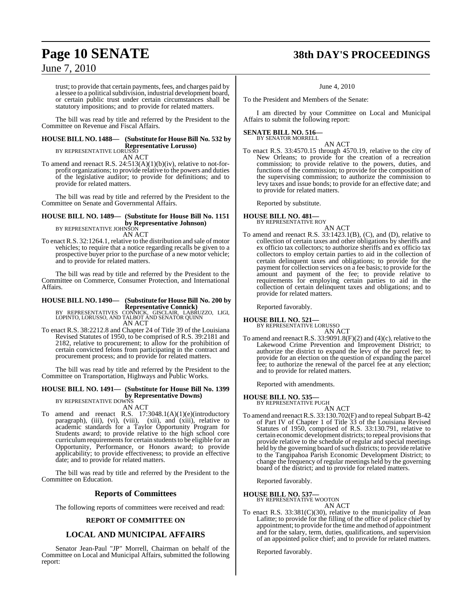## **Page 10 SENATE 38th DAY'S PROCEEDINGS**

## June 7, 2010

trust; to provide that certain payments, fees, and charges paid by a lessee to a political subdivision, industrial development board, or certain public trust under certain circumstances shall be statutory impositions; and to provide for related matters.

The bill was read by title and referred by the President to the Committee on Revenue and Fiscal Affairs.

## **HOUSE BILL NO. 1488— (Substitute for House Bill No. 532 by Representative Lorusso)** BY REPRESENTATIVE LORUSSO

AN ACT

To amend and reenact R.S. 24:513(A)(1)(b)(iv), relative to not-forprofit organizations; to provide relative to the powers and duties of the legislative auditor; to provide for definitions; and to provide for related matters.

The bill was read by title and referred by the President to the Committee on Senate and Governmental Affairs.

## **HOUSE BILL NO. 1489— (Substitute for House Bill No. 1151 by Representative Johnson)**<br>BY REPRESENTATIVE JOHNSON

AN ACT

To enact R.S. 32:1264.1, relative to the distribution and sale of motor vehicles; to require that a notice regarding recalls be given to a prospective buyer prior to the purchase of a new motor vehicle; and to provide for related matters.

The bill was read by title and referred by the President to the Committee on Commerce, Consumer Protection, and International Affairs.

## **HOUSE BILL NO. 1490— (Substitute for HouseBill No. 200 by**

**Representative Connick)**<br>BY REPRESENTATIVES CONNICK, GISCLAIR, LABRUZZO, LIGI,<br>LOPINTO, LORUSSO, AND TALBOT AND SENATOR QUINN AN ACT

To enact R.S. 38:2212.8 and Chapter 24 of Title 39 of the Louisiana Revised Statutes of 1950, to be comprised of R.S. 39:2181 and 2182, relative to procurement; to allow for the prohibition of certain convicted felons from participating in the contract and procurement process; and to provide for related matters.

The bill was read by title and referred by the President to the Committee on Transportation, Highways and Public Works.

## **HOUSE BILL NO. 1491— (Substitute for House Bill No. 1399 by Representative Downs)** BY REPRESENTATIVE DOWNS

AN ACT

To amend and reenact R.S. 17:3048.1(A)(1)(e)(introductory paragraph), (iii), (vi), (viii), (xii), and (xiii), relative to academic standards for a Taylor Opportunity Program for Students award; to provide relative to the high school core curriculum requirements for certain students to be eligible for an Opportunity, Performance, or Honors award; to provide applicability; to provide effectiveness; to provide an effective date; and to provide for related matters.

The bill was read by title and referred by the President to the Committee on Education.

## **Reports of Committees**

The following reports of committees were received and read:

## **REPORT OF COMMITTEE ON**

## **LOCAL AND MUNICIPAL AFFAIRS**

Senator Jean-Paul "JP" Morrell, Chairman on behalf of the Committee on Local and Municipal Affairs, submitted the following report:

June 4, 2010

To the President and Members of the Senate:

I am directed by your Committee on Local and Municipal Affairs to submit the following report:

#### **SENATE BILL NO. 516—** BY SENATOR MORRELL

AN ACT

To enact R.S. 33:4570.15 through 4570.19, relative to the city of New Orleans; to provide for the creation of a recreation commission; to provide relative to the powers, duties, and functions of the commission; to provide for the composition of the supervising commission; to authorize the commission to levy taxes and issue bonds; to provide for an effective date; and to provide for related matters.

Reported by substitute.

## **HOUSE BILL NO. 481—** BY REPRESENTATIVE ROY

AN ACT

To amend and reenact R.S. 33:1423.1(B), (C), and (D), relative to collection of certain taxes and other obligations by sheriffs and ex officio tax collectors; to authorize sheriffs and ex officio tax collectors to employ certain parties to aid in the collection of certain delinquent taxes and obligations; to provide for the payment for collection services on a fee basis; to provide for the amount and payment of the fee; to provide relative to requirements for employing certain parties to aid in the collection of certain delinquent taxes and obligations; and to provide for related matters.

Reported favorably.

**HOUSE BILL NO. 521—**

## BY REPRESENTATIVE LORUSSO

AN ACT

To amend and reenact R.S. 33:9091.8(F)(2) and (4)(c), relative to the Lakewood Crime Prevention and Improvement District; to authorize the district to expand the levy of the parcel fee; to provide for an election on the question of expanding the parcel fee; to authorize the renewal of the parcel fee at any election; and to provide for related matters.

Reported with amendments.

## **HOUSE BILL NO. 535—** BY REPRESENTATIVE PUGH

AN ACT

To amend and reenact R.S. 33:130.702(F) and to repeal Subpart B-42 of Part IV of Chapter 1 of Title 33 of the Louisiana Revised Statutes of 1950, comprised of R.S. 33:130.791, relative to certain economic development districts; to repeal provisions that provide relative to the schedule of regular and special meetings held by the governing board of such districts; to provide relative to the Tangipahoa Parish Economic Development District; to change the frequency of regular meetings held by the governing board of the district; and to provide for related matters.

Reported favorably.

## **HOUSE BILL NO. 537—**

BY REPRESENTATIVE WOOTON AN ACT

To enact R.S. 33:381(C)(30), relative to the municipality of Jean Lafitte; to provide for the filling of the office of police chief by appointment; to provide for the time and method of appointment and for the salary, term, duties, qualifications, and supervision of an appointed police chief; and to provide for related matters.

Reported favorably.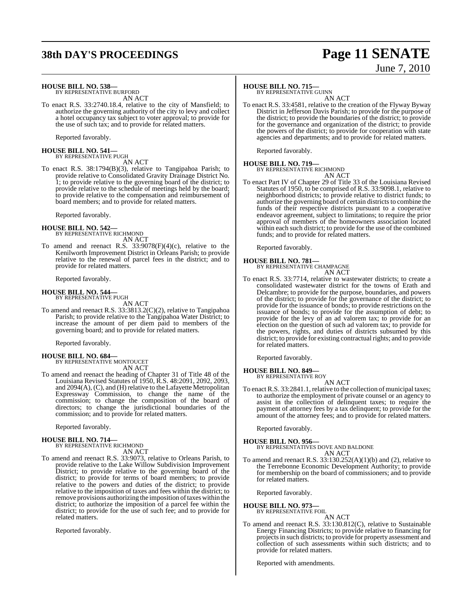## **38th DAY'S PROCEEDINGS Page 11 SENATE** June 7, 2010

## **HOUSE BILL NO. 538—**

BY REPRESENTATIVE BURFORD AN ACT

To enact R.S. 33:2740.18.4, relative to the city of Mansfield; to authorize the governing authority of the city to levy and collect a hotel occupancy tax subject to voter approval; to provide for the use of such tax; and to provide for related matters.

Reported favorably.

## **HOUSE BILL NO. 541—** BY REPRESENTATIVE PUGH

AN ACT

To enact R.S. 38:1794(B)(3), relative to Tangipahoa Parish; to provide relative to Consolidated Gravity Drainage District No. 1; to provide relative to the governing board of the district; to provide relative to the schedule of meetings held by the board; to provide relative to the compensation and reimbursement of board members; and to provide for related matters.

Reported favorably.

#### **HOUSE BILL NO. 542—** BY REPRESENTATIVE RICHMOND AN ACT

To amend and reenact R.S. 33:9078(F)(4)(c), relative to the Kenilworth Improvement District in Orleans Parish; to provide relative to the renewal of parcel fees in the district; and to provide for related matters.

Reported favorably.

### **HOUSE BILL NO. 544—** BY REPRESENTATIVE PUGH

AN ACT

To amend and reenact R.S. 33:3813.2(C)(2), relative to Tangipahoa Parish; to provide relative to the Tangipahoa Water District; to increase the amount of per diem paid to members of the governing board; and to provide for related matters.

Reported favorably.

## **HOUSE BILL NO. 684—** BY REPRESENTATIVE MONTOUCET

AN ACT

To amend and reenact the heading of Chapter 31 of Title 48 of the Louisiana Revised Statutes of 1950, R.S. 48:2091, 2092, 2093, and 2094(A), (C), and (H) relative to the Lafayette Metropolitan Expressway Commission, to change the name of the commission; to change the composition of the board of directors; to change the jurisdictional boundaries of the commission; and to provide for related matters.

Reported favorably.

## **HOUSE BILL NO. 714—** BY REPRESENTATIVE RICHMOND

AN ACT

To amend and reenact R.S. 33:9073, relative to Orleans Parish, to provide relative to the Lake Willow Subdivision Improvement District; to provide relative to the governing board of the district; to provide for terms of board members; to provide relative to the powers and duties of the district; to provide relative to the imposition of taxes and fees within the district; to remove provisions authorizing the imposition of taxes within the district; to authorize the imposition of a parcel fee within the district; to provide for the use of such fee; and to provide for related matters.

Reported favorably.

## **HOUSE BILL NO. 715—**

BY REPRESENTATIVE GUINN AN ACT

To enact R.S. 33:4581, relative to the creation of the Flyway Byway District in Jefferson Davis Parish; to provide for the purpose of the district; to provide the boundaries of the district; to provide for the governance and organization of the district; to provide the powers of the district; to provide for cooperation with state agencies and departments; and to provide for related matters.

Reported favorably.

#### **HOUSE BILL NO. 719—** BY REPRESENTATIVE RICHMOND

AN ACT

To enact Part IV of Chapter 29 of Title 33 of the Louisiana Revised Statutes of 1950, to be comprised of R.S. 33:9098.1, relative to neighborhood districts; to provide relative to district funds; to authorize the governing board of certain districts to combine the funds of their respective districts pursuant to a cooperative endeavor agreement, subject to limitations; to require the prior approval of members of the homeowners association located within each such district; to provide for the use of the combined funds; and to provide for related matters.

Reported favorably.

## **HOUSE BILL NO. 781—** BY REPRESENTATIVE CHAMPAGNE

AN ACT

To enact R.S. 33:7714, relative to wastewater districts; to create a consolidated wastewater district for the towns of Erath and Delcambre; to provide for the purpose, boundaries, and powers of the district; to provide for the governance of the district; to provide for the issuance of bonds; to provide restrictions on the issuance of bonds; to provide for the assumption of debt; to provide for the levy of an ad valorem tax; to provide for an election on the question of such ad valorem tax; to provide for the powers, rights, and duties of districts subsumed by this district; to provide for existing contractual rights; and to provide for related matters.

Reported favorably.

### **HOUSE BILL NO. 849—** BY REPRESENTATIVE ROY

AN ACT

To enact R.S. 33:2841.1, relative to the collection of municipal taxes; to authorize the employment of private counsel or an agency to assist in the collection of delinquent taxes; to require the payment of attorney fees by a tax delinquent; to provide for the amount of the attorney fees; and to provide for related matters.

Reported favorably.

## **HOUSE BILL NO. 956—**

BY REPRESENTATIVES DOVE AND BALDONE AN ACT

To amend and reenact R.S. 33:130.252(A)(1)(b) and (2), relative to the Terrebonne Economic Development Authority; to provide for membership on the board of commissioners; and to provide for related matters.

Reported favorably.

**HOUSE BILL NO. 973—**

BY REPRESENTATIVE FOIL AN ACT

To amend and reenact R.S. 33:130.812(C), relative to Sustainable Energy Financing Districts; to provide relative to financing for projectsin such districts; to provide for property assessment and collection of such assessments within such districts; and to provide for related matters.

Reported with amendments.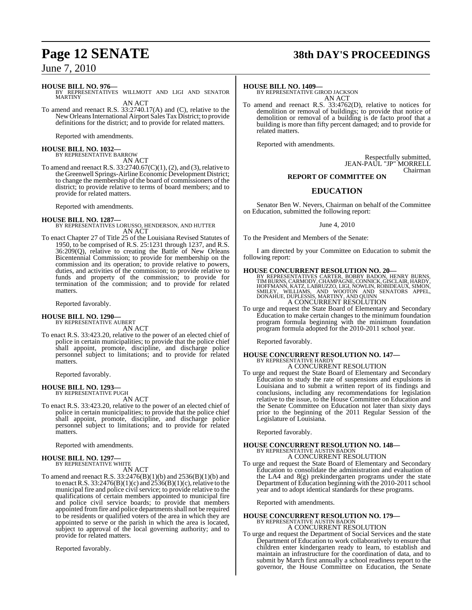## **HOUSE BILL NO. 976—**

BY REPRESENTATIVES WILLMOTT AND LIGI AND SENATOR **MARTINY** AN ACT

To amend and reenact R.S. 33:2740.17(A) and (C), relative to the New OrleansInternational Airport Sales Tax District; to provide definitions for the district; and to provide for related matters.

Reported with amendments.

## **HOUSE BILL NO. 1032—** BY REPRESENTATIVE BARROW

AN ACT

To amend and reenact R.S.  $33:2740.67(C)(1)$ , (2), and (3), relative to the Greenwell Springs-Airline EconomicDevelopment District; to change the membership of the board of commissioners of the district; to provide relative to terms of board members; and to provide for related matters.

Reported with amendments.

## **HOUSE BILL NO. 1287—**

BY REPRESENTATIVES LORUSSO, HENDERSON, AND HUTTER AN ACT

To enact Chapter 27 of Title 25 of the Louisiana Revised Statutes of 1950, to be comprised of R.S. 25:1231 through 1237, and R.S. 36:209(Q), relative to creating the Battle of New Orleans Bicentennial Commission; to provide for membership on the commission and its operation; to provide relative to powers, duties, and activities of the commission; to provide relative to funds and property of the commission; to provide for termination of the commission; and to provide for related matters.

Reported favorably.

### **HOUSE BILL NO. 1290—** BY REPRESENTATIVE AUBERT

AN ACT

To enact R.S. 33:423.20, relative to the power of an elected chief of police in certain municipalities; to provide that the police chief shall appoint, promote, discipline, and discharge police personnel subject to limitations; and to provide for related matters.

Reported favorably.

## **HOUSE BILL NO. 1293—** BY REPRESENTATIVE PUGH

AN ACT

To enact R.S. 33:423.20, relative to the power of an elected chief of police in certain municipalities; to provide that the police chief shall appoint, promote, discipline, and discharge police personnel subject to limitations; and to provide for related matters.

Reported with amendments.

## **HOUSE BILL NO. 1297—** BY REPRESENTATIVE WHITE

AN ACT

To amend and reenact R.S. 33:2476(B)(1)(b) and 2536(B)(1)(b) and to enact R.S.  $33:2476(B)(1)(c)$  and  $2536(B)(1)(c)$ , relative to the municipal fire and police civil service; to provide relative to the qualifications of certain members appointed to municipal fire and police civil service boards; to provide that members appointed from fire and police departments shall not be required to be residents or qualified voters of the area in which they are appointed to serve or the parish in which the area is located, subject to approval of the local governing authority; and to provide for related matters.

Reported favorably.

## **Page 12 SENATE 38th DAY'S PROCEEDINGS**

## **HOUSE BILL NO. 1409—**

BY REPRESENTATIVE GIROD JACKSON AN ACT

To amend and reenact R.S. 33:4762(D), relative to notices for demolition or removal of buildings; to provide that notice of demolition or removal of a building is de facto proof that a building is more than fifty percent damaged; and to provide for related matters.

Reported with amendments.

Respectfully submitted, JEAN-PAUL "JP" MORRELL Chairman

## **REPORT OF COMMITTEE ON**

## **EDUCATION**

Senator Ben W. Nevers, Chairman on behalf of the Committee on Education, submitted the following report:

June 4, 2010

To the President and Members of the Senate:

I am directed by your Committee on Education to submit the following report:

**HOUSE CONCURRENT RESOLUTION NO. 20**<br>BY REPRESENTATIVES CARTER, BOBBY BADON, HENRY BURNS, TIMBURNS, CARMODY, CHAMPAGNE, CONNICK, GISCLAIR, HARDY,<br>HOFFMANN, KATZ, LABRUZZO, LIGI, NOWLIN, ROBIDEAUX, SIMON,<br>SMILEY, WILLIAMS, A CONCURRENT RESOLUTION

To urge and request the State Board of Elementary and Secondary Education to make certain changes to the minimum foundation program formula beginning with the minimum foundation program formula adopted for the 2010-2011 school year.

Reported favorably.

### **HOUSE CONCURRENT RESOLUTION NO. 147—** BY REPRESENTATIVE HARDY

A CONCURRENT RESOLUTION

To urge and request the State Board of Elementary and Secondary Education to study the rate of suspensions and expulsions in Louisiana and to submit a written report of its findings and conclusions, including any recommendations for legislation relative to the issue, to the House Committee on Education and the Senate Committee on Education not later than sixty days prior to the beginning of the 2011 Regular Session of the Legislature of Louisiana.

Reported favorably.

# **HOUSE CONCURRENT RESOLUTION NO. 148—** BY REPRESENTATIVE AUSTIN BADON A CONCURRENT RESOLUTION

To urge and request the State Board of Elementary and Secondary Education to consolidate the administration and evaluation of the LA4 and 8(g) prekindergarten programs under the state Department of Education beginning with the 2010-2011 school year and to adopt identical standards for these programs.

Reported with amendments.

## **HOUSE CONCURRENT RESOLUTION NO. 179—** BY REPRESENTATIVE AUSTIN BADON A CONCURRENT RESOLUTION

To urge and request the Department of Social Services and the state Department of Education to work collaboratively to ensure that children enter kindergarten ready to learn, to establish and maintain an infrastructure for the coordination of data, and to submit by March first annually a school readiness report to the governor, the House Committee on Education, the Senate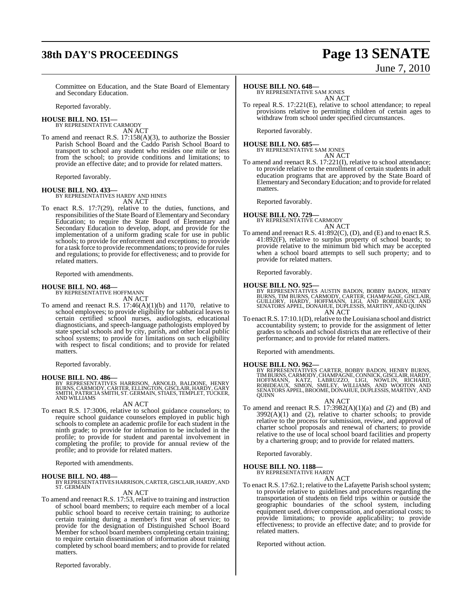## **38th DAY'S PROCEEDINGS Page 13 SENATE**

# June 7, 2010

Committee on Education, and the State Board of Elementary and Secondary Education.

Reported favorably.

**HOUSE BILL NO. 151—** BY REPRESENTATIVE CARMODY

AN ACT

To amend and reenact R.S. 17:158(A)(3), to authorize the Bossier Parish School Board and the Caddo Parish School Board to transport to school any student who resides one mile or less from the school; to provide conditions and limitations; to provide an effective date; and to provide for related matters.

Reported favorably.

## **HOUSE BILL NO. 433—** BY REPRESENTATIVES HARDY AND HINES

AN ACT

To enact R.S. 17:7(29), relative to the duties, functions, and responsibilities of the State Board of Elementary and Secondary Education; to require the State Board of Elementary and Secondary Education to develop, adopt, and provide for the implementation of a uniform grading scale for use in public schools; to provide for enforcement and exceptions; to provide for a task force to provide recommendations; to provide forrules and regulations; to provide for effectiveness; and to provide for related matters.

Reported with amendments.

## **HOUSE BILL NO. 468—** BY REPRESENTATIVE HOFFMANN

AN ACT

To amend and reenact R.S. 17:46(A)(1)(b) and 1170, relative to school employees; to provide eligibility for sabbatical leaves to certain certified school nurses, audiologists, educational diagnosticians, and speech-language pathologists employed by state special schools and by city, parish, and other local public school systems; to provide for limitations on such eligibility with respect to fiscal conditions; and to provide for related matters.

Reported favorably.

**HOUSE BILL NO. 486—** BY REPRESENTATIVES HARRISON, ARNOLD, BALDONE, HENRY BURNS, CARMODY, CARTER, ELLINGTON, GISCLAIR, HARDY, GARY SMITH, PATRICIA SMITH, ST. GERMAIN, STIAES, TEMPLET, TUCKER, AND WILLIAMS

### AN ACT

To enact R.S. 17:3006, relative to school guidance counselors; to require school guidance counselors employed in public high schools to complete an academic profile for each student in the ninth grade; to provide for information to be included in the profile; to provide for student and parental involvement in completing the profile; to provide for annual review of the profile; and to provide for related matters.

Reported with amendments.

**HOUSE BILL NO. 488—** BY REPRESENTATIVESHARRISON,CARTER, GISCLAIR, HARDY, AND ST. GERMAIN

### AN ACT

To amend and reenact R.S. 17:53, relative to training and instruction of school board members; to require each member of a local public school board to receive certain training; to authorize certain training during a member's first year of service; to provide for the designation of Distinguished School Board Member for school board members completing certain training; to require certain dissemination of information about training completed by school board members; and to provide for related matters.

Reported favorably.

## **HOUSE BILL NO. 648—**

BY REPRESENTATIVE SAM JONES AN ACT

To repeal R.S. 17:221(E), relative to school attendance; to repeal provisions relative to permitting children of certain ages to withdraw from school under specified circumstances.

Reported favorably.

#### **HOUSE BILL NO. 685—** BY REPRESENTATIVE SAM JONES

- AN ACT
- To amend and reenact R.S. 17:221(I), relative to school attendance; to provide relative to the enrollment of certain students in adult education programs that are approved by the State Board of Elementary and Secondary Education; and to provide forrelated matters.

Reported favorably.

#### **HOUSE BILL NO. 729—** BY REPRESENTATIVE CARMODY AN ACT

To amend and reenact R.S. 41:892(C), (D), and (E) and to enact R.S. 41:892(F), relative to surplus property of school boards; to provide relative to the minimum bid which may be accepted when a school board attempts to sell such property; and to provide for related matters.

Reported favorably.

**HOUSE BILL NO. 925—**<br>BY REPRESENTATIVES AUSTIN BADON, BOBBY BADON, HENRY<br>BURNS, TIM BURNS, CARMODY, CARTER, CHAMPAGNE, GISCLAIR,<br>GUILLORY, HARDY, HOFFMANN, LIGI, AND ROBIDEAUX AND<br>SENATORS APPEL, DONAHUE, DUPLESSIS, MARTI AN ACT

To enactR.S. 17:10.1(D), relative to the Louisiana school and district accountability system; to provide for the assignment of letter grades to schools and school districts that are reflective of their performance; and to provide for related matters.

Reported with amendments.

## **HOUSE BILL NO. 962—**

BY REPRESENTATIVES CARTER, BOBBY BADON, HENRY BURNS,<br>TIMBURNS,CARMODY,CHAMPAGNE, CONNICK,GISCLAIR,HARDY,<br>HOFFMANN, KATZ, LABRUZZO, LIGI, NOWLIN, RICHARD,<br>ROBIDEAUX, SIMON, SMILEY, WILLIAMS, AND WOOTON AND<br>SENATORS APPEL,BR

### AN ACT

To amend and reenact R.S.  $17:3982(A)(1)(a)$  and  $(2)$  and  $(B)$  and  $3992(A)(1)$  and  $(2)$ , relative to charter schools; to provide relative to the process for submission, review, and approval of charter school proposals and renewal of charters; to provide relative to the use of local school board facilities and property by a chartering group; and to provide for related matters.

Reported favorably.

## **HOUSE BILL NO. 1188—** BY REPRESENTATIVE HARDY

AN ACT

To enact R.S. 17:62.1; relative to the Lafayette Parish school system; to provide relative to guidelines and procedures regarding the transportation of students on field trips within or outside the geographic boundaries of the school system, including equipment used, driver compensation, and operational costs; to provide limitations; to provide applicability; to provide effectiveness; to provide an effective date; and to provide for related matters.

Reported without action.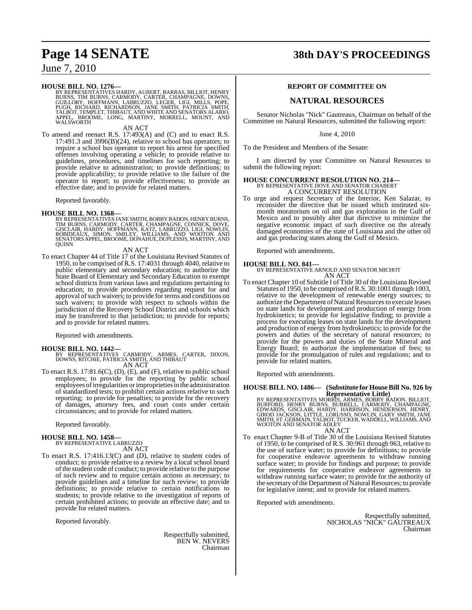**HOUSE BILL NO. 1276**<br>BY REPRESENTATIVES HARDY, AUBERT, BARRAS, BILLIOT, HENRY<br>BURNS, TIM BURNS, CARMODY, CARTER, CHAMPAGNE, DOWNS,<br>GUILLORY, HOFFMANN, LABRUZZO, LEGER, LIGI, MILLS, POPE,<br>PUGH, RICHARD, RICHARDSON, JANE SM BROOME, LONG, MARTINY, MORRELL, MOUNT, AND APPEL, BROC<br>WALSWORTH

AN ACT

To amend and reenact R.S. 17:493(A) and (C) and to enact R.S. 17:491.3 and 3996(B)(24), relative to school bus operators; to require a school bus operator to report his arrest for specified offenses involving operating a vehicle; to provide relative to guidelines, procedures, and timelines for such reporting; to provide relative to administration; to provide definitions; to provide applicability; to provide relative to the failure of the operator to report; to provide effectiveness; to provide an effective date; and to provide for related matters.

Reported favorably.

### **HOUSE BILL NO. 1368—**

BY REPRESENTATIVES JANE SMITH, BOBBY BADON, HENRY BURNS,<br>TIM BURNS, CARMODY, CARTER, CHAMPAGNE, CONNICK, DOVE,<br>GISCLAIR, HARDY, HOFFMANN, KATZ, LABRUZZO, LIGI, NOWLIN,<br>ROBIDEAUX, SIMON, SMILEY, WILLIAMS, AND WOOTON AND<br>SEN

AN ACT

To enact Chapter 44 of Title 17 of the Louisiana Revised Statutes of 1950, to be comprised ofR.S. 17:4031 through 4040, relative to public elementary and secondary education; to authorize the State Board of Elementary and Secondary Education to exempt school districts from various laws and regulations pertaining to education; to provide procedures regarding request for and approval of such waivers; to provide for terms and conditions on such waivers; to provide with respect to schools within the jurisdiction of the Recovery School District and schools which may be transferred to that jurisdiction; to provide for reports; and to provide for related matters.

Reported with amendments.

**HOUSE BILL NO. 1442—** BY REPRESENTATIVES CARMODY, ARMES, CARTER, DIXON, DOWNS, RITCHIE, PATRICIA SMITH, AND THIBAUT AN ACT

To enact R.S.  $17:81.6(C)$ , (D), (E), and (F), relative to public school employees; to provide for the reporting by public school employees ofirregularities orimproprieties in the administration of standardized tests; to prohibit certain actions relative to such reporting; to provide for penalties; to provide for the recovery of damages, attorney fees, and court costs under certain circumstances; and to provide for related matters.

Reported favorably.

### **HOUSE BILL NO. 1458—**

BY REPRESENTATIVE LABRUZZO AN ACT

To enact R.S. 17:416.13(C) and (D), relative to student codes of conduct; to provide relative to a review by a local school board ofthe student code of conduct; to provide relative to the purpose of such review and to require certain actions as necessary; to provide guidelines and a timeline for such review; to provide definitions; to provide relative to certain notifications to students; to provide relative to the investigation of reports of certain prohibited actions; to provide an effective date; and to provide for related matters.

Reported favorably.

Respectfully submitted, BEN W. NEVERS Chairman

## **Page 14 SENATE 38th DAY'S PROCEEDINGS**

## **REPORT OF COMMITTEE ON**

## **NATURAL RESOURCES**

Senator Nicholas "Nick" Gautreaux, Chairman on behalf of the Committee on Natural Resources, submitted the following report:

June 4, 2010

To the President and Members of the Senate:

I am directed by your Committee on Natural Resources to submit the following report:

## **HOUSE CONCURRENT RESOLUTION NO. 214—** BY REPRESENTATIVE DOVE AND SENATOR CHABERT

A CONCURRENT RESOLUTION

To urge and request Secretary of the Interior, Ken Salazar, to reconsider the directive that he issued which instituted sixmonth moratorium on oil and gas exploration in the Gulf of Mexico and to possibly alter that directive to minimize the negative economic impact of such directive on the already damaged economies of the state of Louisiana and the other oil and gas producing states along the Gulf of Mexico.

Reported with amendments.

### **HOUSE BILL NO. 841—**

BY REPRESENTATIVE ARNOLD AND SENATOR MICHOT AN ACT

To enact Chapter 10 of Subtitle I of Title 30 of the Louisiana Revised Statutes of 1950, to be comprised ofR.S. 30:1001 through 1003, relative to the development of renewable energy sources; to authorize the Department of Natural Resources to execute leases on state lands for development and production of energy from hydrokinetics; to provide for legislative finding; to provide a process for executing leases on state lands for the development and production of energy from hydrokinetics; to provide for the powers and duties of the secretary of natural resources; to provide for the powers and duties of the State Mineral and Energy Board; to authorize the implementation of fees; to provide for the promulgation of rules and regulations; and to provide for related matters.

Reported with amendments.

### **HOUSE BILL NO. 1486— (Substitute for HouseBill No. 926 by Representative Little)**

BY REPRESENTATIVES MORRIS, ARMES, BOBBY BADON, BILLIOT,<br>BURFORD, HENRY BURNS, BURRELL, CARMODY, CHAMPAGNE,<br>EDWARDS, GISCLAIR, HARDY, HARRISON, HENDERSON, HENRY,<br>GIROD JACKSON, LITTLE, LORUSSO, NOWLIN, GARY SMITH, JANE<br>SMIT

AN ACT

To enact Chapter 9-B of Title 30 of the Louisiana Revised Statutes of 1950, to be comprised of R.S. 30:961 through 963, relative to the use of surface water; to provide for definitions; to provide for cooperative endeavor agreements to withdraw running surface water; to provide for findings and purpose; to provide for requirements for cooperative endeavor agreements to withdraw running surface water; to provide for the authority of the secretary of the Department of Natural Resources; to provide for legislative intent; and to provide for related matters.

Reported with amendments.

Respectfully submitted, NICHOLAS "NICK" GAUTREAUX Chairman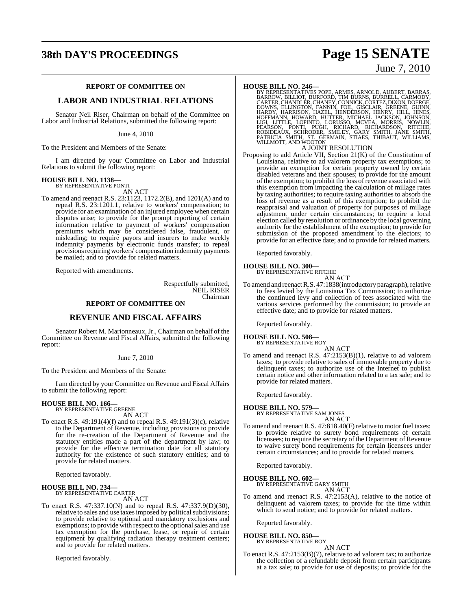## **REPORT OF COMMITTEE ON**

## **LABOR AND INDUSTRIAL RELATIONS**

Senator Neil Riser, Chairman on behalf of the Committee on Labor and Industrial Relations, submitted the following report:

June 4, 2010

To the President and Members of the Senate:

I am directed by your Committee on Labor and Industrial Relations to submit the following report:

#### **HOUSE BILL NO. 1138—** BY REPRESENTATIVE PONTI

AN ACT

To amend and reenact R.S. 23:1123, 1172.2(E), and 1201(A) and to repeal R.S. 23:1201.1, relative to workers' compensation; to provide for an examination of an injured employee when certain disputes arise; to provide for the prompt reporting of certain information relative to payment of workers' compensation premiums which may be considered false, fraudulent, or misleading; to require payors and insurers to make weekly indemnity payments by electronic funds transfer; to repeal provisions requiring workers' compensation indemnity payments be mailed; and to provide for related matters.

Reported with amendments.

Respectfully submitted, NEIL RISER Chairman

## **REPORT OF COMMITTEE ON**

## **REVENUE AND FISCAL AFFAIRS**

Senator Robert M. Marionneaux, Jr., Chairman on behalf of the Committee on Revenue and Fiscal Affairs, submitted the following report:

## June 7, 2010

To the President and Members of the Senate:

I am directed by your Committee on Revenue and Fiscal Affairs to submit the following report:

## **HOUSE BILL NO. 166—** BY REPRESENTATIVE GREENE

AN ACT

To enact R.S. 49:191(4)(f) and to repeal R.S. 49:191(3)(c), relative to the Department of Revenue, including provisions to provide for the re-creation of the Department of Revenue and the statutory entities made a part of the department by law; to provide for the effective termination date for all statutory authority for the existence of such statutory entities; and to provide for related matters.

Reported favorably.

## **HOUSE BILL NO. 234—** BY REPRESENTATIVE CARTER

AN ACT

To enact R.S. 47:337.10(N) and to repeal R.S. 47:337.9(D)(30), relative to sales and use taxes imposed by political subdivisions; to provide relative to optional and mandatory exclusions and exemptions; to provide with respect to the optional sales and use tax exemption for the purchase, lease, or repair of certain equipment by qualifying radiation therapy treatment centers; and to provide for related matters.

Reported favorably.

## **38th DAY'S PROCEEDINGS Page 15 SENATE** June 7, 2010

HOUSE BILL NO. 246—<br>BY REPRESENTATIVES POPE, ARMES, ARNOLD, AUBERT, BARRAS, BARROW, BILLIOT, BURFORD, TIM BURNS, BURRELL, CARMODY,<br>CARTER, CHANDLER, CHANEY, CONNICK, CORTEZ, DIXON, DOERGE,<br>DOWNS, ELLINGTON, FANNIN, FOIL, G

## A JOINT RESOLUTION

Proposing to add Article VII, Section 21(K) of the Constitution of Louisiana, relative to ad valorem property tax exemptions; to provide an exemption for certain property owned by certain disabled veterans and their spouses; to provide for the amount of the exemption; to prohibit the loss of revenue associated with this exemption from impacting the calculation of millage rates by taxing authorities; to require taxing authorities to absorb the loss of revenue as a result of this exemption; to prohibit the reappraisal and valuation of property for purposes of millage adjustment under certain circumstances; to require a local election called by resolution or ordinance by the local governing authority for the establishment of the exemption; to provide for submission of the proposed amendment to the electors; to provide for an effective date; and to provide for related matters.

Reported favorably.

#### **HOUSE BILL NO. 300—** BY REPRESENTATIVE RITCHIE

AN ACT

To amend and reenact R.S. 47:1838(introductory paragraph), relative to fees levied by the Louisiana Tax Commission; to authorize the continued levy and collection of fees associated with the various services performed by the commission; to provide an effective date; and to provide for related matters.

Reported favorably.

## **HOUSE BILL NO. 508—** BY REPRESENTATIVE ROY

AN ACT

To amend and reenact R.S. 47:2153(B)(1), relative to ad valorem taxes; to provide relative to sales of immovable property due to delinquent taxes; to authorize use of the Internet to publish certain notice and other information related to a tax sale; and to provide for related matters.

Reported favorably.

**HOUSE BILL NO. 579—** BY REPRESENTATIVE SAM JONES

## AN ACT

To amend and reenact R.S. 47:818.40(F) relative to motor fuel taxes; to provide relative to surety bond requirements of certain licensees; to require the secretary of the Department of Revenue to waive surety bond requirements for certain licensees under certain circumstances; and to provide for related matters.

Reported favorably.

## **HOUSE BILL NO. 602—** BY REPRESENTATIVE GARY SMITH

AN ACT

To amend and reenact R.S. 47:2153(A), relative to the notice of delinquent ad valorem taxes; to provide for the time within which to send notice; and to provide for related matters.

Reported favorably.

### **HOUSE BILL NO. 850—** BY REPRESENTATIVE ROY

AN ACT

To enact R.S. 47:2153(B)(7), relative to ad valorem tax; to authorize the collection of a refundable deposit from certain participants at a tax sale; to provide for use of deposits; to provide for the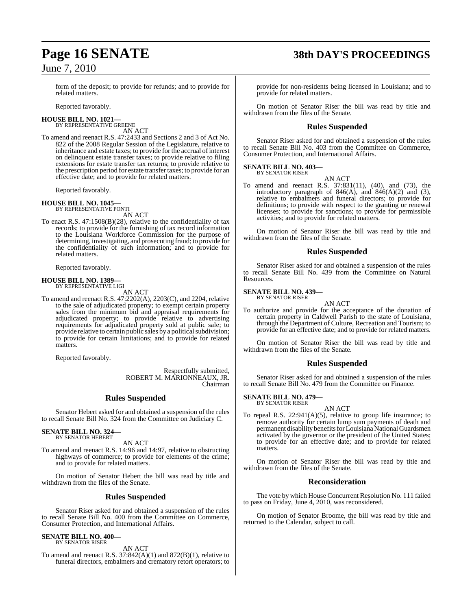form of the deposit; to provide for refunds; and to provide for related matters.

Reported favorably.

## **HOUSE BILL NO. 1021—** BY REPRESENTATIVE GREENE

AN ACT

To amend and reenact R.S. 47:2433 and Sections 2 and 3 of Act No. 822 of the 2008 Regular Session of the Legislature, relative to inheritance and estate taxes; to provide for the accrual of interest on delinquent estate transfer taxes; to provide relative to filing extensions for estate transfer tax returns; to provide relative to the prescription period for estate transfer taxes; to provide for an effective date; and to provide for related matters.

Reported favorably.

#### **HOUSE BILL NO. 1045—** BY REPRESENTATIVE PONTI

AN ACT

To enact R.S. 47:1508(B)(28), relative to the confidentiality of tax records; to provide for the furnishing of tax record information to the Louisiana Workforce Commission for the purpose of determining, investigating, and prosecuting fraud; to provide for the confidentiality of such information; and to provide for related matters.

Reported favorably.

### **HOUSE BILL NO. 1389—** BY REPRESENTATIVE LIGI

AN ACT

To amend and reenact R.S. 47:2202(A), 2203(C), and 2204, relative to the sale of adjudicated property; to exempt certain property sales from the minimum bid and appraisal requirements for adjudicated property; to provide relative to advertising requirements for adjudicated property sold at public sale; to provide relative to certain public sales by a political subdivision; to provide for certain limitations; and to provide for related matters.

Reported favorably.

Respectfully submitted, ROBERT M. MARIONNEAUX, JR. Chairman

## **Rules Suspended**

Senator Hebert asked for and obtained a suspension of the rules to recall Senate Bill No. 324 from the Committee on Judiciary C.

## **SENATE BILL NO. 324—** BY SENATOR HEBERT

AN ACT

To amend and reenact R.S. 14:96 and 14:97, relative to obstructing highways of commerce; to provide for elements of the crime; and to provide for related matters.

On motion of Senator Hebert the bill was read by title and withdrawn from the files of the Senate.

## **Rules Suspended**

Senator Riser asked for and obtained a suspension of the rules to recall Senate Bill No. 400 from the Committee on Commerce, Consumer Protection, and International Affairs.

#### **SENATE BILL NO. 400—** BY SENATOR RISER

AN ACT

To amend and reenact R.S.  $37:842(A)(1)$  and  $872(B)(1)$ , relative to funeral directors, embalmers and crematory retort operators; to

## **Page 16 SENATE 38th DAY'S PROCEEDINGS**

provide for non-residents being licensed in Louisiana; and to provide for related matters.

On motion of Senator Riser the bill was read by title and withdrawn from the files of the Senate.

## **Rules Suspended**

Senator Riser asked for and obtained a suspension of the rules to recall Senate Bill No. 403 from the Committee on Commerce, Consumer Protection, and International Affairs.

#### **SENATE BILL NO. 403—** BY SENATOR RISER

AN ACT

To amend and reenact R.S. 37:831(11), (40), and (73), the introductory paragraph of  $846(A)$ , and  $846(A)(2)$  and  $(3)$ , relative to embalmers and funeral directors; to provide for definitions; to provide with respect to the granting or renewal licenses; to provide for sanctions; to provide for permissible activities; and to provide for related matters.

On motion of Senator Riser the bill was read by title and withdrawn from the files of the Senate.

## **Rules Suspended**

Senator Riser asked for and obtained a suspension of the rules to recall Senate Bill No. 439 from the Committee on Natural Resources.

#### **SENATE BILL NO. 439—** BY SENATOR RISER

AN ACT

To authorize and provide for the acceptance of the donation of certain property in Caldwell Parish to the state of Louisiana, through the Department of Culture, Recreation and Tourism; to provide for an effective date; and to provide for related matters.

On motion of Senator Riser the bill was read by title and withdrawn from the files of the Senate.

## **Rules Suspended**

Senator Riser asked for and obtained a suspension of the rules to recall Senate Bill No. 479 from the Committee on Finance.

## **SENATE BILL NO. 479—** BY SENATOR RISER

AN ACT

To repeal R.S. 22:941(A)(5), relative to group life insurance; to remove authority for certain lump sum payments of death and permanent disability benefits for Louisiana National Guardsmen activated by the governor or the president of the United States; to provide for an effective date; and to provide for related matters.

On motion of Senator Riser the bill was read by title and withdrawn from the files of the Senate.

## **Reconsideration**

The vote by which House Concurrent Resolution No. 111 failed to pass on Friday, June 4, 2010, was reconsidered.

On motion of Senator Broome, the bill was read by title and returned to the Calendar, subject to call.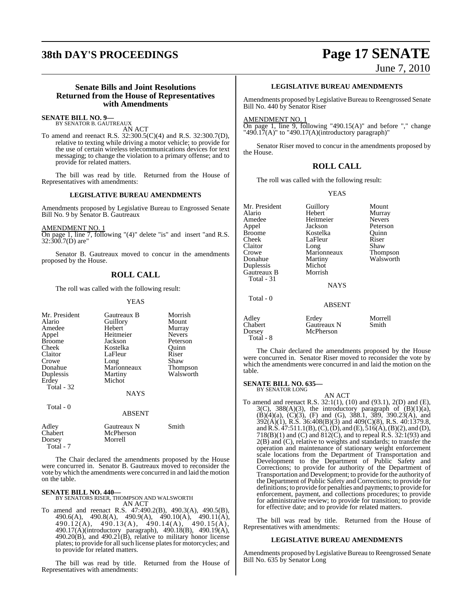## **38th DAY'S PROCEEDINGS Page 17 SENATE**

## June 7, 2010

## **Senate Bills and Joint Resolutions Returned from the House of Representatives with Amendments**

## **SENATE BILL NO. 9—** BY SENATOR B. GAUTREAUX

AN ACT

To amend and reenact R.S. 32:300.5(C)(4) and R.S. 32:300.7(D), relative to texting while driving a motor vehicle; to provide for the use of certain wireless telecommunications devices for text messaging; to change the violation to a primary offense; and to provide for related matters.

The bill was read by title. Returned from the House of Representatives with amendments:

### **LEGISLATIVE BUREAU AMENDMENTS**

Amendments proposed by Legislative Bureau to Engrossed Senate Bill No. 9 by Senator B. Gautreaux

AMENDMENT NO. 1

On page 1, line 7, following "(4)" delete "is" and insert "and R.S. 32:300.7(D) are"

Senator B. Gautreaux moved to concur in the amendments proposed by the House.

## **ROLL CALL**

The roll was called with the following result:

### YEAS

| Mr. President<br>Alario<br>Amedee<br>Appel<br><b>Broome</b><br>Cheek<br>Claitor<br>Crowe<br>Donahue<br>Duplessis<br>Erdey<br>Total - 32 | Gautreaux B<br>Guillory<br>Hebert<br>Heitmeier<br>Jackson<br>Kostelka<br>LaFleur<br>Long<br>Marionneaux<br>Martiny<br>Michot<br>NAYS | Morrish<br>Mount<br>Murray<br><b>Nevers</b><br>Peterson<br>Ouinn<br>Riser<br>Shaw<br>Thompson<br>Walsworth |
|-----------------------------------------------------------------------------------------------------------------------------------------|--------------------------------------------------------------------------------------------------------------------------------------|------------------------------------------------------------------------------------------------------------|
| Total - 0                                                                                                                               | <b>ABSENT</b>                                                                                                                        |                                                                                                            |
| Adley<br>Chabert<br>Dorsey<br>Total - 7                                                                                                 | Gautreaux N<br>McPherson<br>Morrell                                                                                                  | Smith                                                                                                      |

The Chair declared the amendments proposed by the House were concurred in. Senator B. Gautreaux moved to reconsider the vote by which the amendments were concurred in and laid the motion on the table.

## **SENATE BILL NO. 440—**

BY SENATORS RISER, THOMPSON AND WALSWORTH AN ACT

To amend and reenact R.S. 47:490.2(B), 490.3(A), 490.5(B), 490.6(A), 490.8(A), 490.9(A), 490.10(A), 490.11(A), 490.12(A), 490.13(A), 490.14(A), 490.15(A), 490.17(A)(introductory paragraph), 490.18(B), 490.19(A), 490.20(B), and 490.21(B), relative to military honor license plates; to provide for all such license plates for motorcycles; and to provide for related matters.

The bill was read by title. Returned from the House of Representatives with amendments:

## **LEGISLATIVE BUREAU AMENDMENTS**

Amendments proposed by Legislative Bureau to Reengrossed Senate Bill No. 440 by Senator Riser

### AMENDMENT NO. 1

On page 1, line 9, following "490.15(A)" and before "," change "490.17(A)" to "490.17(A)(introductory paragraph)"

Senator Riser moved to concur in the amendments proposed by the House.

## **ROLL CALL**

The roll was called with the following result:

## YEAS

Mr. President Guillory Mount<br>Alario Hebert Murray Alario Hebert Murray Heitmeier Nevers<br>Iackson Peterson Appel Broome Kostelka Quinn<br>Cheek LaFleur Riser Cheek LaFleur Riser<br>Claitor Long Shaw Claitor Long Shaw<br>Crowe Marionneaux Thompson Crowe Marionneaux Thompson<br>
Donahue Martiny Walsworth Martiny<br>Michot Duplessis Michot Gautreaux B Total - 31 **NAYS**  Total - 0 ABSENT Adley Erdey Morrell<br>
Chabert Gautreaux N Smith Chabert Gautreaux N<br>
Dorsey McPherson McPherson

The Chair declared the amendments proposed by the House were concurred in. Senator Riser moved to reconsider the vote by which the amendments were concurred in and laid the motion on the table.

#### **SENATE BILL NO. 635—** BY SENATOR LONG

Total - 8

AN ACT

To amend and reenact R.S. 32:1(1), (10) and (93.1), 2(D) and (E),  $3(C)$ ,  $388(A)(3)$ , the introductory paragraph of  $(B)(1)(a)$ , (B)(4)(a), (C)(3), (F) and (G), 388.1, 389, 390.23(A), and 392(A)(1), R.S. 36:408(B)(3) and 409(C)(8), R.S. 40:1379.8, and R.S.  $47:511.1(B)$ , (C), (D), and (E),  $516(A)$ , (B)(2), and (D), 718(B)(1) and (C) and 812(C), and to repeal R.S. 32:1(93) and  $2(B)$  and (C), relative to weights and standards; to transfer the operation and maintenance of stationary weight enforcement scale locations from the Department of Transportation and Development to the Department of Public Safety and Corrections; to provide for authority of the Department of Transportation and Development; to provide for the authority of the Department of Public Safety and Corrections; to provide for definitions; to provide for penalties and payments; to provide for enforcement, payment, and collections procedures; to provide for administrative review; to provide for transition; to provide for effective date; and to provide for related matters.

The bill was read by title. Returned from the House of Representatives with amendments:

## **LEGISLATIVE BUREAU AMENDMENTS**

Amendments proposed by Legislative Bureau to Reengrossed Senate Bill No. 635 by Senator Long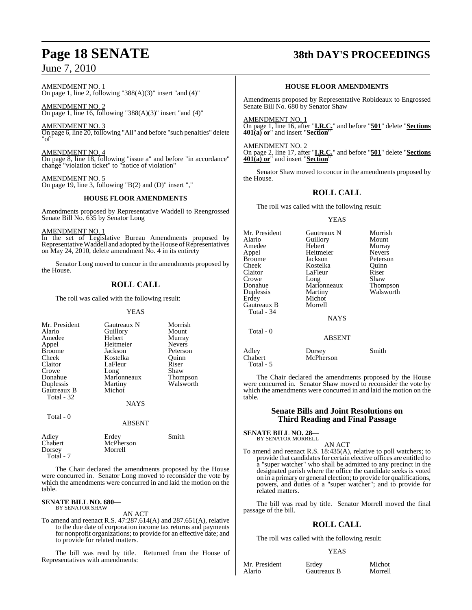AMENDMENT NO. 1 On page 1, line 2, following "388 $(A)(3)$ " insert "and  $(4)$ "

AMENDMENT NO. 2 On page 1, line 16, following "388(A)(3)" insert "and  $(4)$ "

AMENDMENT NO. 3 On page 6, line 20, following "All" and before "such penalties" delete "of"

AMENDMENT NO. 4 On page 8, line 18, following "issue a" and before "in accordance" change "violation ticket" to "notice of violation"

AMENDMENT NO. 5 On page 19, line 3, following "B(2) and (D)" insert ","

## **HOUSE FLOOR AMENDMENTS**

Amendments proposed by Representative Waddell to Reengrossed Senate Bill No. 635 by Senator Long

AMENDMENT NO. 1

In the set of Legislative Bureau Amendments proposed by Representative Waddell and adopted by the House of Representatives on May 24, 2010, delete amendment No. 4 in its entirety

Senator Long moved to concur in the amendments proposed by the House.

## **ROLL CALL**

The roll was called with the following result:

## YEAS

| Mr. President | Gautreaux N         | Morrish         |
|---------------|---------------------|-----------------|
| Alario        | Guillory            | Mount           |
| Amedee        | Hebert              | Murray          |
| Appel         | Heitmeier           | <b>Nevers</b>   |
| <b>Broome</b> | Jackson             | Peterson        |
| Cheek         | Kostelka            | Ouinn           |
| Claitor       | LaFleur             | Riser           |
| Crowe         |                     | Shaw            |
| Donahue       | Long<br>Marionneaux | <b>Thompson</b> |
| Duplessis     | Martiny             | Walsworth       |
| Gautreaux B   | Michot              |                 |
| Total - 32    |                     |                 |
|               | NAYS                |                 |
|               |                     |                 |

Total - 0

ABSENT

| Adley<br>Chabert | Erdev<br>McPherson | Smith |
|------------------|--------------------|-------|
| Dorsey           | Morrell            |       |
| Total - 7        |                    |       |

The Chair declared the amendments proposed by the House were concurred in. Senator Long moved to reconsider the vote by which the amendments were concurred in and laid the motion on the table.

#### **SENATE BILL NO. 680—** BY SENATOR SHAW

## AN ACT

To amend and reenact R.S. 47:287.614(A) and 287.651(A), relative to the due date of corporation income tax returns and payments for nonprofit organizations; to provide for an effective date; and to provide for related matters.

The bill was read by title. Returned from the House of Representatives with amendments:

## **Page 18 SENATE 38th DAY'S PROCEEDINGS**

## **HOUSE FLOOR AMENDMENTS**

Amendments proposed by Representative Robideaux to Engrossed Senate Bill No. 680 by Senator Shaw

AMENDMENT NO. 1 On page 1, line 16, after "**I.R.C.**" and before "**501**" delete "**Sections 401(a) or**" and insert "**Section**"

AMENDMENT NO. 2 On page 2, line 17, after "**I.R.C.**" and before "**501**" delete "**Sections 401(a) or**" and insert "**Section**"

Senator Shaw moved to concur in the amendments proposed by the House.

## **ROLL CALL**

The roll was called with the following result:

## YEAS

Mr. President Gautreaux N Morrish<br>Alario Guillory Mount Alario Guillory<br>
Hebert Murray Amedee Hebert Murray<br>Appel Heitmeier Nevers Appel Heitmeier Nevers Broome Jackson Peterson<br>Cheek Kostelka Quinn Cheek Kostelka Quinn Claitor LaFleur Riser<br>Crowe Long Shaw Crowe Long<br>Donahue Maric Donahue Marionneaux Thompson Duplessis Martiny Walsworth Michot<br>Morrell Gautreaux B Total - 34 **NAVS**  Total - 0 ABSENT Adley Dorsey Smith<br>Chabert McPherson Smith McPherson

 Total - 5 The Chair declared the amendments proposed by the House were concurred in. Senator Shaw moved to reconsider the vote by which the amendments were concurred in and laid the motion on the

## **Senate Bills and Joint Resolutions on Third Reading and Final Passage**

**SENATE BILL NO. 28—**

table.

BY SENATOR MORRELL AN ACT

To amend and reenact R.S. 18:435(A), relative to poll watchers; to provide that candidates for certain elective offices are entitled to a "super watcher" who shall be admitted to any precinct in the designated parish where the office the candidate seeks is voted on in a primary or general election; to provide for qualifications, powers, and duties of a "super watcher"; and to provide for related matters.

The bill was read by title. Senator Morrell moved the final passage of the bill.

## **ROLL CALL**

The roll was called with the following result:

## YEAS

Mr. President Erdey Michot<br>Alario Gautreaux B Morrell

Gautreaux B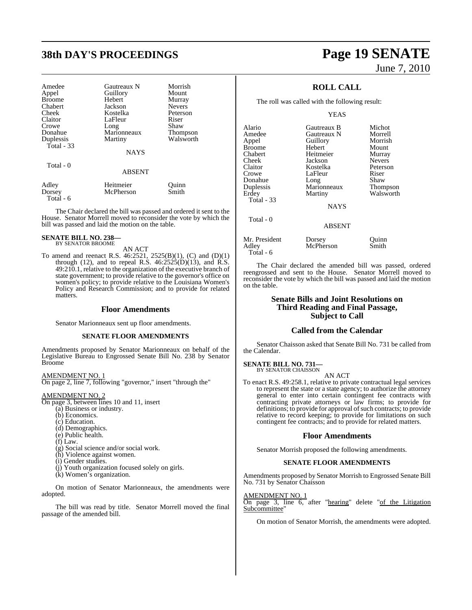## **38th DAY'S PROCEEDINGS Page 19 SENATE**

| Amedee<br>Appel<br><b>Broome</b><br>Chabert<br>Cheek<br>Claitor | Gautreaux N<br>Guillory<br>Hebert<br>Jackson<br>Kostelka<br>LaFleur | Morrish<br>Mount<br>Murray<br><b>Nevers</b><br>Peterson<br>Riser |
|-----------------------------------------------------------------|---------------------------------------------------------------------|------------------------------------------------------------------|
| Crowe                                                           | Long                                                                | Shaw                                                             |
| Donahue                                                         | Marionneaux                                                         | Thompson                                                         |
| Duplessis                                                       | Martiny                                                             | Walsworth                                                        |
| Total $-33$                                                     | <b>NAYS</b>                                                         |                                                                  |
| Total $-0$                                                      | <b>ABSENT</b>                                                       |                                                                  |
| Adley<br>Dorsey<br>Total - 6                                    | Heitmeier<br>McPherson                                              | Quinn<br>Smith                                                   |

The Chair declared the bill was passed and ordered it sent to the House. Senator Morrell moved to reconsider the vote by which the bill was passed and laid the motion on the table.

#### **SENATE BILL NO. 238—** BY SENATOR BROOME

AN ACT

To amend and reenact R.S. 46:2521, 2525(B)(1), (C) and (D)(1) through (12), and to repeal R.S.  $46:2525(D)(13)$ , and R.S.  $49:210.1$ , relative to the organization of the executive branch of state government; to provide relative to the governor's office on women's policy; to provide relative to the Louisiana Women's Policy and Research Commission; and to provide for related matters.

## **Floor Amendments**

Senator Marionneaux sent up floor amendments.

## **SENATE FLOOR AMENDMENTS**

Amendments proposed by Senator Marionneaux on behalf of the Legislative Bureau to Engrossed Senate Bill No. 238 by Senator Broome

AMENDMENT NO. 1

On page 2, line 7, following "governor," insert "through the"

## AMENDMENT NO. 2

- On page 3, between lines 10 and 11, insert
	- (a) Business or industry.
	- (b) Economics.
	- (c) Education.
	- (d) Demographics.
	- (e) Public health.
	- $(f)$  Law.
	- (g) Social science and/or social work.
	- (h) Violence against women.
	- (i) Gender studies.
	- (j) Youth organization focused solely on girls.
	- (k) Women's organization.

On motion of Senator Marionneaux, the amendments were adopted.

The bill was read by title. Senator Morrell moved the final passage of the amended bill.

# June 7, 2010

## **ROLL CALL**

The roll was called with the following result:

### YEAS

| Alario            | Gautreaux B   | Michot          |
|-------------------|---------------|-----------------|
| Amedee            | Gautreaux N   | Morrell         |
| Appel             | Guillory      | Morrish         |
| <b>Broome</b>     | Hebert        | Mount           |
| Chabert           | Heitmeier     | Murray          |
| Cheek             | Jackson       | <b>Nevers</b>   |
| Claitor           | Kostelka      | Peterson        |
| Crowe             | LaFleur       | Riser           |
| Donahue           | Long          | Shaw            |
| Duplessis         | Marionneaux   | <b>Thompson</b> |
| Erdey             | Martiny       | Walsworth       |
| <b>Total - 33</b> | <b>NAYS</b>   |                 |
| Total - 0         | <b>ABSENT</b> |                 |
| Mr. President     | Dorsey        | Ouinn           |
| Adley             | McPherson     | Smith           |

The Chair declared the amended bill was passed, ordered reengrossed and sent to the House. Senator Morrell moved to reconsider the vote by which the bill was passed and laid the motion on the table.

## **Senate Bills and Joint Resolutions on Third Reading and Final Passage, Subject to Call**

## **Called from the Calendar**

Senator Chaisson asked that Senate Bill No. 731 be called from the Calendar.

## **SENATE BILL NO. 731—** BY SENATOR CHAISSON

Total - 6

AN ACT

To enact R.S. 49:258.1, relative to private contractual legal services to represent the state or a state agency; to authorize the attorney general to enter into certain contingent fee contracts with contracting private attorneys or law firms; to provide for definitions; to provide for approval of such contracts; to provide relative to record keeping; to provide for limitations on such contingent fee contracts; and to provide for related matters.

## **Floor Amendments**

Senator Morrish proposed the following amendments.

## **SENATE FLOOR AMENDMENTS**

Amendments proposed by Senator Morrish to Engrossed Senate Bill No. 731 by Senator Chaisson

### AMENDMENT NO. 1

On page 3, line 6, after "hearing" delete "of the Litigation Subcommittee"

On motion of Senator Morrish, the amendments were adopted.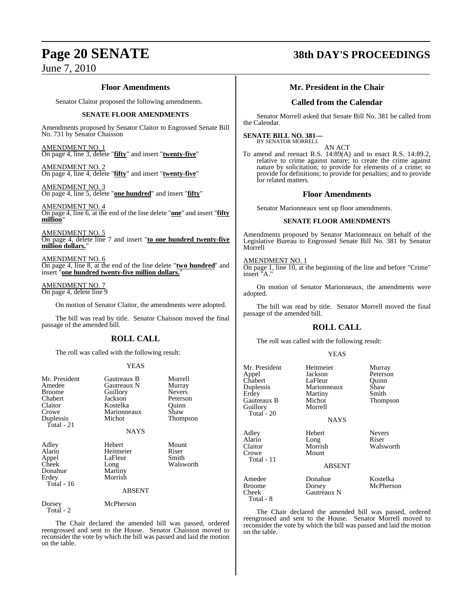## **Floor Amendments**

Senator Claitor proposed the following amendments.

## **SENATE FLOOR AMENDMENTS**

Amendments proposed by Senator Claitor to Engrossed Senate Bill No. 731 by Senator Chaisson

AMENDMENT NO. 1 On page 4, line 3, delete "**fifty**" and insert "**twenty-five**"

AMENDMENT NO. 2 On page 4, line 4, delete "**fifty**" and insert "**twenty-five**"

AMENDMENT NO. 3 On page 4, line 5, delete "**one hundred**" and insert "**fifty**"

AMENDMENT NO. 4 On page 4, line 6, at the end of the line delete "**one**" and insert "**fifty million**"

AMENDMENT NO. 5 On page 4, delete line 7 and insert "**to one hundred twenty-five million dollars.**"

AMENDMENT NO. 6 On page 4, line 8, at the end of the line delete "**two hundred**" and insert "**one hundred twenty-five million dollars.**"

AMENDMENT NO. 7 On page 4, delete line 9

On motion of Senator Claitor, the amendments were adopted.

The bill was read by title. Senator Chaisson moved the final passage of the amended bill.

## **ROLL CALL**

The roll was called with the following result:

## YEAS

| Mr. President<br>Amedee<br><b>Broome</b><br>Chabert<br>Claitor<br>Crowe<br>Duplessis<br>Total - 21 | Gautreaux B<br>Gautreaux N<br>Guillory<br>Jackson<br>Kostelka<br>Marionneaux<br>Michot<br><b>NAYS</b> | Morrell<br>Murray<br><b>Nevers</b><br>Peterson<br>Ouinn<br>Shaw<br>Thompson |
|----------------------------------------------------------------------------------------------------|-------------------------------------------------------------------------------------------------------|-----------------------------------------------------------------------------|
| Adley<br>Alario<br>Appel<br>Cheek<br>Donahue<br>Erdey<br>Total - 16                                | Hebert<br>Heitmeier<br>LaFleur<br>Long<br>Martiny<br>Morrish<br><b>ABSENT</b>                         | Mount<br>Riser<br>Smith<br>Walsworth                                        |
| Dorsey<br>Total - 2                                                                                | McPherson                                                                                             |                                                                             |

The Chair declared the amended bill was passed, ordered reengrossed and sent to the House. Senator Chaisson moved to reconsider the vote by which the bill was passed and laid the motion on the table.

## **Page 20 SENATE 38th DAY'S PROCEEDINGS**

## **Mr. President in the Chair**

## **Called from the Calendar**

Senator Morrell asked that Senate Bill No. 381 be called from the Calendar.

#### **SENATE BILL NO. 381—** BY SENATOR MORRELL

AN ACT To amend and reenact R.S. 14:89(A) and to enact R.S. 14:89.2, relative to crime against nature; to create the crime against

nature by solicitation; to provide for elements of a crime; to provide for definitions; to provide for penalties; and to provide for related matters.

## **Floor Amendments**

Senator Marionneaux sent up floor amendments.

## **SENATE FLOOR AMENDMENTS**

Amendments proposed by Senator Marionneaux on behalf of the Legislative Bureau to Engrossed Senate Bill No. 381 by Senator Morrell

## AMENDMENT NO. 1

On page 1, line 10, at the beginning of the line and before "Crime" insert "A."

On motion of Senator Marionneaux, the amendments were adopted.

The bill was read by title. Senator Morrell moved the final passage of the amended bill.

## **ROLL CALL**

The roll was called with the following result:

|--|

| Mr. President<br>Appel<br>Chabert<br>Duplessis<br>Erdey<br>Gautreaux B<br>Guillory<br>Total - 20 | Heitmeier<br>Jackson<br>LaFleur<br>Marionneaux<br>Martiny<br>Michot<br>Morrell<br><b>NAYS</b> | Murray<br>Peterson<br>Quinn<br>Shaw<br>Smith<br>Thompson |
|--------------------------------------------------------------------------------------------------|-----------------------------------------------------------------------------------------------|----------------------------------------------------------|
| Adley<br>Alario<br>Claitor<br>Crowe<br>Total - 11                                                | Hebert<br>Long<br>Morrish<br>Mount<br><b>ABSENT</b>                                           | <b>Nevers</b><br>Riser<br>Walsworth                      |
| Amedee<br>Broome<br>Cheek<br>Total - 8                                                           | Donahue<br>Dorsey<br>Gautreaux N                                                              | Kostelka<br>McPherson                                    |

The Chair declared the amended bill was passed, ordered reengrossed and sent to the House. Senator Morrell moved to reconsider the vote by which the bill was passed and laid the motion on the table.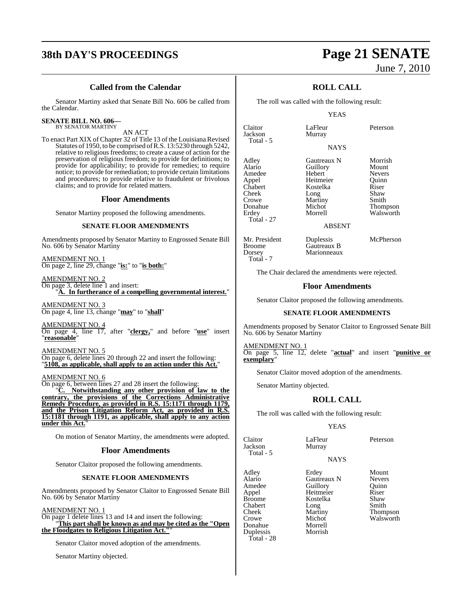## **38th DAY'S PROCEEDINGS Page 21 SENATE**

## **Called from the Calendar**

Senator Martiny asked that Senate Bill No. 606 be called from the Calendar.

## **SENATE BILL NO. 606—**

BY SENATOR MARTINY

AN ACT To enact Part XIX of Chapter 32 of Title 13 of the Louisiana Revised Statutes of 1950, to be comprised ofR.S. 13:5230 through 5242, relative to religious freedoms; to create a cause of action for the preservation of religious freedom; to provide for definitions; to provide for applicability; to provide for remedies; to require notice; to provide for remediation; to provide certain limitations and procedures; to provide relative to fraudulent or frivolous claims; and to provide for related matters.

## **Floor Amendments**

Senator Martiny proposed the following amendments.

## **SENATE FLOOR AMENDMENTS**

Amendments proposed by Senator Martiny to Engrossed Senate Bill No. 606 by Senator Martiny

AMENDMENT NO. 1 On page 2, line 29, change "**is:**" to "**is both:**"

AMENDMENT NO. 2 On page 3, delete line 1 and insert: A. In furtherance of a compelling governmental interest."

AMENDMENT NO. 3 On page 4, line 13, change "**may**" to "**shall**"

AMENDMENT NO. 4 On page 4, line 17, after "**clergy,**" and before "**use**" insert "**reasonable**"

AMENDMENT NO. 5

On page 6, delete lines 20 through 22 and insert the following: "**5108, as applicable, shall apply to an action under this Act.**"

## AMENDMENT NO. 6

On page 6, between lines 27 and 28 insert the following:

Notwithstanding any other provision of law to the **contrary, the provisions of the Corrections Administrative Remedy Procedure, as provided in R.S. 15:1171 through 1179, and the Prison Litigation Reform Act, as provided in R.S. 15:1181 through 1191, as applicable, shall apply to any action under this Act.**"

On motion of Senator Martiny, the amendments were adopted.

## **Floor Amendments**

Senator Claitor proposed the following amendments.

## **SENATE FLOOR AMENDMENTS**

Amendments proposed by Senator Claitor to Engrossed Senate Bill No. 606 by Senator Martiny

AMENDMENT NO. 1

On page 1 delete lines 13 and 14 and insert the following: "**This part shall be known as and may be cited as the "Open the Floodgates to Religious Litigation Act."**"

Senator Claitor moved adoption of the amendments.

Senator Martiny objected.

# June 7, 2010

## **ROLL CALL**

The roll was called with the following result:

YEAS

**NAYS** 

Claitor LaFleur Peterson Jackson Total - 5

Adley Gautreaux N Morrish Amedee Hebert Nevers Appel Heitmeier Quinn Chabert **Kostelka** Riser<br>Cheek Long Shaw Cheek Long Shaw<br>Crowe Martiny Smith Crowe Martiny<br>
Donahue Michot Donahue Michot Thompson<br>
Erdey Morrell Walsworth Total - 27

Alario Guillory<br>
Hebert Meyers Walsworth

ABSENT

Mr. President Duplessis McPherson<br>Broome Gautreaux B Broome Gautreaux B<br>
Dorsey Marionneaux Total - 7

The Chair declared the amendments were rejected.

Marionneaux

## **Floor Amendments**

Senator Claitor proposed the following amendments.

## **SENATE FLOOR AMENDMENTS**

Amendments proposed by Senator Claitor to Engrossed Senate Bill No. 606 by Senator Martiny

AMENDMENT NO. 1 On page 5, line 12, delete "**actual**" and insert "**punitive or exemplary**"

Senator Claitor moved adoption of the amendments.

Senator Martiny objected.

## **ROLL CALL**

The roll was called with the following result:

## YEAS

| Claitor<br>Jackson<br>Total - 5 | LaFleur<br>Murray | Peterson        |
|---------------------------------|-------------------|-----------------|
|                                 | <b>NAYS</b>       |                 |
| Adley                           | Erdey             | Mount           |
| Alario                          | Gautreaux N       | <b>Nevers</b>   |
| Amedee                          | Guillory          | Ouinn           |
| Appel                           | Heitmeier         | Riser           |
| <b>Broome</b>                   | Kostelka          | Shaw            |
| Chabert                         | Long              | Smith           |
| Cheek                           | Martiny           | <b>Thompson</b> |
| Crowe                           | Michot            | Walsworth       |
| Donahue                         | Morrell           |                 |

Total - 5

Total - 28

Duplessis Morrish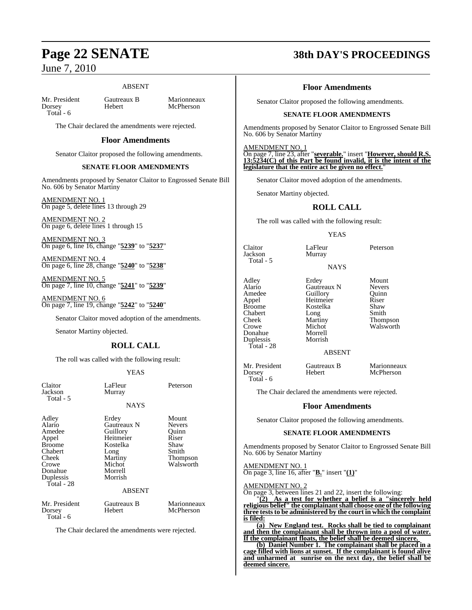## ABSENT

Mr. President Gautreaux B Marionneaux<br>
Dorsey Hebert McPherson Total - 6

McPherson

The Chair declared the amendments were rejected.

## **Floor Amendments**

Senator Claitor proposed the following amendments.

## **SENATE FLOOR AMENDMENTS**

Amendments proposed by Senator Claitor to Engrossed Senate Bill No. 606 by Senator Martiny

AMENDMENT NO. 1 On page 5, delete lines 13 through 29

AMENDMENT NO. 2 On page 6, delete lines 1 through 15

AMENDMENT NO. 3 On page 6, line 16, change "**5239**" to "**5237**"

AMENDMENT NO. 4 On page 6, line 28, change "**5240**" to "**5238**"

AMENDMENT NO. 5 On page 7, line 10, change "**5241**" to "**5239**"

AMENDMENT NO. 6 On page 7, line 19, change "**5242**" to "**5240**"

Senator Claitor moved adoption of the amendments.

Senator Martiny objected.

## **ROLL CALL**

The roll was called with the following result:

## YEAS

| Claitor<br>Jackson<br>Total - 5                                                                                        | LaFleur<br>Murray                                                                                            | Peterson                                                                           |
|------------------------------------------------------------------------------------------------------------------------|--------------------------------------------------------------------------------------------------------------|------------------------------------------------------------------------------------|
|                                                                                                                        | <b>NAYS</b>                                                                                                  |                                                                                    |
| Adley<br>Alario<br>Amedee<br>Appel<br><b>Broome</b><br>Chabert<br>Cheek<br>Crowe<br>Donahue<br>Duplessis<br>Total - 28 | Erdey<br>Gautreaux N<br>Guillory<br>Heitmeier<br>Kostelka<br>Long<br>Martiny<br>Michot<br>Morrell<br>Morrish | Mount<br><b>Nevers</b><br>Ouinn<br>Riser<br>Shaw<br>Smith<br>Thompson<br>Walsworth |
|                                                                                                                        | <b>ABSENT</b>                                                                                                |                                                                                    |
| Mr. President<br>Dorsey<br>Total - 6                                                                                   | Gautreaux B<br>Hebert                                                                                        | Marionneaux<br>McPherson                                                           |
| The Chair declared the amendments were rejected.                                                                       |                                                                                                              |                                                                                    |

**Page 22 SENATE 38th DAY'S PROCEEDINGS**

## **Floor Amendments**

Senator Claitor proposed the following amendments.

## **SENATE FLOOR AMENDMENTS**

Amendments proposed by Senator Claitor to Engrossed Senate Bill No. 606 by Senator Martiny

AMENDMENT NO. 1

On page 7, line 23, after "**severable.**" insert "**However, should R.S. 13:5234(C) of this Part be found invalid, it is the intent of the legislature that the entire act be given no effect.**"

Senator Claitor moved adoption of the amendments.

Senator Martiny objected.

## **ROLL CALL**

The roll was called with the following result:

## YEAS

Claitor LaFleur Peterson Murray NAYS

Total - 5

Duplessis Total - 28

Chabert Long<br>
Cheek Martiny Donahue Morrell

Adley Erdey Mount Alario Gautreaux N Nevers<br>Amedee Guillory Quinn Amedee Guillory Quinn<br>
Appel Heitmeier Riser Appel Heitmeier Riser Kostelka Shaw<br>Long Smith Cheek Martiny Thompson<br>Crowe Michot Walsworth Michot Walsworth<br>Morrell

ABSENT

| Mr. President | Gautreaux B | Marionneaux |
|---------------|-------------|-------------|
| Dorsey        | Hebert      | McPherson   |
| Total - $6$   |             |             |

The Chair declared the amendments were rejected.

## **Floor Amendments**

Senator Claitor proposed the following amendments.

## **SENATE FLOOR AMENDMENTS**

Amendments proposed by Senator Claitor to Engrossed Senate Bill No. 606 by Senator Martiny

AMENDMENT NO. 1 On page 3, line 16, after "**B.**" insert "**(1)**"

AMENDMENT NO. 2

On page 3, between lines 21 and 22, insert the following:

"**(2) As a test for whether a belief is a "sincerely held religious belief" the complainantshall choose one of the following three teststo be administered by the court in which the complaint is filed:**

**(a) New England test. Rocks shall be tied to complainant and then the complainant shall be thrown into a pool of water. If the complainant floats, the belief shall be deemed sincere.** 

**(b) Daniel Number 1. The complainant shall be placed in a cage filled with lions at sunset. If the complainant is found alive and unharmed at sunrise on the next day, the belief shall be deemed sincere.**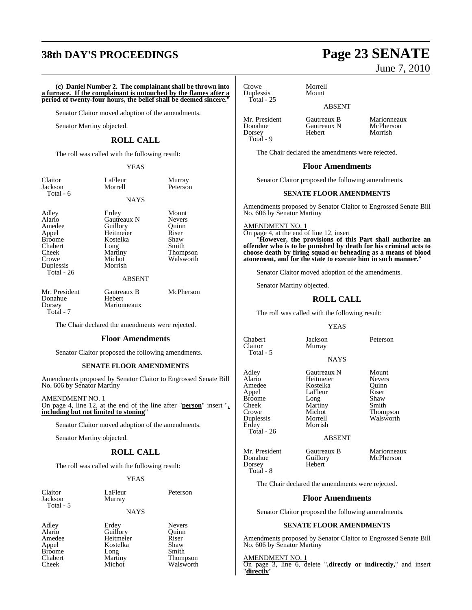## **38th DAY'S PROCEEDINGS Page 23 SENATE**

**(c) Daniel Number 2. The complainant shall be thrown into a furnace. If the complainant is untouched by the flames after a period of twenty-four hours, the belief shall be deemed sincere.**"

Senator Claitor moved adoption of the amendments.

Senator Martiny objected.

## **ROLL CALL**

The roll was called with the following result:

## YEAS

| Claitor   |  |
|-----------|--|
| Jackson   |  |
| Total - 6 |  |

Morrell Peterson **NAYS** 

LaFleur Murray<br>Morrell Peterso

Adley Erdey Mount Duplessis Total - 26

Alario Gautreaux N Nevers Amedee Guillory Ouinn Appel Heitmeier Riser<br>Broome Kostelka Shaw Kostelka Shaw<br>Long Smith Chabert Long<br>
Cheek Martiny Cheek Martiny Thompson<br>Crowe Michot Walsworth Michot Walsworth<br>Morrish

### ABSENT

Mr. President Gautreaux B McPherson<br>Donahue Hebert Donahue<br>Dorsey Total - 7

The Chair declared the amendments were rejected.

Marionneaux

### **Floor Amendments**

Senator Claitor proposed the following amendments.

## **SENATE FLOOR AMENDMENTS**

Amendments proposed by Senator Claitor to Engrossed Senate Bill No. 606 by Senator Martiny

AMENDMENT NO. 1

On page 4, line 12, at the end of the line after "**person**" insert "**, including but not limited to stoning**"

Senator Claitor moved adoption of the amendments.

Senator Martiny objected.

## **ROLL CALL**

The roll was called with the following result:

### YEAS

| Claitor   |  |
|-----------|--|
| Jackson   |  |
| Total - 5 |  |

LaFleur Peterson Murray

Walsworth

### NAYS

Broome Long<br>Chabert Martiny Chabert Martiny Thompson<br>
Cheek Michot Walsworth

Adley Erdey Nevers Alario Guillory Quinn Amedee Heitmeier Riser<br>Appel Kostelka Shaw Appel Kostelka Shaw<br>Broome Long Smith

June 7, 2010

Crowe Morrell<br>Duplessis Mount Duplessis Total - 25

## ABSENT

Mr. President Gautreaux B Marionneaux<br>
Donahue Gautreaux N McPherson Donahue Gautreaux N<br>Dorsey Hebert Total - 9

Morrish

The Chair declared the amendments were rejected.

### **Floor Amendments**

Senator Claitor proposed the following amendments.

## **SENATE FLOOR AMENDMENTS**

Amendments proposed by Senator Claitor to Engrossed Senate Bill No. 606 by Senator Martiny

AMENDMENT NO. 1

On page 4, at the end of line 12, insert

"**However, the provisions of this Part shall authorize an offender who is to be punished by death for his criminal acts to choose death by firing squad or beheading as a means of blood atonement, and for the state to execute him in such manner.**"

Senator Claitor moved adoption of the amendments.

Senator Martiny objected.

## **ROLL CALL**

The roll was called with the following result:

Murray

### **YEAS**

**NAYS** 

Chabert Jackson Peterson Total - 5

Adley Gautreaux N Mount Alario Heitmeier Nevers Amedee Kostelka Quinn

LaFleur Riser<br>Long Shaw

## ABSENT

Dorsey Hebert

McPherson

The Chair declared the amendments were rejected.

## **Floor Amendments**

Senator Claitor proposed the following amendments.

## **SENATE FLOOR AMENDMENTS**

Amendments proposed by Senator Claitor to Engrossed Senate Bill No. 606 by Senator Martiny

AMENDMENT NO. 1 On page 3, line 6, delete "**,directly or indirectly,**" and insert "**directly**"

Broome<br>Cheek Cheek Martiny Smith<br>Crowe Michot Thom Crowe Michot Thompson<br>
Duplessis Morrell Walsworth Duplessis Morrell Walsworth Total - 26

Total - 8

Morrish

Mr. President Gautreaux B Marionneaux<br>
Donahue Guillory McPherson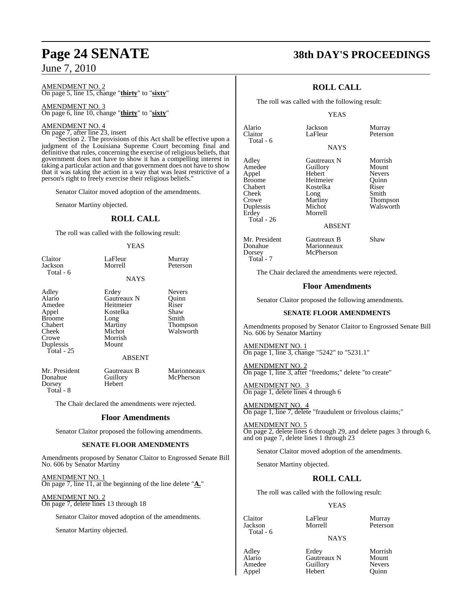### AMENDMENT NO. 2 On page 5, line 15, change "**thirty**" to "**sixty**"

AMENDMENT NO. 3 On page 6, line 10, change "**thirty**" to "**sixty**"

## AMENDMENT NO. 4

On page 7, after line 23, insert "Section 2. The provisions of this Act shall be effective upon a judgment of the Louisiana Supreme Court becoming final and definitive that rules, concerning the exercise of religious beliefs, that government does not have to show it has a compelling interest in taking a particular action and that government does not have to show that it was taking the action in a way that was least restrictive of a

Senator Claitor moved adoption of the amendments.

Senator Martiny objected.

## **ROLL CALL**

The roll was called with the following result:

person's right to freely exercise their religious beliefs."

## YEAS

| Claitor<br>Jackson                                                                                          | LaFleur<br>Morrell                                                                                       | Murray<br>Peterson                                                               |
|-------------------------------------------------------------------------------------------------------------|----------------------------------------------------------------------------------------------------------|----------------------------------------------------------------------------------|
| Total - 6                                                                                                   | <b>NAYS</b>                                                                                              |                                                                                  |
| Adley<br>Alario<br>Amedee<br>Appel<br><b>Broome</b><br>Chabert<br>Cheek<br>Crowe<br>Duplessis<br>Total - 25 | Erdey<br>Gautreaux N<br>Heitmeier<br>Kostelka<br>Long<br>Martiny<br>Michot<br>Morrish<br>Mount<br>ABSENT | <b>Nevers</b><br>Ouinn<br>Riser<br>Shaw<br>Smith<br><b>Thompson</b><br>Walsworth |
| Mr. President<br>Donahue<br>Dorsey<br>Total - 8                                                             | Gautreaux B<br>Guillory<br>Hebert                                                                        | Marionneaux<br>McPherson                                                         |

The Chair declared the amendments were rejected.

## **Floor Amendments**

Senator Claitor proposed the following amendments.

## **SENATE FLOOR AMENDMENTS**

Amendments proposed by Senator Claitor to Engrossed Senate Bill No. 606 by Senator Martiny

AMENDMENT NO. 1 On page 7, line 11, at the beginning of the line delete "**A.**"

AMENDMENT NO. 2 On page 7, delete lines 13 through 18

Senator Claitor moved adoption of the amendments.

Senator Martiny objected.

## **Page 24 SENATE 38th DAY'S PROCEEDINGS**

## **ROLL CALL**

The roll was called with the following result:

### YEAS

Alario Jackson Murray Total - 6

**NAYS** 

Peterson

Adley **Gautreaux N** Morrish<br>Amedee Guillory Mount Appel Hebert Nevers Broome Heitmeier Quinn<br>
Chabert Kostelka Riser Chabert Kostelka Riser Cheek Long<br>Crowe Martiny Crowe Martiny Thompson<br>
Duplessis Michot Walsworth Duplessis Michot Walsworth<br>
Erdey Morrell Walsworth Total - 26

Amedeu<br>
Hebert Meyers **Morrell** 

ABSENT

Mr. President Gautreaux B Shaw<br>Donahue Marionneaux Donahue Marionneaux<br>Dorsey McPherson Total - 7

The Chair declared the amendments were rejected.

McPherson

## **Floor Amendments**

Senator Claitor proposed the following amendments.

### **SENATE FLOOR AMENDMENTS**

Amendments proposed by Senator Claitor to Engrossed Senate Bill No. 606 by Senator Martiny

AMENDMENT NO. 1 On page 1, line 3, change "5242" to "5231.1"

AMENDMENT NO. 2 On page 1, line 3, after "freedoms;" delete "to create"

AMENDMENT NO. 3 On page 1, delete lines 4 through 6

AMENDMENT NO. 4 On page 1, line 7, delete "fraudulent or frivolous claims;"

AMENDMENT NO. 5 On page 2, delete lines 6 through 29, and delete pages 3 through 6, and on page 7, delete lines 1 through 23

Senator Claitor moved adoption of the amendments.

Senator Martiny objected.

## **ROLL CALL**

The roll was called with the following result:

## YEAS

Total - 6

Claitor LaFleur Murray

NAYS

Adley **Erdey** Morrish<br>Alario Gautreaux N Mount Alario Gautreaux N Mount<br>Amedee Guillory Nevers Amedee Guillory Nevers<br>
Appel Hebert Quinn Hebert

Peterson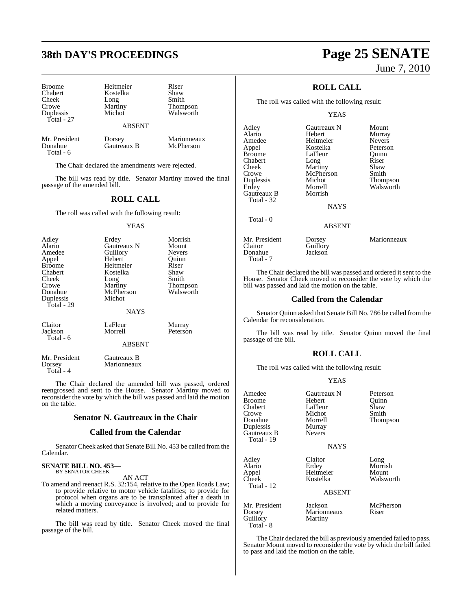## **38th DAY'S PROCEEDINGS Page 25 SENATE**

Broome Heitmeier Riser<br>
Chabert Kostelka Shaw Chabert **Kostelka** Shaw<br>Cheek Long Smith Cheek Long<br>Crowe Martiny Duplessis Total - 27

Martiny Thompson<br>Michot Walsworth

### ABSENT

Total - 6

Mr. President Dorsey Marionneaux<br>
Donahue Gautreaux B McPherson Gautreaux B

The Chair declared the amendments were rejected.

The bill was read by title. Senator Martiny moved the final passage of the amended bill.

## **ROLL CALL**

The roll was called with the following result:

#### YEAS

| Adley         | Erdey         | Morrish       |
|---------------|---------------|---------------|
| Alario        | Gautreaux N   | Mount         |
| Amedee        | Guillory      | <b>Nevers</b> |
| Appel         | Hebert        | Ouinn         |
| <b>Broome</b> | Heitmeier     | Riser         |
| Chabert       | Kostelka      | Shaw          |
| Cheek         | Long          | Smith         |
| Crowe         | Martiny       | Thompson      |
| Donahue       | McPherson     | Walsworth     |
| Duplessis     | Michot        |               |
| Total - 29    |               |               |
|               | <b>NAYS</b>   |               |
| Claitor       | LaFleur       | Murray        |
| Jackson       | Morrell       | Peterson      |
| Total - 6     |               |               |
|               | <b>ABSENT</b> |               |
|               |               |               |

Mr. President Gautreaux B<br>
Dorsey Marionneaux Marionneaux Total - 4

The Chair declared the amended bill was passed, ordered reengrossed and sent to the House. Senator Martiny moved to reconsider the vote by which the bill was passed and laid the motion on the table.

## **Senator N. Gautreaux in the Chair**

## **Called from the Calendar**

Senator Cheek asked that Senate Bill No. 453 be called from the Calendar.

#### **SENATE BILL NO. 453—** BY SENATOR CHEEK

AN ACT

To amend and reenact R.S. 32:154, relative to the Open Roads Law; to provide relative to motor vehicle fatalities; to provide for protocol when organs are to be transplanted after a death in which a moving conveyance is involved; and to provide for related matters.

The bill was read by title. Senator Cheek moved the final passage of the bill.

# June 7, 2010

## **ROLL CALL**

The roll was called with the following result:

### YEAS

| Adley<br>Alario<br>Amedee<br>Appel<br><b>Broome</b><br>Chabert<br>Cheek | Gautreaux N<br>Hebert<br>Heitmeier<br>Kostelka<br>LaFleur<br>Long<br>Martiny | Mount<br>Murray<br><b>Nevers</b><br>Peterson<br>Ouinn<br>Riser<br>Shaw |
|-------------------------------------------------------------------------|------------------------------------------------------------------------------|------------------------------------------------------------------------|
| Crowe<br>Duplessis<br>Erdey<br>Gautreaux B<br>Total - 32                | McPherson<br>Michot<br>Morrell<br>Morrish                                    | Smith<br>Thompson<br>Walsworth                                         |
|                                                                         | <b>NAYS</b>                                                                  |                                                                        |
| Total - 0                                                               | <b>ABSENT</b>                                                                |                                                                        |
| Mr. President<br>Claitor<br>Donahue                                     | Dorsey<br>Guillory<br>Jackson                                                | Marionneaux                                                            |

Donahue Total - 7

Total - 8

The Chair declared the bill was passed and ordered it sent to the House. Senator Cheek moved to reconsider the vote by which the bill was passed and laid the motion on the table.

## **Called from the Calendar**

Senator Quinn asked that Senate Bill No. 786 be called from the Calendar for reconsideration.

The bill was read by title. Senator Quinn moved the final passage of the bill.

## **ROLL CALL**

The roll was called with the following result:

## YEAS

| Amedee<br><b>Broome</b><br>Chabert<br>Crowe<br>Donahue<br>Duplessis | Gautreaux N<br>Hebert<br>LaFleur<br>Michot<br>Morrell<br>Murray | Peterson<br>Ouinn<br>Shaw<br>Smith<br>Thompson |
|---------------------------------------------------------------------|-----------------------------------------------------------------|------------------------------------------------|
| Gautreaux B<br>Total - 19                                           | <b>Nevers</b><br><b>NAYS</b>                                    |                                                |
| Adley<br>Alario<br>Appel<br>Cheek<br>Total - 12                     | Claitor<br>Erdey<br>Heitmeier<br>Kostelka                       | Long<br>Morrish<br>Mount<br>Walsworth          |
|                                                                     | <b>ABSENT</b>                                                   |                                                |
| Mr. President<br>Dorsey<br>Guillory                                 | Jackson<br>Marionneaux<br>Martiny                               | McPherson<br>Riser                             |

TheChair declared the bill as previously amended failed to pass. Senator Mount moved to reconsider the vote by which the bill failed to pass and laid the motion on the table.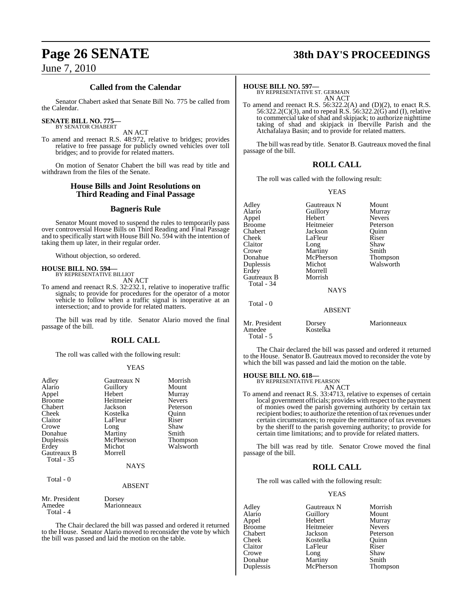## **Called from the Calendar**

Senator Chabert asked that Senate Bill No. 775 be called from the Calendar.

## **SENATE BILL NO. 775—**

BY SENATOR CHABERT

AN ACT To amend and reenact R.S. 48:972, relative to bridges; provides relative to free passage for publicly owned vehicles over toll bridges; and to provide for related matters.

On motion of Senator Chabert the bill was read by title and withdrawn from the files of the Senate.

## **House Bills and Joint Resolutions on Third Reading and Final Passage**

## **Bagneris Rule**

Senator Mount moved to suspend the rules to temporarily pass over controversial House Bills on Third Reading and Final Passage and to specifically start with House Bill No. 594 with the intention of taking them up later, in their regular order.

Without objection, so ordered.

## **HOUSE BILL NO. 594—** BY REPRESENTATIVE BILLIOT

AN ACT

To amend and reenact R.S. 32:232.1, relative to inoperative traffic signals; to provide for procedures for the operator of a motor vehicle to follow when a traffic signal is inoperative at an intersection; and to provide for related matters.

The bill was read by title. Senator Alario moved the final passage of the bill.

## **ROLL CALL**

The roll was called with the following result:

### YEAS

| Adley<br>Alario<br>Appel<br><b>Broome</b><br>Chabert<br><b>Cheek</b><br>Claitor<br>Crowe | Gautreaux N<br>Guillory<br>Hebert<br>Heitmeier<br>Jackson<br>Kostelka<br>LaFleur<br>Long | Morrish<br>Mount<br>Murray<br><b>Nevers</b><br>Peterson<br>Ouinn<br>Riser<br>Shaw |
|------------------------------------------------------------------------------------------|------------------------------------------------------------------------------------------|-----------------------------------------------------------------------------------|
| Donahue<br>Duplessis                                                                     | Martiny<br>McPherson                                                                     | Smith<br>Thompson                                                                 |
| Erdey<br>Gautreaux B<br><b>Total - 35</b>                                                | Michot<br>Morrell                                                                        | Walsworth                                                                         |
|                                                                                          | <b>NAYS</b>                                                                              |                                                                                   |
| Total - 0                                                                                | <b>ABSENT</b>                                                                            |                                                                                   |
| Mr. President<br>Amedee<br>Total - 4                                                     | Dorsey<br>Marionneaux                                                                    |                                                                                   |

The Chair declared the bill was passed and ordered it returned to the House. Senator Alario moved to reconsider the vote by which the bill was passed and laid the motion on the table.

## **Page 26 SENATE 38th DAY'S PROCEEDINGS**

**HOUSE BILL NO. 597—** BY REPRESENTATIVE ST. GERMAIN AN ACT

To amend and reenact R.S. 56:322.2(A) and (D)(2), to enact R.S. 56:322.2(C)(3), and to repeal R.S. 56:322.2(G) and (I), relative to commercial take of shad and skipjack; to authorize nighttime taking of shad and skipjack in Iberville Parish and the Atchafalaya Basin; and to provide for related matters.

The bill was read by title. Senator B. Gautreaux moved the final passage of the bill.

## **ROLL CALL**

The roll was called with the following result:

## YEAS

| Adley<br>Alario           | Gautreaux N<br>Guillory | Mount<br>Murray |
|---------------------------|-------------------------|-----------------|
| Appel                     | Hebert                  | <b>Nevers</b>   |
| <b>Broome</b>             | Heitmeier               | Peterson        |
| Chabert                   | Jackson                 | Ouinn           |
| Cheek                     | LaFleur                 | Riser           |
| Claitor                   | Long                    | Shaw            |
| Crowe                     | Martiny                 | Smith           |
| Donahue                   | McPherson               | Thompson        |
| Duplessis                 | Michot                  | Walsworth       |
| Erdey                     | Morrell                 |                 |
| Gautreaux B<br>Total - 34 | Morrish                 |                 |
|                           | <b>NAYS</b>             |                 |
| Total - 0                 |                         |                 |
|                           | ABSENT                  |                 |
| Mr. President<br>Amedee   | Dorsey<br>Kostelka      | Marionneaux     |

The Chair declared the bill was passed and ordered it returned to the House. Senator B. Gautreaux moved to reconsider the vote by which the bill was passed and laid the motion on the table.

#### **HOUSE BILL NO. 618—** BY REPRESENTATIVE PEARSON

Total - 5

AN ACT

To amend and reenact R.S. 33:4713, relative to expenses of certain local government officials; provides with respect to the payment of monies owed the parish governing authority by certain tax recipient bodies; to authorize the retention of tax revenues under certain circumstances; to require the remittance of tax revenues by the sheriff to the parish governing authority; to provide for certain time limitations; and to provide for related matters.

The bill was read by title. Senator Crowe moved the final passage of the bill.

## **ROLL CALL**

The roll was called with the following result:

## YEAS

| Adley         | Gautreaux N | Morrish       |
|---------------|-------------|---------------|
| Alario        | Guillory    | Mount         |
| Appel         | Hebert      | Murray        |
| <b>Broome</b> | Heitmeier   | <b>Nevers</b> |
| Chabert       | Jackson     | Peterson      |
| Cheek         | Kostelka    | Ouinn         |
| Claitor       | LaFleur     | Riser         |
| Crowe         | Long        | Shaw          |
| Donahue       | Martiny     | Smith         |
| Duplessis     | McPherson   | Thompson      |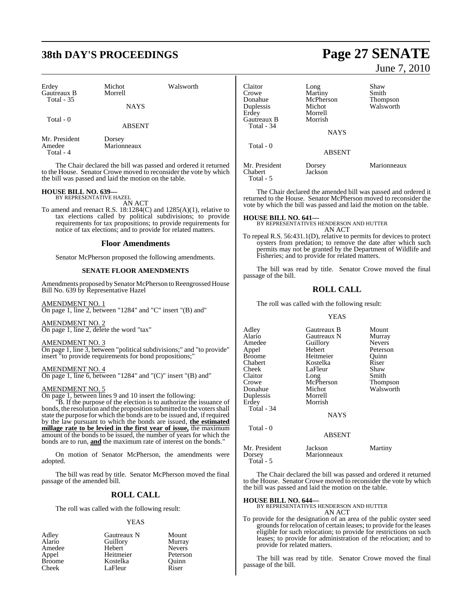## **38th DAY'S PROCEEDINGS Page 27 SENATE**

| Erdey<br>Gautreaux B<br>Total - 35   | Michot<br>Morrell     | Walsworth |
|--------------------------------------|-----------------------|-----------|
|                                      | <b>NAYS</b>           |           |
| Total $-0$                           | <b>ABSENT</b>         |           |
| Mr. President<br>Amedee<br>Total - 4 | Dorsey<br>Marionneaux |           |

The Chair declared the bill was passed and ordered it returned to the House. Senator Crowe moved to reconsider the vote by which the bill was passed and laid the motion on the table.

## **HOUSE BILL NO. 639—** BY REPRESENTATIVE HAZEL

AN ACT

To amend and reenact R.S. 18:1284(C) and 1285(A)(1), relative to tax elections called by political subdivisions; to provide requirements for tax propositions; to provide requirements for notice of tax elections; and to provide for related matters.

## **Floor Amendments**

Senator McPherson proposed the following amendments.

## **SENATE FLOOR AMENDMENTS**

Amendments proposed by Senator McPherson to Reengrossed House Bill No. 639 by Representative Hazel

### AMENDMENT NO. 1

On page 1, line 2, between "1284" and "C" insert "(B) and"

AMENDMENT NO. 2

On page 1, line 2, delete the word "tax"

### AMENDMENT NO. 3

On page 1, line 3, between "political subdivisions;" and "to provide" insert "to provide requirements for bond propositions;"

### AMENDMENT NO. 4

On page 1, line 6, between "1284" and "(C)" insert "(B) and"

## AMENDMENT NO. 5

On page 1, between lines 9 and 10 insert the following:

"B. If the purpose of the election is to authorize the issuance of bonds, the resolution and the proposition submitted to the voters shall state the purpose for which the bonds are to be issued and, if required by the law pursuant to which the bonds are issued, **the estimated millage rate to be levied in the first year of issue,** the maximum amount of the bonds to be issued, the number of years for which the bonds are to run, **and** the maximum rate of interest on the bonds."

On motion of Senator McPherson, the amendments were adopted.

The bill was read by title. Senator McPherson moved the final passage of the amended bill.

## **ROLL CALL**

The roll was called with the following result:

## YEAS

| Adley         | Gautreaux N | Mount         |
|---------------|-------------|---------------|
| Alario        | Guillory    | Murray        |
| Amedee        | Hebert      | <b>Nevers</b> |
| Appel         | Heitmeier   | Peterson      |
| <b>Broome</b> | Kostelka    | Ouinn         |
| Cheek         | LaFleur     | Riser         |

June 7, 2010

| Claitor<br>Crowe<br>Donahue<br>Duplessis<br>Erdey<br>Gautreaux B<br>Total - 34 | Long<br>Martiny<br>McPherson<br>Michot<br>Morrell<br>Morrish | Shaw<br>Smith<br><b>Thompson</b><br>Walsworth |
|--------------------------------------------------------------------------------|--------------------------------------------------------------|-----------------------------------------------|
|                                                                                | <b>NAYS</b>                                                  |                                               |
| Total - 0                                                                      | <b>ABSENT</b>                                                |                                               |
| Mr. President<br>Chabert                                                       | Dorsey<br>Jackson                                            | Marionneaux                                   |

The Chair declared the amended bill was passed and ordered it returned to the House. Senator McPherson moved to reconsider the vote by which the bill was passed and laid the motion on the table.

Total - 5

**HOUSE BILL NO. 641—** BY REPRESENTATIVES HENDERSON AND HUTTER AN ACT

To repeal R.S. 56:431.1(D), relative to permits for devices to protect oysters from predation; to remove the date after which such permits may not be granted by the Department of Wildlife and Fisheries; and to provide for related matters.

The bill was read by title. Senator Crowe moved the final passage of the bill.

## **ROLL CALL**

The roll was called with the following result:

#### YEAS

| Gautreaux B<br>Gautreaux N | Mount<br>Murray                        |
|----------------------------|----------------------------------------|
|                            | <b>Nevers</b>                          |
| Hebert                     | Peterson                               |
| Heitmeier                  | Ouinn                                  |
| Kostelka                   | Riser                                  |
| LaFleur                    | Shaw                                   |
| Long                       | Smith                                  |
|                            | Thompson                               |
| Michot                     | Walsworth                              |
| Morrell                    |                                        |
| Morrish                    |                                        |
|                            |                                        |
| <b>NAYS</b>                |                                        |
|                            |                                        |
|                            |                                        |
| Jackson                    | Martiny                                |
|                            | Guillory<br>McPherson<br><b>ABSENT</b> |

The Chair declared the bill was passed and ordered it returned to the House. Senator Crowe moved to reconsider the vote by which the bill was passed and laid the motion on the table.

Total - 5

Dorsey Marionneaux

**HOUSE BILL NO. 644—** BY REPRESENTATIVES HENDERSON AND HUTTER

AN ACT

To provide for the designation of an area of the public oyster seed grounds for relocation of certain leases; to provide for the leases eligible for such relocation; to provide for restrictions on such leases; to provide for administration of the relocation; and to provide for related matters.

The bill was read by title. Senator Crowe moved the final passage of the bill.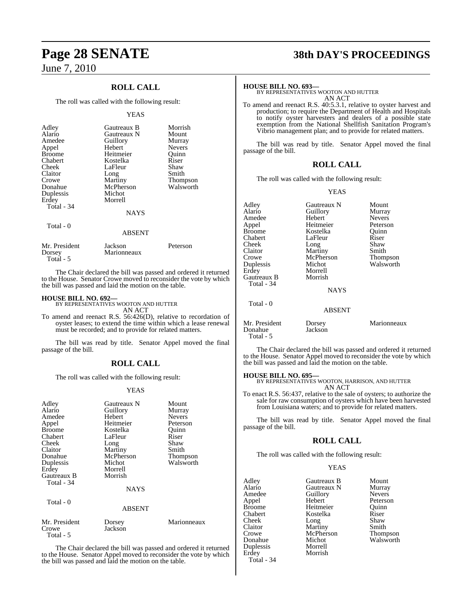## **ROLL CALL**

The roll was called with the following result:

### YEAS

| Adley<br>Alario<br>Amedee<br>Appel<br><b>Broome</b><br>Chabert<br>Cheek<br>Claitor<br>Crowe<br>Donahue<br>Duplessis<br>Erdey<br>Total - 34 | Gautreaux B<br>Gautreaux N<br>Guillory<br>Hebert<br>Heitmeier<br>Kostelka<br>LaFleur<br>Long<br>Martiny<br>McPherson<br>Michot<br>Morrell<br><b>NAYS</b> | Morrish<br>Mount<br>Murray<br><b>Nevers</b><br>Ouinn<br>Riser<br>Shaw<br>Smith<br>Thompson<br>Walsworth |
|--------------------------------------------------------------------------------------------------------------------------------------------|----------------------------------------------------------------------------------------------------------------------------------------------------------|---------------------------------------------------------------------------------------------------------|
| Total - 0                                                                                                                                  | <b>ABSENT</b>                                                                                                                                            |                                                                                                         |

| Mr. President | Jackson     | Peterson |
|---------------|-------------|----------|
| Dorsey        | Marionneaux |          |
| Total - 5     |             |          |

The Chair declared the bill was passed and ordered it returned to the House. Senator Crowe moved to reconsider the vote by which the bill was passed and laid the motion on the table.

## **HOUSE BILL NO. 692—**

BY REPRESENTATIVES WOOTON AND HUTTER

AN ACT To amend and reenact R.S. 56:426(D), relative to recordation of oyster leases; to extend the time within which a lease renewal must be recorded; and to provide for related matters.

The bill was read by title. Senator Appel moved the final passage of the bill.

## **ROLL CALL**

The roll was called with the following result:

## YEAS

| Adley                  | Gautreaux N       | Mount         |
|------------------------|-------------------|---------------|
| Alario                 | Guillory          | Murray        |
| Amedee                 | Hebert            | <b>Nevers</b> |
| Appel                  | Heitmeier         | Peterson      |
| <b>Broome</b>          | Kostelka          | Ouinn         |
| Chabert                | LaFleur           | Riser         |
|                        |                   |               |
| Cheek                  | Long              | Shaw          |
| Claitor                | <b>Martiny</b>    | Smith         |
| Donahue                | McPherson         | Thompson      |
| Duplessis              | Michot            | Walsworth     |
| Erdey                  | Morrell           |               |
| Gautreaux B            | Morrish           |               |
| Total - 34             |                   |               |
|                        | <b>NAYS</b>       |               |
| Total - 0              |                   |               |
|                        | <b>ABSENT</b>     |               |
| Mr. President<br>Crowe | Dorsey<br>Jackson | Marionneaux   |
| Total - 5              |                   |               |

The Chair declared the bill was passed and ordered it returned to the House. Senator Appel moved to reconsider the vote by which the bill was passed and laid the motion on the table.

## **Page 28 SENATE 38th DAY'S PROCEEDINGS**

## **HOUSE BILL NO. 693—**

BY REPRESENTATIVES WOOTON AND HUTTER AN ACT

To amend and reenact R.S. 40:5.3.1, relative to oyster harvest and production; to require the Department of Health and Hospitals to notify oyster harvesters and dealers of a possible state exemption from the National Shellfish Sanitation Program's Vibrio management plan; and to provide for related matters.

The bill was read by title. Senator Appel moved the final passage of the bill.

## **ROLL CALL**

The roll was called with the following result:

### YEAS

| Adley<br>Alario<br>Amedee<br>Appel<br>Broome<br>Chabert<br>Cheek<br>Claitor<br>Crowe<br>Duplessis<br>Erdev<br>Gautreaux B | Gautreaux N<br>Guillory<br>Hebert<br>Heitmeier<br>Kostelka<br>LaFleur<br>Long<br>Martiny<br>McPherson<br>Michot<br>Morrell<br>Morrish | Mount<br>Murray<br><b>Nevers</b><br>Peterson<br>Quinn<br>Riser<br>Shaw<br>Smith<br>Thompson<br>Walsworth |
|---------------------------------------------------------------------------------------------------------------------------|---------------------------------------------------------------------------------------------------------------------------------------|----------------------------------------------------------------------------------------------------------|
| Total - 34                                                                                                                | <b>NAYS</b>                                                                                                                           |                                                                                                          |
| Total - 0                                                                                                                 | <b>ABSENT</b>                                                                                                                         |                                                                                                          |
| Mr. President<br>Donahue<br>Total - 5                                                                                     | Dorsey<br>Jackson                                                                                                                     | Marionneaux                                                                                              |

The Chair declared the bill was passed and ordered it returned to the House. Senator Appel moved to reconsider the vote by which the bill was passed and laid the motion on the table.

### **HOUSE BILL NO. 695—**

BY REPRESENTATIVES WOOTON, HARRISON, AND HUTTER AN ACT

To enact R.S. 56:437, relative to the sale of oysters; to authorize the sale for raw consumption of oysters which have been harvested from Louisiana waters; and to provide for related matters.

The bill was read by title. Senator Appel moved the final passage of the bill.

## **ROLL CALL**

The roll was called with the following result:

## YEAS

| Gautreaux B | Mount           |
|-------------|-----------------|
| Gautreaux N | Murray          |
| Guillory    | <b>Nevers</b>   |
| Hebert      | Peterson        |
| Heitmeier   | Ouinn           |
| Kostelka    | Riser           |
|             | Shaw            |
| Martiny     | Smith           |
| McPherson   | <b>Thompson</b> |
| Michot      | Walsworth       |
| Morrell     |                 |
| Morrish     |                 |
|             |                 |
|             | Long            |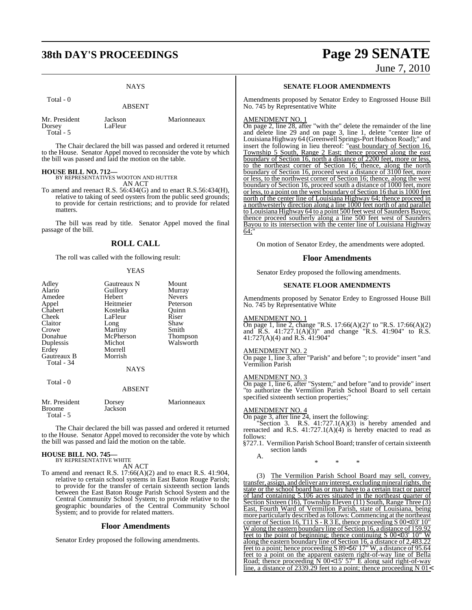## **38th DAY'S PROCEEDINGS Page 29 SENATE**

## NAYS

| 1 vuu - v                              | <b>ABSENT</b>      |             |
|----------------------------------------|--------------------|-------------|
| Mr. President<br>Dorsey<br>$Total - 5$ | Jackson<br>LaFleur | Marionneaux |

The Chair declared the bill was passed and ordered it returned to the House. Senator Appel moved to reconsider the vote by which the bill was passed and laid the motion on the table.

## **HOUSE BILL NO. 712—**

 $T_{\alpha \uparrow \alpha}$ l  $\alpha$ 

BY REPRESENTATIVES WOOTON AND HUTTER AN ACT

To amend and reenact R.S. 56:434(G) and to enact R.S.56:434(H), relative to taking of seed oysters from the public seed grounds; to provide for certain restrictions; and to provide for related matters.

The bill was read by title. Senator Appel moved the final passage of the bill.

## **ROLL CALL**

The roll was called with the following result:

### YEAS

| Adley<br>Alario<br>Amedee<br>Appel<br>Chabert<br>Cheek<br>Claitor<br>Crowe<br>Donahue<br>Duplessis<br>Erdey | Gautreaux N<br>Guillory<br>Hebert<br>Heitmeier<br>Kostelka<br>LaFleur<br>Long<br>Martiny<br>McPherson<br>Michot<br>Morrell | Mount<br>Murray<br><b>Nevers</b><br>Peterson<br>Ouinn<br>Riser<br>Shaw<br>Smith<br>Thompson<br>Walsworth |
|-------------------------------------------------------------------------------------------------------------|----------------------------------------------------------------------------------------------------------------------------|----------------------------------------------------------------------------------------------------------|
| Total - 34                                                                                                  | <b>NAYS</b>                                                                                                                |                                                                                                          |
| Total - 0                                                                                                   | <b>ABSENT</b>                                                                                                              |                                                                                                          |
| Mr. President<br>Broome                                                                                     | Dorsey<br>Jackson                                                                                                          | Marionneaux                                                                                              |

The Chair declared the bill was passed and ordered it returned to the House. Senator Appel moved to reconsider the vote by which the bill was passed and laid the motion on the table.

## **HOUSE BILL NO. 745—** BY REPRESENTATIVE WHITE

Total - 5

AN ACT

To amend and reenact R.S. 17:66(A)(2) and to enact R.S. 41:904, relative to certain school systems in East Baton Rouge Parish; to provide for the transfer of certain sixteenth section lands between the East Baton Rouge Parish School System and the Central Community School System; to provide relative to the geographic boundaries of the Central Community School System; and to provide for related matters.

## **Floor Amendments**

Senator Erdey proposed the following amendments.

# June 7, 2010

## **SENATE FLOOR AMENDMENTS**

Amendments proposed by Senator Erdey to Engrossed House Bill No. 745 by Representative White

### AMENDMENT NO. 1

On page 2, line 28, after "with the" delete the remainder of the line and delete line 29 and on page 3, line 1, delete "center line of Louisiana Highway 64 (Greenwell Springs-Port Hudson Road);" and insert the following in lieu thereof: "east boundary of Section 16, Township 5 South, Range 2 East; thence proceed along the east boundary of Section 16, north a distance of 2200 feet, more or less, to the northeast corner of Section 16; thence, along the north boundary of Section 16, proceed west a distance of 3100 feet, more or less, to the northwest corner of Section 16; thence, along the west boundary of Section 16, proceed south a distance of 1000 feet, more or less, to a point on the west boundary of Section 16 that is 1000 feet north of the center line of Louisiana Highway 64; thence proceed in a northwesterly direction along a line 1000 feet north of and parallel to Louisiana Highway 64 to a point 500 feet west of Saunders Bayou; thence proceed southerly along a line 500 feet west of Saunders Bayou to its intersection with the center line of Louisiana Highway  $64:$ 

On motion of Senator Erdey, the amendments were adopted.

## **Floor Amendments**

Senator Erdey proposed the following amendments.

## **SENATE FLOOR AMENDMENTS**

Amendments proposed by Senator Erdey to Engrossed House Bill No. 745 by Representative White

### AMENDMENT NO. 1

On page 1, line 2, change "R.S. 17:66(A)(2)" to "R.S. 17:66(A)(2) and  $\overline{R}$ .S. 41:727.1(A) $\overline{(3)}$ " and change "R.S. 41:904" to R.S. 41:727(A)(4) and R.S. 41:904"

### AMENDMENT NO. 2

On page 1, line 3, after "Parish" and before "; to provide" insert "and Vermilion Parish

### AMENDMENT NO. 3

On page 1, line 6, after "System;" and before "and to provide" insert "to authorize the Vermilion Parish School Board to sell certain specified sixteenth section properties;"

## AMENDMENT NO. 4

On page 3, after line 24, insert the following:

"Section 3. R.S.  $41:727.1(A)(3)$  is hereby amended and reenacted and R.S. 41:727.1(A)(4) is hereby enacted to read as follows:

- §727.1. Vermilion Parish School Board; transfer of certain sixteenth section lands
	- A.

\* \* \*

(3) The Vermilion Parish School Board may sell, convey, transfer, assign, and deliver any interest, excluding mineral rights, the state or the school board has or may have to a certain tract or parcel of land containing 5.106 acres situated in the northeast quarter of Section Sixteen (16), Township Eleven (11) South, Range Three (3) East, Fourth Ward of Vermilion Parish, state of Louisiana, being more particularly described asfollows: Commencing at the northeast corner of Section 16, T11 S - R 3 E, thence proceeding S 00< 03' 10" W along the eastern boundary line of Section 16, a distance of 159. feet to the point of beginning; thence continuing S 00< 03' 10" W along the eastern boundary line of Section 16, a distance of 2,483.22 feet to a point; hence proceeding S 89< 56' 17" W, a distance of 95.64 feet to a point on the apparent eastern right-of-way line of Bella Road; thence proceeding N 00< 15' 57" E along said right-of-way line, a distance of 2339.29 feet to a point; thence proceeding N 01<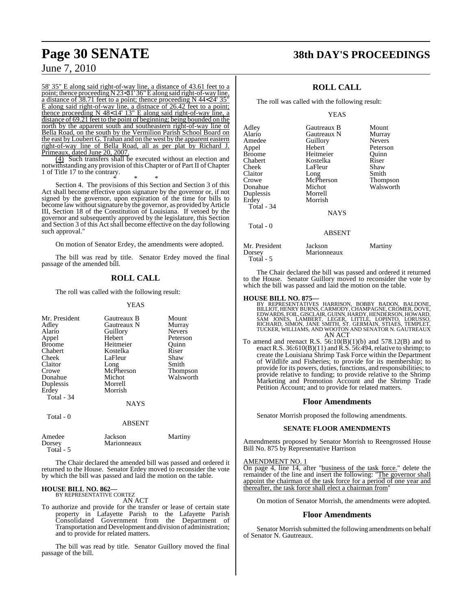58' 35" E along said right-of-way line, a distance of 43.61 feet to a point; thence proceeding N 23< 31' 36"E along said right-of-way line, a distance of 38.71 feet to a point; thence proceeding N 44< 24' 35" E along said right-of-way line, a distnace of 26.42 feet to a point; thence proceeding N 48< 14' 13" E along said right-of-way line, a distance of 69.21 feet to the point of beginning; being bounded on the north by the apparent south and southeastern right-of-way line of Bella Road, on the south by the Vermilion Parish School Board on the east by Loubert G. Trahan and on the west by the apparent eastern right-of-way line of Bella Road, all as per plat by Richard J. Primeaux, dated June 20, 2007.

(4) Such transfers shall be executed without an election and notwithstanding any provision of this Chapter or of Part II of Chapter 1 of Title 17 to the contrary.

\* \* \* Section 4. The provisions of this Section and Section 3 of this Act shall become effective upon signature by the governor or, if not signed by the governor, upon expiration of the time for bills to become law without signature by the governor, as provided by Article III, Section 18 of the Constitution of Louisiana. If vetoed by the governor and subsequently approved by the legislature, this Section and Section 3 of this Act shall become effective on the day following such approval."

On motion of Senator Erdey, the amendments were adopted.

The bill was read by title. Senator Erdey moved the final passage of the amended bill.

## **ROLL CALL**

The roll was called with the following result:

### YEAS

| Mr. President<br>Adley<br>Alario<br>Appel<br><b>Broome</b><br>Chabert<br>Cheek<br>Claitor<br>Crowe<br>Donahue<br>Duplessis<br>Erdey<br>Total - 34 | Gautreaux B<br>Gautreaux N<br>Guillory<br>Hebert<br>Heitmeier<br>Kostelka<br>LaFleur<br>Long<br>McPherson<br>Michot<br>Morrell<br>Morrish<br><b>NAYS</b> | Mount<br>Murray<br><b>Nevers</b><br>Peterson<br>Ouinn<br>Riser<br>Shaw<br>Smith<br>Thompson<br>Walsworth |
|---------------------------------------------------------------------------------------------------------------------------------------------------|----------------------------------------------------------------------------------------------------------------------------------------------------------|----------------------------------------------------------------------------------------------------------|
| Total - 0                                                                                                                                         | <b>ABSENT</b>                                                                                                                                            |                                                                                                          |
| Amedee                                                                                                                                            | Jackson                                                                                                                                                  | Martiny                                                                                                  |

The Chair declared the amended bill was passed and ordered it returned to the House. Senator Erdey moved to reconsider the vote by which the bill was passed and laid the motion on the table.

## **HOUSE BILL NO. 862—** BY REPRESENTATIVE CORTEZ

Total - 5

Dorsey Marionneaux

AN ACT

To authorize and provide for the transfer or lease of certain state property in Lafayette Parish to the Lafayette Parish Consolidated Government from the Department of Transportation and Development and division of administration; and to provide for related matters.

The bill was read by title. Senator Guillory moved the final passage of the bill.

## **Page 30 SENATE 38th DAY'S PROCEEDINGS**

## **ROLL CALL**

The roll was called with the following result:

### YEAS

| Adley<br>Alario<br>Amedee<br>Appel<br><b>Broome</b><br>Chabert<br>Cheek<br>Claitor<br>Crowe<br>Donahue<br>Duplessis<br>Erdey<br>Total - 34 | Gautreaux B<br>Gautreaux N<br>Guillory<br>Hebert<br>Heitmeier<br>Kostelka<br>LaFleur<br>Long<br>McPherson<br>Michot<br>Morrell<br>Morrish<br>NAYS | Mount<br>Murray<br><b>Nevers</b><br>Peterson<br>Ouinn<br>Riser<br>Shaw<br>Smith<br>Thompson<br>Walsworth |
|--------------------------------------------------------------------------------------------------------------------------------------------|---------------------------------------------------------------------------------------------------------------------------------------------------|----------------------------------------------------------------------------------------------------------|
| Total - 0                                                                                                                                  | <b>ABSENT</b>                                                                                                                                     |                                                                                                          |
| Mr. President<br>Dorsey                                                                                                                    | Jackson<br>Marionneaux                                                                                                                            | Martiny                                                                                                  |

The Chair declared the bill was passed and ordered it returned to the House. Senator Guillory moved to reconsider the vote by which the bill was passed and laid the motion on the table.

Total - 5

- **HOUSE BILL NO. 875—**<br>BY REPRESENTATIVES HARRISON, BOBBY BADON, BALDONE, BILLIOT, HENRY BURNS, CARMODY, CHAMPAGNE, CROMER, DOVE, EDWARDS, FOIL, GISCLAIR, GUINN, HARDY, HENDERSON, HOWARD, SAM JONES, LAMBERT, LEGER, LITTLE, AN ACT
- To amend and reenact R.S.  $56:10(B)(1)(b)$  and  $578.12(B)$  and to enact R.S. 36:610(B)(11) and R.S. 56:494, relative to shrimp; to create the Louisiana Shrimp Task Force within the Department of Wildlife and Fisheries; to provide for its membership; to provide for its powers, duties, functions, and responsibilities; to provide relative to funding; to provide relative to the Shrimp Marketing and Promotion Account and the Shrimp Trade Petition Account; and to provide for related matters.

## **Floor Amendments**

Senator Morrish proposed the following amendments.

## **SENATE FLOOR AMENDMENTS**

Amendments proposed by Senator Morrish to Reengrossed House Bill No. 875 by Representative Harrison

### AMENDMENT NO. 1

On page 4, line 14, after "business of the task force." delete the remainder of the line and insert the following: "The governor shall appoint the chairman of the task force for a period of one year and thereafter, the task force shall elect a chairman from"

On motion of Senator Morrish, the amendments were adopted.

## **Floor Amendments**

Senator Morrish submitted the following amendments on behalf of Senator N. Gautreaux.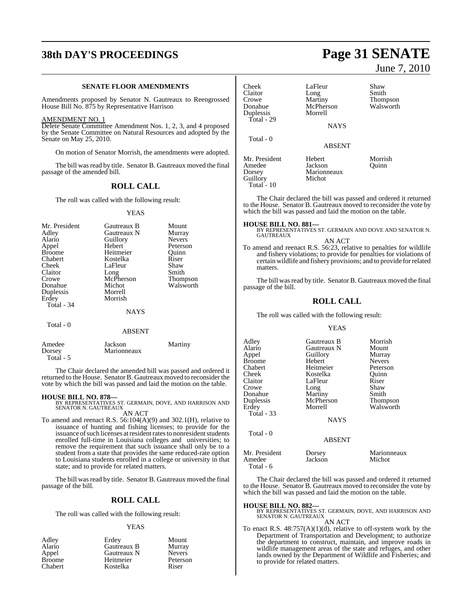## **38th DAY'S PROCEEDINGS Page 31 SENATE**

### **SENATE FLOOR AMENDMENTS**

Amendments proposed by Senator N. Gautreaux to Reengrossed House Bill No. 875 by Representative Harrison

#### AMENDMENT NO. 1

Delete Senate Committee Amendment Nos. 1, 2, 3, and 4 proposed by the Senate Committee on Natural Resources and adopted by the Senate on May 25, 2010.

On motion of Senator Morrish, the amendments were adopted.

The bill was read by title. Senator B. Gautreaux moved the final passage of the amended bill.

## **ROLL CALL**

The roll was called with the following result:

YEAS

| Mr. President | Gautreaux B   | Mount           |
|---------------|---------------|-----------------|
| Adley         | Gautreaux N   | Murray          |
| Alario        | Guillory      | Nevers          |
| Appel         | Hebert        | Peterson        |
| <b>Broome</b> | Heitmeier     | Ouinn           |
| Chabert       | Kostelka      | Riser           |
| Cheek         | LaFleur       | Shaw            |
| Claitor       | Long          | Smith           |
| Crowe         | McPherson     | <b>Thompson</b> |
| Donahue       | Michot        | Walsworth       |
| Duplessis     | Morrell       |                 |
| Erdey         | Morrish       |                 |
| Total - 34    |               |                 |
|               | <b>NAYS</b>   |                 |
| Total - 0     |               |                 |
|               | <b>ABSENT</b> |                 |
|               |               |                 |

| Amedee    | Jackson     | Martiny |
|-----------|-------------|---------|
| Dorsey    | Marionneaux |         |
| Total - 5 |             |         |

The Chair declared the amended bill was passed and ordered it returned to the House. Senator B. Gautreaux moved to reconsider the vote by which the bill was passed and laid the motion on the table.

**HOUSE BILL NO. 878—** BY REPRESENTATIVES ST. GERMAIN, DOVE, AND HARRISON AND SENATOR N. GAUTREAUX AN ACT

To amend and reenact R.S. 56:104(A)(9) and 302.1(H), relative to issuance of hunting and fishing licenses; to provide for the issuance of such licenses at resident rates to nonresident students enrolled full-time in Louisiana colleges and universities; to remove the requirement that such issuance shall only be to a student from a state that provides the same reduced-rate option to Louisiana students enrolled in a college or university in that state; and to provide for related matters.

The bill was read by title. Senator B. Gautreaux moved the final passage of the bill.

## **ROLL CALL**

The roll was called with the following result:

### YEAS

| Erdey       | Mount         |
|-------------|---------------|
| Gautreaux B | Murray        |
| Gautreaux N | <b>Nevers</b> |
| Heitmeier   | Peterson      |
| Kostelka    | Riser         |
|             |               |

Shaw Smith Thompson Walsworth

Morrish Quinn

June 7, 2010

| Cheek         | LaFleur       |
|---------------|---------------|
| Claitor       | Long          |
| Crowe         | Martiny       |
| Donahue       | McPherson     |
| Duplessis     | Morrell       |
| Total - 29    |               |
|               | <b>NAYS</b>   |
|               |               |
| Total - 0     |               |
|               | <b>ABSENT</b> |
|               |               |
| Mr. President | Hebert        |
| Amedee        | Jackson       |
| Dorsey        | Marionneaux   |
| Guillory      | Michot        |
| Total - 10    |               |
|               |               |

The Chair declared the bill was passed and ordered it returned to the House. Senator B. Gautreaux moved to reconsider the vote by which the bill was passed and laid the motion on the table.

**HOUSE BILL NO. 881—** BY REPRESENTATIVES ST. GERMAIN AND DOVE AND SENATOR N. GAUTREAUX AN ACT

To amend and reenact R.S. 56:23, relative to penalties for wildlife and fishery violations; to provide for penalties for violations of certain wildlife and fishery provisions; and to provide forrelated matters.

The bill was read by title. Senator B. Gautreaux moved the final passage of the bill.

## **ROLL CALL**

The roll was called with the following result:

### YEAS

| Adley<br>Alario<br>Appel<br><b>Broome</b><br>Chabert<br>Cheek<br>Claitor<br>Crowe<br>Donahue<br>Duplessis<br>Erdey<br><b>Total - 33</b> | Gautreaux B<br>Gautreaux N<br>Guillory<br>Hebert<br>Heitmeier<br>Kostelka<br>LaFleur<br>Long<br>Martiny<br>McPherson<br>Morrell<br><b>NAYS</b> | Morrish<br>Mount<br>Murray<br><b>Nevers</b><br>Peterson<br>Ouinn<br>Riser<br>Shaw<br>Smith<br><b>Thompson</b><br>Walsworth |
|-----------------------------------------------------------------------------------------------------------------------------------------|------------------------------------------------------------------------------------------------------------------------------------------------|----------------------------------------------------------------------------------------------------------------------------|
| Total - 0                                                                                                                               | <b>ABSENT</b>                                                                                                                                  |                                                                                                                            |
| Mr. President<br>Amedee                                                                                                                 | Dorsey<br>Jackson                                                                                                                              | Marionneaux<br>Michot                                                                                                      |

 Total - 6 The Chair declared the bill was passed and ordered it returned to the House. Senator B. Gautreaux moved to reconsider the vote by which the bill was passed and laid the motion on the table.

## **HOUSE BILL NO. 882—**

BY REPRESENTATIVES ST. GERMAIN, DOVE, AND HARRISON AND SENATOR N. GAUTREAUX

AN ACT

To enact R.S.  $48:757(A)(1)(d)$ , relative to off-system work by the Department of Transportation and Development; to authorize the department to construct, maintain, and improve roads in wildlife management areas of the state and refuges, and other lands owned by the Department of Wildlife and Fisheries; and to provide for related matters.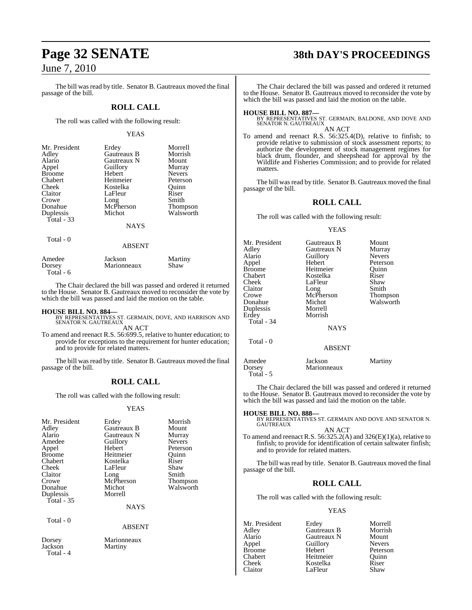The bill was read by title. Senator B. Gautreaux moved the final passage of the bill.

## **ROLL CALL**

The roll was called with the following result:

### YEAS

| Mr. President | Erdey       | Morrell         |
|---------------|-------------|-----------------|
| Adley         | Gautreaux B | Morrish         |
| Alario        | Gautreaux N | Mount           |
| Appel         | Guillory    | Murray          |
| <b>Broome</b> | Hebert      | <b>Nevers</b>   |
| Chabert       | Heitmeier   | Peterson        |
| Cheek         | Kostelka    | Ouinn           |
| Claitor       | LaFleur     | Riser           |
| Crowe         | Long        | Smith           |
| Donahue       | McPherson   | <b>Thompson</b> |
| Duplessis     | Michot      | Walsworth       |
| Total - 33    |             |                 |
|               | <b>NAYS</b> |                 |
| Total - 0     |             |                 |

| Amedee     | Jackson     | Martiny |
|------------|-------------|---------|
| Dorsey     | Marionneaux | Shaw    |
| Total $-6$ |             |         |

The Chair declared the bill was passed and ordered it returned to the House. Senator B. Gautreaux moved to reconsider the vote by which the bill was passed and laid the motion on the table.

ABSENT

**HOUSE BILL NO. 884—** BY REPRESENTATIVES ST. GERMAIN, DOVE, AND HARRISON AND SENATOR N. GAUTREAUX

AN ACT

To amend and reenact R.S. 56:699.5, relative to hunter education; to provide for exceptions to the requirement for hunter education; and to provide for related matters.

The bill was read by title. Senator B. Gautreaux moved the final passage of the bill.

## **ROLL CALL**

The roll was called with the following result:

### YEAS

| Mr. President<br>Adley<br>Alario<br>Amedee<br>Appel<br><b>Broome</b><br>Chabert<br>Cheek<br>Claitor<br>Crowe<br>Donahue<br>Duplessis<br>Total $-35$ | Erdey<br>Gautreaux B<br>Gautreaux N<br>Guillory<br>Hebert<br>Heitmeier<br>Kostelka<br>LaFleur<br>Long<br>McPherson<br>Michot<br>Morrell<br><b>NAYS</b> | Morrish<br>Mount<br>Murray<br><b>Nevers</b><br>Peterson<br>Quinn<br>Riser<br>Shaw<br>Smith<br><b>Thompson</b><br>Walsworth |
|-----------------------------------------------------------------------------------------------------------------------------------------------------|--------------------------------------------------------------------------------------------------------------------------------------------------------|----------------------------------------------------------------------------------------------------------------------------|
| Total $-0$                                                                                                                                          | <b>ABSENT</b>                                                                                                                                          |                                                                                                                            |
| Dorsey                                                                                                                                              | Marionneaux                                                                                                                                            |                                                                                                                            |

Jackson Martiny Total - 4

## **Page 32 SENATE 38th DAY'S PROCEEDINGS**

The Chair declared the bill was passed and ordered it returned to the House. Senator B. Gautreaux moved to reconsider the vote by which the bill was passed and laid the motion on the table.

**HOUSE BILL NO. 887—** BY REPRESENTATIVES ST. GERMAIN, BALDONE, AND DOVE AND SENATOR N. GAUTREAUX

AN ACT To amend and reenact R.S. 56:325.4(D), relative to finfish; to provide relative to submission of stock assessment reports; to authorize the development of stock management regimes for black drum, flounder, and sheepshead for approval by the Wildlife and Fisheries Commission; and to provide for related matters.

The bill was read by title. Senator B. Gautreaux moved the final passage of the bill.

## **ROLL CALL**

The roll was called with the following result:

### YEAS

| Mr. President<br>Adlev<br>Alario<br>Appel<br>Broome<br>Chabert<br>Cheek<br>Claitor<br>Crowe<br>Donahue<br>Duplessis<br>Erdey<br><b>Total - 34</b><br>Total - 0 | Gautreaux B<br>Gautreaux N<br>Guillory<br>Hebert<br>Heitmeier<br>Kostelka<br>LaFleur<br>Long<br>McPherson<br>Michot<br>Morrell<br>Morrish<br><b>NAYS</b><br><b>ABSENT</b> | Mount<br>Murray<br><b>Nevers</b><br>Peterson<br>Ouinn<br>Riser<br>Shaw<br>Smith<br>Thompson<br>Walsworth |
|----------------------------------------------------------------------------------------------------------------------------------------------------------------|---------------------------------------------------------------------------------------------------------------------------------------------------------------------------|----------------------------------------------------------------------------------------------------------|
| Amedee<br>Dorsey<br>Total - 5                                                                                                                                  | Jackson<br>Marionneaux                                                                                                                                                    | Martiny                                                                                                  |

The Chair declared the bill was passed and ordered it returned to the House. Senator B. Gautreaux moved to reconsider the vote by which the bill was passed and laid the motion on the table.

**HOUSE BILL NO. 888—** BY REPRESENTATIVES ST. GERMAIN AND DOVE AND SENATOR N. GAUTREAUX AN ACT

To amend and reenact R.S.  $56:325.2(A)$  and  $326(E)(1)(a)$ , relative to finfish; to provide for identification of certain saltwater finfish; and to provide for related matters.

The bill was read by title. Senator B. Gautreaux moved the final passage of the bill.

## **ROLL CALL**

The roll was called with the following result:

LaFleur

### YEAS

Appel Guillory<br>Broome Hebert

Mr. President Erdey Morrell<br>Adley Gautreaux B Morrish Adley Gautreaux B Morrish Gautreaux N Mount<br>
Guillory Nevers Broome Hebert Peterson<br>
Chabert Heitmeier Quinn Chabert Heitmeier Quinn Cheek Kostelka Riser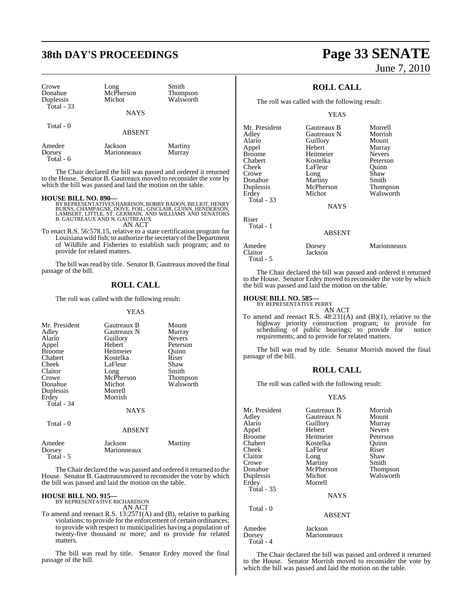| Crowe<br>Donahue<br>Duplessis<br>Total $-33$ | Long<br>McPherson<br>Michot<br><b>NAYS</b> | Smith<br><b>Thompson</b><br>Walsworth |
|----------------------------------------------|--------------------------------------------|---------------------------------------|
|                                              |                                            |                                       |
| Total $-0$                                   | <b>ABSENT</b>                              |                                       |
| Amedee<br>Dorsey                             | Jackson<br>Marionneaux                     | Martiny<br>Murray                     |

Total - 6

The Chair declared the bill was passed and ordered it returned to the House. Senator B. Gautreaux moved to reconsider the vote by which the bill was passed and laid the motion on the table.

### **HOUSE BILL NO. 890—**

BY REPRESENTATIVES HARRISON, BOBBY BADON, BILLIOT, HENRY BURNS, CHAMPAGNE, DOVE, FOIL, GISCLAIR, GUINN, HENDERSON,<br>LAMBERT, LITTLE, ST. GERMAIN, AND WILLIAMS AND SENATORS<br>B. GAUTREAUX AND N. GAUTREAUX AN ACT

To enact R.S. 56:578.15, relative to a state certification program for Louisiana wild fish; to authorize the secretary of the Department of Wildlife and Fisheries to establish such program; and to provide for related matters.

The bill was read by title. Senator B. Gautreaux moved the final passage of the bill.

## **ROLL CALL**

The roll was called with the following result:

### YEAS

| Mr. President<br>Adley<br>Alario<br>Appel<br><b>Broome</b><br>Chabert<br>Cheek<br>Claitor<br>Crowe<br>Donahue<br>Duplessis<br>Erdey<br>Total - 34<br>Total - 0 | Gautreaux B<br>Gautreaux N<br>Guillory<br>Hebert<br>Heitmeier<br>Kostelka<br>LaFleur<br>Long<br>McPherson<br>Michot<br>Morrell<br>Morrish<br><b>NAYS</b><br><b>ABSENT</b> | Mount<br>Murray<br><b>Nevers</b><br>Peterson<br>Ouinn<br>Riser<br>Shaw<br>Smith<br>Thompson<br>Walsworth |
|----------------------------------------------------------------------------------------------------------------------------------------------------------------|---------------------------------------------------------------------------------------------------------------------------------------------------------------------------|----------------------------------------------------------------------------------------------------------|
|                                                                                                                                                                |                                                                                                                                                                           |                                                                                                          |
| Amedee<br>Dorsey<br>Total - 5                                                                                                                                  | Jackson<br>Marionneaux                                                                                                                                                    | Martiny                                                                                                  |

The Chair declared the was passed and ordered it returned to the House. Senator B. Gautreauxmoved to reconsider the vote by which the bill was passed and laid the motion on the table.

## **HOUSE BILL NO. 915—**

BY REPRESENTATIVE RICHARDSON AN ACT

To amend and reenact R.S. 13:2571(A) and (B), relative to parking violations; to provide for the enforcement of certain ordinances; to provide with respect to municipalities having a population of twenty-five thousand or more; and to provide for related matters.

The bill was read by title. Senator Erdey moved the final passage of the bill.

## **38th DAY'S PROCEEDINGS Page 33 SENATE** June 7, 2010

## **ROLL CALL**

The roll was called with the following result:

## YEAS

| Mr. President<br>Adley<br>Alario<br>Appel<br><b>Broome</b><br>Chabert<br>Cheek<br>Crowe<br>Donahue<br>Duplessis<br>Erdey<br><b>Total - 33</b> | Gautreaux B<br>Gautreaux N<br>Guillory<br>Hebert<br>Heitmeier<br>Kostelka<br>LaFleur<br>Long<br>Martiny<br>McPherson<br>Michot<br><b>NAYS</b> | Morrell<br>Morrish<br>Mount<br>Murray<br><b>Nevers</b><br>Peterson<br>Ouinn<br>Shaw<br>Smith<br>Thompson<br>Walsworth |
|-----------------------------------------------------------------------------------------------------------------------------------------------|-----------------------------------------------------------------------------------------------------------------------------------------------|-----------------------------------------------------------------------------------------------------------------------|
| Riser<br>Total - 1                                                                                                                            | <b>ABSENT</b>                                                                                                                                 |                                                                                                                       |
| Amedee<br>Claitor                                                                                                                             | Dorsey<br>Jackson                                                                                                                             | Marionneaux                                                                                                           |

The Chair declared the bill was passed and ordered it returned to the House. Senator Erdey moved to reconsider the vote by which the bill was passed and laid the motion on the table.

## **HOUSE BILL NO. 585—** BY REPRESENTATIVE PERRY

Total - 5

AN ACT

To amend and reenact R.S. 48:231(A) and (B)(1), relative to the highway priority construction program; to provide for scheduling of public hearings; to provide for notice requirements; and to provide for related matters.

The bill was read by title. Senator Morrish moved the final passage of the bill.

## **ROLL CALL**

The roll was called with the following result:

## YEAS

| Mr. President<br>Adley<br>Alario<br>Appel<br><b>Broome</b><br>Chabert<br>Cheek<br>Claitor<br>Crowe | Gautreaux B<br>Gautreaux N<br>Guillory<br>Hebert<br>Heitmeier<br>Kostelka<br>LaFleur<br>Long<br>Martiny | Morrish<br>Mount<br>Murray<br><b>Nevers</b><br>Peterson<br>Ouinn<br>Riser<br>Shaw<br>Smith |
|----------------------------------------------------------------------------------------------------|---------------------------------------------------------------------------------------------------------|--------------------------------------------------------------------------------------------|
| Donahue                                                                                            | McPherson                                                                                               | Thompson                                                                                   |
| Duplessis                                                                                          | Michot                                                                                                  | Walsworth                                                                                  |
| Erdey<br>Total - 35                                                                                | Morrell<br>NAYS                                                                                         |                                                                                            |
| Total - 0                                                                                          | <b>ABSENT</b>                                                                                           |                                                                                            |
| Amedee<br>Dorsey<br>Total - 4                                                                      | Jackson<br>Marionneaux                                                                                  |                                                                                            |

The Chair declared the bill was passed and ordered it returned to the House. Senator Morrish moved to reconsider the vote by which the bill was passed and laid the motion on the table.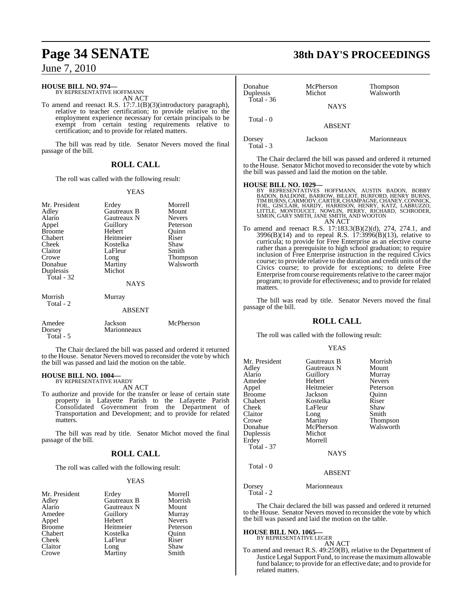#### **HOUSE BILL NO. 974—** BY REPRESENTATIVE HOFFMANN

AN ACT

To amend and reenact R.S. 17:7.1(B)(3)(introductory paragraph), relative to teacher certification; to provide relative to the employment experience necessary for certain principals to be exempt from certain testing requirements relative to certification; and to provide for related matters.

The bill was read by title. Senator Nevers moved the final passage of the bill.

## **ROLL CALL**

The roll was called with the following result:

### YEAS

| Mr. President<br>Adley<br>Alario<br>Appel<br><b>Broome</b><br>Chabert<br>Cheek<br>Claitor<br>Crowe<br>Donahue<br>Duplessis<br>Total - 32 | Erdey<br>Gautreaux B<br>Gautreaux N<br>Guillory<br>Hebert<br>Heitmeier<br>Kostelka<br>LaFleur<br>Long<br>Martiny<br>Michot<br><b>NAYS</b> | Morrell<br>Mount<br><b>Nevers</b><br>Peterson<br>Ouinn<br>Riser<br>Shaw<br>Smith<br>Thompson<br>Walsworth |
|------------------------------------------------------------------------------------------------------------------------------------------|-------------------------------------------------------------------------------------------------------------------------------------------|-----------------------------------------------------------------------------------------------------------|
| Morrish<br>Total - 2                                                                                                                     | Murray<br><b>ABSENT</b>                                                                                                                   |                                                                                                           |
| Amedee<br>Dorsey<br>Total - 5                                                                                                            | Jackson<br>Marionneaux                                                                                                                    | McPherson                                                                                                 |

The Chair declared the bill was passed and ordered it returned to the House. Senator Nevers moved to reconsider the vote by which the bill was passed and laid the motion on the table.

#### **HOUSE BILL NO. 1004—** BY REPRESENTATIVE HARDY

AN ACT

To authorize and provide for the transfer or lease of certain state property in Lafayette Parish to the Lafayette Parish Consolidated Government from the Department of Transportation and Development; and to provide for related matters.

The bill was read by title. Senator Michot moved the final passage of the bill.

## **ROLL CALL**

The roll was called with the following result:

### YEAS

| Morrell       |
|---------------|
|               |
| Morrish       |
| Mount         |
| Murray        |
| <b>Nevers</b> |
| Peterson      |
| Ouinn         |
| Riser         |
| Shaw          |
| Smith         |
|               |

## **Page 34 SENATE 38th DAY'S PROCEEDINGS**

| Donahue<br>Duplessis | McPherson<br>Michot | Thompson<br>Walsworth |
|----------------------|---------------------|-----------------------|
| Total - $36$         | <b>NAYS</b>         |                       |
| Total - 0            | <b>ABSENT</b>       |                       |
| Dorsey<br>Total - 3  | Jackson             | Marionneaux           |

The Chair declared the bill was passed and ordered it returned to the House. Senator Michot moved to reconsider the vote by which the bill was passed and laid the motion on the table.

- **HOUSE BILL NO. 1029—**<br>BY REPRESENTATIVES HOFFMANN, AUSTIN BADON, BOBBY BADON, BALDONE, BARROW, BILLIOT, BURFORD, HENRY BURNS, TIMBURNS, CARMODY, CARTER, CHAMPAGNE, CHANEY, CONNICK, FOIL, GISCLAIR, HARDY, HARRISON, HENRY,
- To amend and reenact R.S. 17:183.3(B)(2)(d), 274, 274.1, and 3996(B)(14) and to repeal R.S. 17:3996(B)(13), relative to curricula; to provide for Free Enterprise as an elective course rather than a prerequisite to high school graduation; to require inclusion of Free Enterprise instruction in the required Civics course; to provide relative to the duration and credit units of the Civics course; to provide for exceptions; to delete Free Enterprise from course requirements relative to the career major program; to provide for effectiveness; and to provide for related matters.

The bill was read by title. Senator Nevers moved the final passage of the bill.

## **ROLL CALL**

The roll was called with the following result:

## YEAS

| Mr. President<br>Adley<br>Alario<br>Amedee<br>Appel<br>Broome<br>Chabert<br>Cheek<br>Claitor<br>Crowe<br>Donahue<br>Duplessis<br>Erdey<br><b>Total - 37</b> | Gautreaux B<br>Gautreaux N<br>Guillory<br>Hebert<br>Heitmeier<br>Jackson<br>Kostelka<br>LaFleur<br>Long<br>Martiny<br>McPherson<br>Michot<br>Morrell<br><b>NAYS</b> | Morrish<br>Mount<br>Murray<br><b>Nevers</b><br>Peterson<br>Ouinn<br>Riser<br>Shaw<br>Smith<br>Thompson<br>Walsworth |
|-------------------------------------------------------------------------------------------------------------------------------------------------------------|---------------------------------------------------------------------------------------------------------------------------------------------------------------------|---------------------------------------------------------------------------------------------------------------------|
| Total - 0                                                                                                                                                   | <b>ABSENT</b>                                                                                                                                                       |                                                                                                                     |

Dorsey Marionneaux

Total - 2

The Chair declared the bill was passed and ordered it returned to the House. Senator Nevers moved to reconsider the vote by which the bill was passed and laid the motion on the table.

# **HOUSE BILL NO. 1065—** BY REPRESENTATIVE LEGER AN ACT

To amend and reenact R.S. 49:259(B), relative to the Department of Justice Legal Support Fund, to increase the maximum allowable fund balance; to provide for an effective date; and to provide for related matters.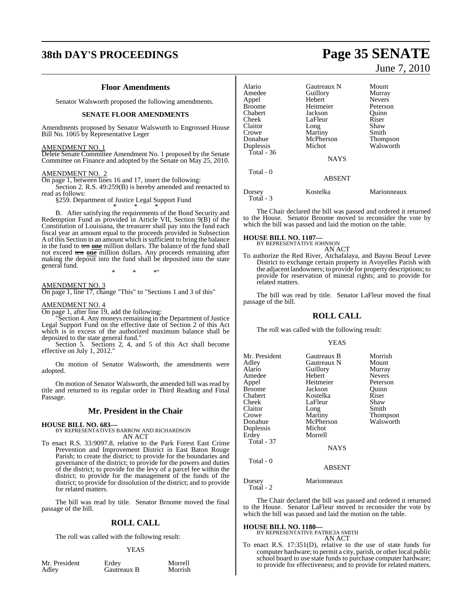## **38th DAY'S PROCEEDINGS Page 35 SENATE**

## **Floor Amendments**

Senator Walsworth proposed the following amendments.

## **SENATE FLOOR AMENDMENTS**

Amendments proposed by Senator Walsworth to Engrossed House Bill No. 1065 by Representative Leger

### AMENDMENT NO. 1

Delete Senate Committee Amendment No. 1 proposed by the Senate Committee on Finance and adopted by the Senate on May 25, 2010.

### AMENDMENT NO. 2

On page 1, between lines 16 and 17, insert the following:

Section 2. R.S. 49:259(B) is hereby amended and reenacted to read as follows:

§259. Department of Justice Legal Support Fund \* \* \*

B. After satisfying the requirements of the Bond Security and Redemption Fund as provided in Article VII, Section 9(B) of the Constitution of Louisiana, the treasurer shall pay into the fund each fiscal year an amount equal to the proceeds provided in Subsection A of this Section in an amount which is sufficient to bring the balance in the fund to ten **one** million dollars. The balance of the fund shall not exceed ten **one** million dollars. Any proceeds remaining after making the deposit into the fund shall be deposited into the state general fund.

\* \* \*"

AMENDMENT NO. 3

On page 1, line 17, change "This" to "Sections 1 and 3 of this"

## AMENDMENT NO. 4

On page 1, after line 19, add the following:

"Section 4. Any moneys remaining in the Department of Justice Legal Support Fund on the effective date of Section 2 of this Act which is in excess of the authorized maximum balance shall be deposited to the state general fund."

Section 5. Sections 2, 4, and 5 of this Act shall become effective on July 1, 2012."

On motion of Senator Walsworth, the amendments were adopted.

On motion of Senator Walsworth, the amended bill was read by title and returned to its regular order in Third Reading and Final Passage.

## **Mr. President in the Chair**

### **HOUSE BILL NO. 683—**

BY REPRESENTATIVES BARROW AND RICHARDSON AN ACT

To enact R.S. 33:9097.8, relative to the Park Forest East Crime Prevention and Improvement District in East Baton Rouge Parish; to create the district; to provide for the boundaries and governance of the district; to provide for the powers and duties of the district; to provide for the levy of a parcel fee within the district; to provide for the management of the funds of the district; to provide for dissolution of the district; and to provide for related matters.

The bill was read by title. Senator Broome moved the final passage of the bill.

## **ROLL CALL**

The roll was called with the following result:

### YEAS

Mr. President Erdey Morrell<br>Adley Gautreaux B Morrish Gautreaux B

June 7, 2010

| Alario<br>Amedee<br>Appel<br><b>Broome</b><br>Chabert<br>Cheek<br>Claitor<br>Crowe<br>Donahue<br>Duplessis<br>Total - $36$ | Gautreaux N<br>Guillory<br>Hebert<br>Heitmeier<br>Jackson<br>LaFleur<br>Long<br>Martiny<br>McPherson<br>Michot<br><b>NAYS</b> | Mount<br>Murray<br><b>Nevers</b><br>Peterson<br>Ouinn<br>Riser<br>Shaw<br>Smith<br><b>Thompson</b><br>Walsworth |
|----------------------------------------------------------------------------------------------------------------------------|-------------------------------------------------------------------------------------------------------------------------------|-----------------------------------------------------------------------------------------------------------------|
| Total - 0                                                                                                                  | <b>ABSENT</b>                                                                                                                 |                                                                                                                 |
| Dorsey                                                                                                                     | Kostelka                                                                                                                      | Marionneaux                                                                                                     |

The Chair declared the bill was passed and ordered it returned to the House. Senator Broome moved to reconsider the vote by which the bill was passed and laid the motion on the table.

## **HOUSE BILL NO. 1107—**

Total - 3

BY REPRESENTATIVE JOHNSON AN ACT

To authorize the Red River, Atchafalaya, and Bayou Beouf Levee District to exchange certain property in Avoyelles Parish with the adjacent landowners; to provide for property descriptions; to provide for reservation of mineral rights; and to provide for related matters.

The bill was read by title. Senator LaFleur moved the final passage of the bill.

## **ROLL CALL**

The roll was called with the following result:

### YEAS

| Mr. President<br>Adley<br>Alario<br>Amedee<br>Appel<br>Broome<br>Chabert<br>Cheek<br>Claitor<br>Crowe<br>Donahue<br>Duplessis<br>Erdey<br><b>Total - 37</b> | Gautreaux B<br>Gautreaux N<br>Guillory<br>Hebert<br>Heitmeier<br>Jackson<br>Kostelka<br>LaFleur<br>Long<br>Martiny<br>McPherson<br>Michot<br>Morrell<br><b>NAYS</b> | Morrish<br>Mount<br>Murray<br><b>Nevers</b><br>Peterson<br>Ouinn<br>Riser<br>Shaw<br>Smith<br><b>Thompson</b><br>Walsworth |
|-------------------------------------------------------------------------------------------------------------------------------------------------------------|---------------------------------------------------------------------------------------------------------------------------------------------------------------------|----------------------------------------------------------------------------------------------------------------------------|
|                                                                                                                                                             |                                                                                                                                                                     |                                                                                                                            |
| Total - 0                                                                                                                                                   | <b>ABSENT</b>                                                                                                                                                       |                                                                                                                            |

Dorsey Marionneaux Total - 2

The Chair declared the bill was passed and ordered it returned to the House. Senator LaFleur moved to reconsider the vote by which the bill was passed and laid the motion on the table.

### **HOUSE BILL NO. 1180—**

BY REPRESENTATIVE PATRICIA SMITH AN ACT

To enact R.S. 17:351(D), relative to the use of state funds for computer hardware; to permit a city, parish, or other local public school board to use state funds to purchase computer hardware; to provide for effectiveness; and to provide for related matters.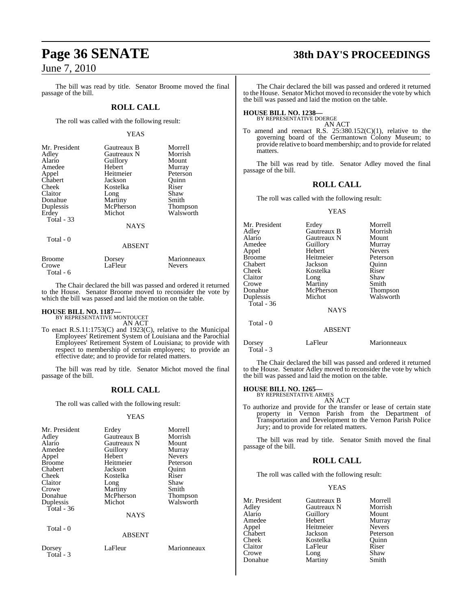The bill was read by title. Senator Broome moved the final passage of the bill.

## **ROLL CALL**

The roll was called with the following result:

## YEAS

| Mr. President<br>Adley<br>Alario<br>Amedee<br>Appel<br>Chabert<br>Cheek<br>Claitor<br>Donahue<br>Duplessis<br>Erdey<br>Total - 33 | Gautreaux B<br>Gautreaux N<br>Guillory<br>Hebert<br>Heitmeier<br>Jackson<br>Kostelka<br>Long<br>Martiny<br>McPherson<br>Michot | Morrell<br>Morrish<br>Mount<br>Murray<br>Peterson<br>Ouinn<br>Riser<br>Shaw<br>Smith<br>Thompson<br>Walsworth |
|-----------------------------------------------------------------------------------------------------------------------------------|--------------------------------------------------------------------------------------------------------------------------------|---------------------------------------------------------------------------------------------------------------|
|                                                                                                                                   | <b>NAYS</b>                                                                                                                    |                                                                                                               |
| Total - 0                                                                                                                         | ABSENT                                                                                                                         |                                                                                                               |

| Broome    | Dorsey  | Marionneaux   |
|-----------|---------|---------------|
| Crowe     | LaFleur | <b>Nevers</b> |
| Total - 6 |         |               |

The Chair declared the bill was passed and ordered it returned to the House. Senator Broome moved to reconsider the vote by which the bill was passed and laid the motion on the table.

## **HOUSE BILL NO. 1187—** BY REPRESENTATIVE MONTOUCET

AN ACT

To enact R.S.11:1753(C) and 1923(C), relative to the Municipal Employees' Retirement System of Louisiana and the Parochial Employees' Retirement System of Louisiana; to provide with respect to membership of certain employees; to provide an effective date; and to provide for related matters.

The bill was read by title. Senator Michot moved the final passage of the bill.

## **ROLL CALL**

The roll was called with the following result:

## YEAS

| Mr. President<br>Adley<br>Alario<br>Amedee<br>Appel<br><b>Broome</b><br>Chabert | Erdey<br>Gautreaux B<br>Gautreaux N<br>Guillory<br>Hebert<br>Heitmeier<br>Jackson | Morrell<br>Morrish<br>Mount<br>Murray<br><b>Nevers</b><br>Peterson<br>Quinn |
|---------------------------------------------------------------------------------|-----------------------------------------------------------------------------------|-----------------------------------------------------------------------------|
| Cheek<br>Claitor<br>Crowe<br>Donahue<br>Duplessis<br>Total - $36$               | Kostelka<br>Long<br>Martiny<br>McPherson<br>Michot<br><b>NAYS</b>                 | Riser<br>Shaw<br>Smith<br><b>Thompson</b><br>Walsworth                      |
| Total - 0                                                                       | <b>ABSENT</b>                                                                     |                                                                             |
| Dorsey<br>Total - 3                                                             | LaFleur                                                                           | Marionneaux                                                                 |

## **Page 36 SENATE 38th DAY'S PROCEEDINGS**

The Chair declared the bill was passed and ordered it returned to the House. Senator Michot moved to reconsider the vote by which the bill was passed and laid the motion on the table.

## **HOUSE BILL NO. 1238—** BY REPRESENTATIVE DOERGE

AN ACT

To amend and reenact R.S.  $25:380.152(C)(1)$ , relative to the governing board of the Germantown Colony Museum; to provide relative to board membership; and to provide for related matters.

The bill was read by title. Senator Adley moved the final passage of the bill.

## **ROLL CALL**

The roll was called with the following result:

### YEAS

| Mr. President       | Erdey         | Morrell       |
|---------------------|---------------|---------------|
| Adley               | Gautreaux B   | Morrish       |
| Alario              | Gautreaux N   | Mount         |
| Amedee              | Guillory      | Murray        |
| Appel               | Hebert        | <b>Nevers</b> |
| Broome              | Heitmeier     | Peterson      |
| Chabert             | Jackson       | Quinn         |
| Cheek               | Kostelka      | Riser         |
| Claitor             | Long          | Shaw          |
| Crowe               | Martiny       | Smith         |
| Donahue             | McPherson     | Thompson      |
| Duplessis           | Michot        | Walsworth     |
| Total - 36          |               |               |
|                     | <b>NAYS</b>   |               |
| Total - 0           |               |               |
|                     | <b>ABSENT</b> |               |
| Dorsey<br>Total - 3 | LaFleur       | Marionneaux   |

The Chair declared the bill was passed and ordered it returned to the House. Senator Adley moved to reconsider the vote by which the bill was passed and laid the motion on the table.

## **HOUSE BILL NO. 1265—** BY REPRESENTATIVE ARMES

AN ACT

To authorize and provide for the transfer or lease of certain state property in Vernon Parish from the Department of Transportation and Development to the Vernon Parish Police Jury; and to provide for related matters.

The bill was read by title. Senator Smith moved the final passage of the bill.

## **ROLL CALL**

The roll was called with the following result:

## YEAS

| Mr. President | Gautreaux B | Morrell       |
|---------------|-------------|---------------|
| Adley         | Gautreaux N | Morrish       |
| Alario        | Guillory    | Mount         |
| Amedee        | Hebert      | Murray        |
| Appel         | Heitmeier   | <b>Nevers</b> |
| Cĥabert       | Jackson     | Peterson      |
| Cheek         | Kostelka    | Ouinn         |
| Claitor       | LaFleur     | Riser         |
| Crowe         | Long        | Shaw          |
| Donahue       | Martiny     | Smith         |
|               |             |               |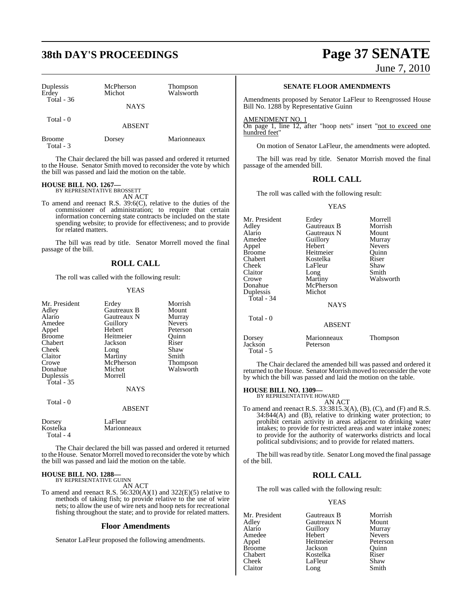## **38th DAY'S PROCEEDINGS Page 37 SENATE**

| Duplessis<br>Erdey         | McPherson<br>Michot | Thompson<br>Walsworth |
|----------------------------|---------------------|-----------------------|
| Total $-36$                | <b>NAYS</b>         |                       |
| Total - 0                  | <b>ABSENT</b>       |                       |
| <b>Broome</b><br>Total - 3 | Dorsey              | Marionneaux           |

The Chair declared the bill was passed and ordered it returned to the House. Senator Smith moved to reconsider the vote by which the bill was passed and laid the motion on the table.

#### **HOUSE BILL NO. 1267—** BY REPRESENTATIVE BROSSETT

AN ACT

To amend and reenact R.S. 39:6(C), relative to the duties of the commissioner of administration; to require that certain information concerning state contracts be included on the state spending website; to provide for effectiveness; and to provide for related matters.

The bill was read by title. Senator Morrell moved the final passage of the bill.

## **ROLL CALL**

The roll was called with the following result:

## YEAS

| Mr. President<br>Adley<br>Alario<br>Amedee<br>Appel<br><b>Broome</b><br>Chabert<br>Cheek<br>Claitor<br>Crowe<br>Donahue | Erdey<br>Gautreaux B<br>Gautreaux N<br>Guillory<br>Hebert<br>Heitmeier<br>Jackson<br>Long<br>Martiny<br>McPherson<br>Michot | Morrish<br>Mount<br>Murray<br><b>Nevers</b><br>Peterson<br>Quinn<br>Riser<br>Shaw<br>Smith<br><b>Thompson</b><br>Walsworth |
|-------------------------------------------------------------------------------------------------------------------------|-----------------------------------------------------------------------------------------------------------------------------|----------------------------------------------------------------------------------------------------------------------------|
| Duplessis<br><b>Total</b> - 35                                                                                          | Morrell<br><b>NAYS</b>                                                                                                      |                                                                                                                            |
| Total - 0                                                                                                               | <b>ABSENT</b>                                                                                                               |                                                                                                                            |
| Dorsey<br>Kostelka<br>Total - 4                                                                                         | LaFleur<br>Marionneaux                                                                                                      |                                                                                                                            |

The Chair declared the bill was passed and ordered it returned to the House. Senator Morrell moved to reconsider the vote by which the bill was passed and laid the motion on the table.

## **HOUSE BILL NO. 1288—** BY REPRESENTATIVE GUINN

AN ACT

To amend and reenact R.S.  $56:320(A)(1)$  and  $322(E)(5)$  relative to methods of taking fish; to provide relative to the use of wire nets; to allow the use of wire nets and hoop nets for recreational fishing throughout the state; and to provide for related matters.

## **Floor Amendments**

Senator LaFleur proposed the following amendments.

June 7, 2010

## **SENATE FLOOR AMENDMENTS**

Amendments proposed by Senator LaFleur to Reengrossed House Bill No. 1288 by Representative Guinn

AMENDMENT NO. 1

On page 1, line 12, after "hoop nets" insert "not to exceed one hundred feet"

On motion of Senator LaFleur, the amendments were adopted.

The bill was read by title. Senator Morrish moved the final passage of the amended bill.

## **ROLL CALL**

The roll was called with the following result:

### YEAS

| Mr. President     | Erdey                   | Morrell       |
|-------------------|-------------------------|---------------|
| Adley             | Gautreaux B             | Morrish       |
| Alario            | Gautreaux N             | Mount         |
| Amedee            | Guillory                | Murray        |
| Appel             | Hebert                  | <b>Nevers</b> |
| Broome            | Heitmeier               | Quinn         |
| Chabert           | Kostelka                | Riser         |
| Cheek             | LaFleur                 | Shaw          |
| Claitor           | Long                    | Smith         |
| Crowe             | Martiny                 | Walsworth     |
| Donahue           | McPherson               |               |
| Duplessis         | Michot                  |               |
| Total - 34        |                         |               |
|                   | <b>NAYS</b>             |               |
| Total $-0$        |                         |               |
|                   | <b>ABSENT</b>           |               |
| Dorsey<br>Jackson | Marionneaux<br>Peterson | Thompson      |

The Chair declared the amended bill was passed and ordered it returned to the House. Senator Morrish moved to reconsider the vote by which the bill was passed and laid the motion on the table.

## **HOUSE BILL NO. 1309—**

Total - 5

BY REPRESENTATIVE HOWARD AN ACT

To amend and reenact R.S. 33:3815.3(A), (B), (C), and (F) and R.S. 34:844(A) and (B), relative to drinking water protection; to prohibit certain activity in areas adjacent to drinking water intakes; to provide for restricted areas and water intake zones; to provide for the authority of waterworks districts and local political subdivisions; and to provide for related matters.

The bill was read by title. Senator Long moved the final passage of the bill.

## **ROLL CALL**

The roll was called with the following result:

## YEAS

| Mr. President | Gautreaux B | Morrish       |
|---------------|-------------|---------------|
| Adley         | Gautreaux N | Mount         |
| Alario        | Guillory    | Murray        |
| Amedee        | Hebert      | <b>Nevers</b> |
| Appel         | Heitmeier   | Peterson      |
| <b>Broome</b> | Jackson     | Ouinn         |
| Chabert       | Kostelka    | Riser         |
| Cheek         | LaFleur     | Shaw          |
| Claitor       | Long        | Smith         |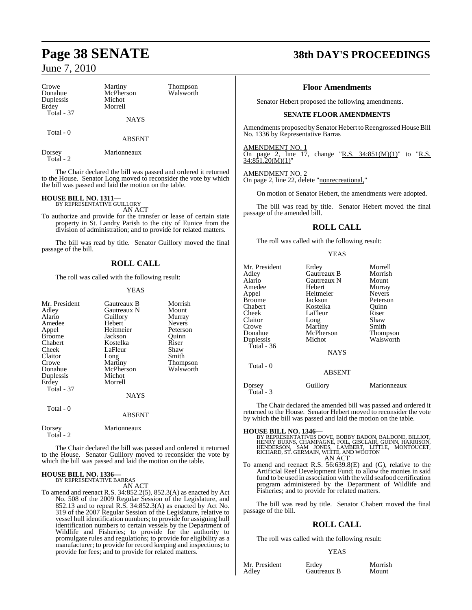| Crowe<br>Donahue<br>Duplessis<br>Erdey<br><b>Total - 37</b> | Martiny<br>McPherson<br>Michot<br>Morrell | Thompson<br>Walsworth | Sena                              |
|-------------------------------------------------------------|-------------------------------------------|-----------------------|-----------------------------------|
|                                                             | <b>NAYS</b>                               |                       |                                   |
| Total - 0                                                   |                                           |                       | Amendm                            |
|                                                             | <b>ABSENT</b>                             |                       | No. 1336                          |
| Dorsey                                                      | Marionneaux                               |                       | <b>AMEND</b><br>$na\sigma$<br>()n |

Total - 2

The Chair declared the bill was passed and ordered it returned to the House. Senator Long moved to reconsider the vote by which the bill was passed and laid the motion on the table.

## **HOUSE BILL NO. 1311—** BY REPRESENTATIVE GUILLORY

AN ACT

To authorize and provide for the transfer or lease of certain state property in St. Landry Parish to the city of Eunice from the division of administration; and to provide for related matters.

The bill was read by title. Senator Guillory moved the final passage of the bill.

## **ROLL CALL**

The roll was called with the following result:

## YEAS

| Mr. President<br>Adley | Gautreaux B<br>Gautreaux N | Morrish<br>Mount |
|------------------------|----------------------------|------------------|
| Alario                 | Guillory                   | Murray           |
| Amedee                 | Hebert                     | <b>Nevers</b>    |
| Appel                  | Heitmeier                  | Peterson         |
| <b>Broome</b>          | Jackson                    | Ouinn            |
| Chabert                | Kostelka                   | Riser            |
| Cheek                  | LaFleur                    | Shaw             |
| Claitor                | Long                       | Smith            |
| Crowe                  | Martiny                    | Thompson         |
| Donahue                | McPherson                  | Walsworth        |
| Duplessis              | Michot                     |                  |
| Erdey                  | Morrell                    |                  |
| <b>Total - 37</b>      |                            |                  |
|                        | NAYS                       |                  |
| Total - 0              |                            |                  |
|                        | <b>ABSENT</b>              |                  |
| Dorsey<br>Total - 2    | Marionneaux                |                  |

The Chair declared the bill was passed and ordered it returned to the House. Senator Guillory moved to reconsider the vote by which the bill was passed and laid the motion on the table.

#### **HOUSE BILL NO. 1336—** BY REPRESENTATIVE BARRAS

AN ACT

To amend and reenact R.S. 34:852.2(5), 852.3(A) as enacted by Act No. 508 of the 2009 Regular Session of the Legislature, and 852.13 and to repeal R.S. 34:852.3(A) as enacted by Act No. 319 of the 2007 Regular Session of the Legislature, relative to vessel hull identification numbers; to provide for assigning hull identification numbers to certain vessels by the Department of Wildlife and Fisheries; to provide for the authority to promulgate rules and regulations; to provide for eligibility as a manufacturer; to provide for record keeping and inspections; to provide for fees; and to provide for related matters.

## **Page 38 SENATE 38th DAY'S PROCEEDINGS**

## **Floor Amendments**

ator Hebert proposed the following amendments.

## **SENATE FLOOR AMENDMENTS**

ents proposed by Senator Hebert to Reengrossed House Bill by Representative Barras

AMENDMENT NO.<br>On page 2, line 1

page 2, line 17, change "R.S.  $34:851(M)(1)$ " to "R.S.  $34:851.20(M)(1)'$ 

## AMENDMENT NO. 2

On page 2, line 22, delete "nonrecreational,"

On motion of Senator Hebert, the amendments were adopted.

The bill was read by title. Senator Hebert moved the final passage of the amended bill.

## **ROLL CALL**

The roll was called with the following result:

YEAS

| Mr. President<br>Adlev<br>Alario<br>Amedee<br>Appel<br>Broome<br>Chabert<br>Cheek<br>Claitor<br>Crowe<br>Donahue<br>Duplessis | Erdey<br>Gautreaux B<br>Gautreaux N<br>Hebert<br>Heitmeier<br>Jackson<br>Kostelka<br>LaFleur<br>Long<br>Martiny<br>McPherson<br>Michot | Morrell<br>Morrish<br>Mount<br>Murray<br><b>Nevers</b><br>Peterson<br>Ouinn<br>Riser<br>Shaw<br>Smith<br>Thompson<br>Walsworth |
|-------------------------------------------------------------------------------------------------------------------------------|----------------------------------------------------------------------------------------------------------------------------------------|--------------------------------------------------------------------------------------------------------------------------------|
| Total - 36                                                                                                                    | <b>NAYS</b>                                                                                                                            |                                                                                                                                |
| Total - 0                                                                                                                     | <b>ABSENT</b>                                                                                                                          |                                                                                                                                |
| Dorsey<br>Total - 3                                                                                                           | Guillory                                                                                                                               | Marionneaux                                                                                                                    |

The Chair declared the amended bill was passed and ordered it returned to the House. Senator Hebert moved to reconsider the vote by which the bill was passed and laid the motion on the table.

## **HOUSE BILL NO. 1346—**

BY REPRESENTATIVES DOVE, BOBBY BADON, BALDONE, BILLIOT,<br>HENRY BURNS, CHAMPAGNE, FOIL, GISCLAIR, GUINN, HARRISON,<br>HENDERSON, SAM JONES, LAMBERT, LITTLE, MONTOUCET,<br>RICHARD, ST. GERMAIN, WHITE, AND WOOTON<br>AN ACT

To amend and reenact R.S. 56:639.8(E) and (G), relative to the Artificial Reef Development Fund; to allow the monies in said fund to be used in association with the wild seafood certification program administered by the Department of Wildlife and Fisheries; and to provide for related matters.

The bill was read by title. Senator Chabert moved the final passage of the bill.

## **ROLL CALL**

The roll was called with the following result:

## YEAS

Mr. President Erdey Morrish<br>Adley Gautreaux B Mount

Gautreaux B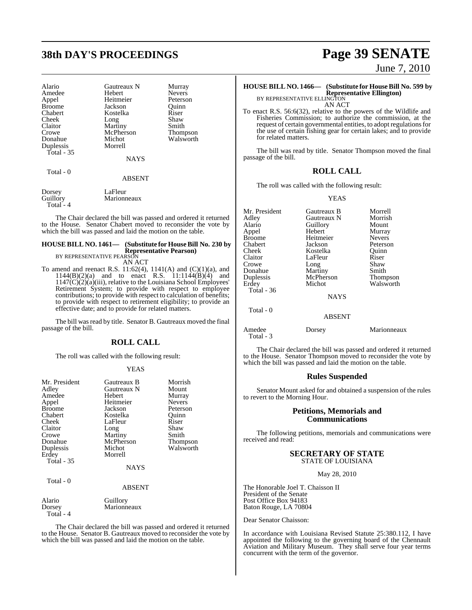## **38th DAY'S PROCEEDINGS Page 39 SENATE**

| Alario        | <b>Gautreaux N</b> | Murray          |
|---------------|--------------------|-----------------|
| Amedee        | Hebert             | <b>Nevers</b>   |
| Appel         | Heitmeier          | Peterson        |
| <b>Broome</b> | Jackson            | Ouinn           |
| Chabert       | Kostelka           | Riser           |
| Cheek         | Long               | Shaw            |
| Claitor       | Martiny            | Smith           |
| Crowe         | McPherson          | <b>Thompson</b> |
| Donahue       | Michot             | Walsworth       |
| Duplessis     | Morrell            |                 |
| Total $-35$   |                    |                 |
|               | <b>NAYS</b>        |                 |
| Total - 0     |                    |                 |
|               | <b>ABSENT</b>      |                 |
|               |                    |                 |

Dorsey LaFleur<br>Guillory Marionn Marionneaux Total - 4

The Chair declared the bill was passed and ordered it returned to the House. Senator Chabert moved to reconsider the vote by which the bill was passed and laid the motion on the table.

## **HOUSE BILL NO. 1461— (Substitute for HouseBill No. 230 by Representative Pearson)** BY REPRESENTATIVE PEARSON

AN ACT

To amend and reenact R.S.  $11:62(4)$ ,  $1141(A)$  and  $(C)(1)(a)$ , and 1144(B)(2)(a) and to enact R.S. 11:1144(B)(4) and  $1147(C)(2)(a)(iii)$ , relative to the Louisiana School Employees' Retirement System; to provide with respect to employee contributions; to provide with respect to calculation of benefits; to provide with respect to retirement eligibility; to provide an effective date; and to provide for related matters.

The bill was read by title. Senator B. Gautreaux moved the final passage of the bill.

## **ROLL CALL**

The roll was called with the following result:

## YEAS

| Gautreaux B<br>Gautreaux N<br><b>Hebert</b><br>Heitmeier<br>Jackson<br>Kostelka<br>LaFleur<br>Long<br>Martiny<br>McPherson<br>Michot | Morrish<br>Mount<br>Murray<br>Nevers<br>Peterson<br>Ouinn<br>Riser<br>Shaw<br>Smith<br><b>Thompson</b><br>Walsworth |
|--------------------------------------------------------------------------------------------------------------------------------------|---------------------------------------------------------------------------------------------------------------------|
| <b>NAYS</b>                                                                                                                          |                                                                                                                     |
| Guillory                                                                                                                             |                                                                                                                     |
|                                                                                                                                      | Morrell<br><b>ABSENT</b><br>Marionneaux                                                                             |

The Chair declared the bill was passed and ordered it returned to the House. Senator B. Gautreaux moved to reconsider the vote by which the bill was passed and laid the motion on the table.

Total - 4

June 7, 2010

### **HOUSE BILL NO. 1466— (Substitute for HouseBill No. 599 by Representative Ellington)** BY REPRESENTATIVE ELLINGTON

AN ACT

To enact R.S. 56:6(32), relative to the powers of the Wildlife and Fisheries Commission; to authorize the commission, at the request of certain governmental entities, to adopt regulations for the use of certain fishing gear for certain lakes; and to provide for related matters.

The bill was read by title. Senator Thompson moved the final passage of the bill.

## **ROLL CALL**

The roll was called with the following result:

YEAS

| Mr. President | Gautreaux B   | Morrell       |
|---------------|---------------|---------------|
| Adley         | Gautreaux N   | Morrish       |
| Alario        | Guillory      | Mount         |
| Appel         | Hebert        | Murray        |
| Broome        | Heitmeier     | <b>Nevers</b> |
| Chabert       | Jackson       | Peterson      |
| Cheek         | Kostelka      | Ouinn         |
| Claitor       | LaFleur       | Riser         |
| Crowe         | Long          | Shaw          |
| Donahue       | Martiny       | Smith         |
| Duplessis     | McPherson     | Thompson      |
| Erdey         | Michot        | Walsworth     |
| Total - 36    |               |               |
|               | <b>NAYS</b>   |               |
| Total - 0     |               |               |
|               | <b>ABSENT</b> |               |
| Amedee        | Dorsey        | Marionneaux   |
|               |               |               |

The Chair declared the bill was passed and ordered it returned to the House. Senator Thompson moved to reconsider the vote by which the bill was passed and laid the motion on the table.

## **Rules Suspended**

Senator Mount asked for and obtained a suspension of the rules to revert to the Morning Hour.

## **Petitions, Memorials and Communications**

The following petitions, memorials and communications were received and read:

## **SECRETARY OF STATE** STATE OF LOUISIANA

May 28, 2010

The Honorable Joel T. Chaisson II President of the Senate Post Office Box 94183 Baton Rouge, LA 70804

Dear Senator Chaisson:

Total - 3

In accordance with Louisiana Revised Statute 25:380.112, I have appointed the following to the governing board of the Chennault Aviation and Military Museum. They shall serve four year terms concurrent with the term of the governor.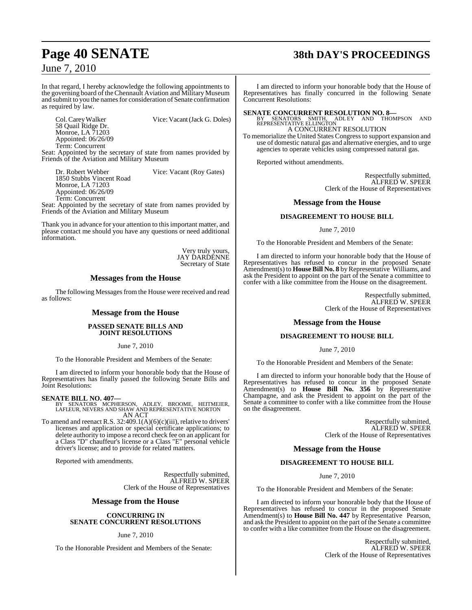## **Page 40 SENATE 38th DAY'S PROCEEDINGS**

June 7, 2010

In that regard, I hereby acknowledge the following appointments to the governing board of the Chennault Aviation and Military Museum and submit to you the names for consideration of Senate confirmation as required by law.

Vice: Vacant (Jack G. Doles) 58 Quail Ridge Dr. Monroe, LA 71203 Appointed: 06/26/09 Term: Concurrent

Seat: Appointed by the secretary of state from names provided by Friends of the Aviation and Military Museum

Dr. Robert Webber Vice: Vacant (Roy Gates) 1850 Stubbs Vincent Road Monroe, LA 71203 Appointed: 06/26/09 Term: Concurrent

Seat: Appointed by the secretary of state from names provided by Friends of the Aviation and Military Museum

Thank you in advance for your attention to thisimportant matter, and please contact me should you have any questions or need additional information.

> Very truly yours, JAY ĎARĎĚNNE Secretary of State

## **Messages from the House**

The following Messages from the House were received and read as follows:

## **Message from the House**

## **PASSED SENATE BILLS AND JOINT RESOLUTIONS**

June 7, 2010

To the Honorable President and Members of the Senate:

I am directed to inform your honorable body that the House of Representatives has finally passed the following Senate Bills and Joint Resolutions:

## **SENATE BILL NO. 407—**

BY SENATORS MCPHERSON, ADLEY, BROOME, HEITMEIER, LAFLEUR, NEVERS AND SHAW AND REPRESENTATIVE NORTON AN ACT

To amend and reenact R.S.  $32:409.1(A)(6)(c)(iii)$ , relative to drivers' licenses and application or special certificate applications; to delete authority to impose a record check fee on an applicant for a Class "D" chauffeur's license or a Class "E" personal vehicle driver's license; and to provide for related matters.

Reported with amendments.

Respectfully submitted, ALFRED W. SPEER Clerk of the House of Representatives

## **Message from the House**

## **CONCURRING IN SENATE CONCURRENT RESOLUTIONS**

June 7, 2010

To the Honorable President and Members of the Senate:

I am directed to inform your honorable body that the House of Representatives has finally concurred in the following Senate Concurrent Resolutions:

**SENATE CONCURRENT RESOLUTION NO. 8—**<br>BY SENATORS SMITH, ADLEY AND THOMPSON AND<br>REPRESENTATIVE ELLINGTON

## A CONCURRENT RESOLUTION

To memorialize the United States Congressto support expansion and use of domestic natural gas and alternative energies, and to urge agencies to operate vehicles using compressed natural gas.

Reported without amendments.

Respectfully submitted, ALFRED W. SPEER Clerk of the House of Representatives

## **Message from the House**

## **DISAGREEMENT TO HOUSE BILL**

June 7, 2010

To the Honorable President and Members of the Senate:

I am directed to inform your honorable body that the House of Representatives has refused to concur in the proposed Senate Amendment(s) to **House Bill No. 8** byRepresentative Williams, and ask the President to appoint on the part of the Senate a committee to confer with a like committee from the House on the disagreement.

> Respectfully submitted, ALFRED W. SPEER Clerk of the House of Representatives

## **Message from the House**

## **DISAGREEMENT TO HOUSE BILL**

June 7, 2010

To the Honorable President and Members of the Senate:

I am directed to inform your honorable body that the House of Representatives has refused to concur in the proposed Senate Amendment(s) to **House Bill No. 356** by Representative Champagne, and ask the President to appoint on the part of the Senate a committee to confer with a like committee from the House on the disagreement.

> Respectfully submitted, ALFRED W. SPEER Clerk of the House of Representatives

## **Message from the House**

## **DISAGREEMENT TO HOUSE BILL**

June 7, 2010

To the Honorable President and Members of the Senate:

I am directed to inform your honorable body that the House of Representatives has refused to concur in the proposed Senate Amendment(s) to **House Bill No. 447** by Representative Pearson, and ask the President to appoint on the part of the Senate a committee to confer with a like committee from the House on the disagreement.

> Respectfully submitted, ALFRED W. SPEER Clerk of the House of Representatives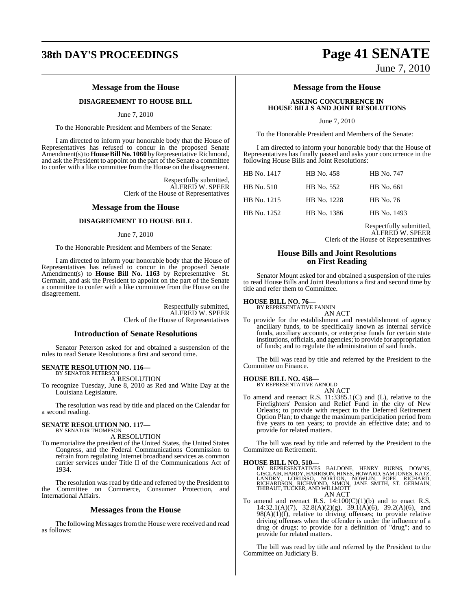## **38th DAY'S PROCEEDINGS Page 41 SENATE**

## **Message from the House**

## **DISAGREEMENT TO HOUSE BILL**

## June 7, 2010

To the Honorable President and Members of the Senate:

I am directed to inform your honorable body that the House of Representatives has refused to concur in the proposed Senate Amendment(s) to **House Bill No. 1060** by Representative Richmond, and ask the President to appoint on the part of the Senate a committee to confer with a like committee from the House on the disagreement.

> Respectfully submitted, ALFRED W. SPEER Clerk of the House of Representatives

## **Message from the House**

### **DISAGREEMENT TO HOUSE BILL**

### June 7, 2010

To the Honorable President and Members of the Senate:

I am directed to inform your honorable body that the House of Representatives has refused to concur in the proposed Senate Amendment(s) to **House Bill No. 1163** by Representative St. Germain, and ask the President to appoint on the part of the Senate a committee to confer with a like committee from the House on the disagreement.

> Respectfully submitted, ALFRED W. SPEER Clerk of the House of Representatives

## **Introduction of Senate Resolutions**

Senator Peterson asked for and obtained a suspension of the rules to read Senate Resolutions a first and second time.

### **SENATE RESOLUTION NO. 116—** BY SENATOR PETERSON

A RESOLUTION

To recognize Tuesday, June 8, 2010 as Red and White Day at the Louisiana Legislature.

The resolution was read by title and placed on the Calendar for a second reading.

#### **SENATE RESOLUTION NO. 117—** BY SENATOR THOMPSON

A RESOLUTION

To memorialize the president of the United States, the United States Congress, and the Federal Communications Commission to refrain from regulating Internet broadband services as common carrier services under Title II of the Communications Act of 1934.

The resolution was read by title and referred by the President to the Committee on Commerce, Consumer Protection, and International Affairs.

## **Messages from the House**

The following Messages from the House were received and read as follows:

June 7, 2010

## **Message from the House**

## **ASKING CONCURRENCE IN HOUSE BILLS AND JOINT RESOLUTIONS**

June 7, 2010

To the Honorable President and Members of the Senate:

I am directed to inform your honorable body that the House of Representatives has finally passed and asks your concurrence in the following House Bills and Joint Resolutions:

| HB No. 1417       | HB No. 458  | HB No. 747  |
|-------------------|-------------|-------------|
| <b>HB</b> No. 510 | HB No. 552  | HB No. 661  |
| HB No. 1215       | HB No. 1228 | HB No. 76   |
| HB No. 1252       | HB No. 1386 | HB No. 1493 |

Respectfully submitted, ALFRED W. SPEER Clerk of the House of Representatives

## **House Bills and Joint Resolutions on First Reading**

Senator Mount asked for and obtained a suspension of the rules to read House Bills and Joint Resolutions a first and second time by title and refer them to Committee.

## **HOUSE BILL NO. 76—** BY REPRESENTATIVE FANNIN

AN ACT

To provide for the establishment and reestablishment of agency ancillary funds, to be specifically known as internal service funds, auxiliary accounts, or enterprise funds for certain state institutions, officials, and agencies; to provide for appropriation of funds; and to regulate the administration of said funds.

The bill was read by title and referred by the President to the Committee on Finance.

## **HOUSE BILL NO. 458—** BY REPRESENTATIVE ARNOLD

AN ACT

To amend and reenact R.S. 11:3385.1(C) and (L), relative to the Firefighters' Pension and Relief Fund in the city of New Orleans; to provide with respect to the Deferred Retirement Option Plan; to change the maximum participation period from five years to ten years; to provide an effective date; and to provide for related matters.

The bill was read by title and referred by the President to the Committee on Retirement.

### **HOUSE BILL NO. 510—**

BY REPRESENTATIVES BALDONE, HENRY BURNS, DOWNS,<br>GISCLAIR,HARDY,HARRISON,HINES,HOWARD,SAMJONES,KATZ,<br>LANDRY, LORUSSO, NORTON, NOWLIN, POPE, RICHARD,<br>RICHARDSON,RICHMOND,SIMON,JANE SMITH,ST. GERMAIN,<br>THIBAUT,TUCKER,ANDWILLMO AN ACT

To amend and reenact R.S.  $14:100(C)(1)(b)$  and to enact R.S. 14:32.1(A)(7), 32.8(A)(2)(g),  $39.1(A)(6)$ , 39.2(A)(6), and  $98(A)(1)(f)$ , relative to driving offenses; to provide relative driving offenses when the offender is under the influence of a drug or drugs; to provide for a definition of "drug"; and to provide for related matters.

The bill was read by title and referred by the President to the Committee on Judiciary B.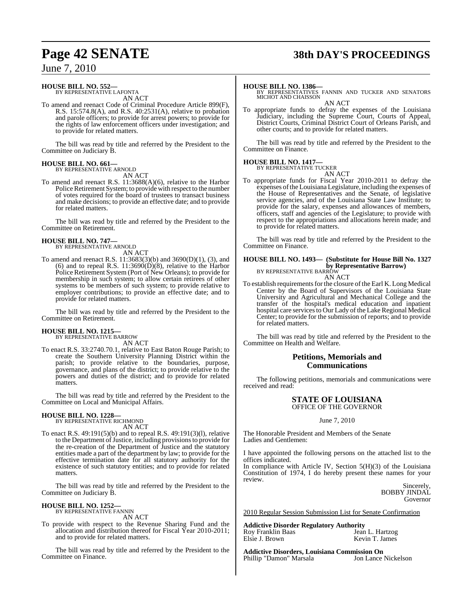## **Page 42 SENATE 38th DAY'S PROCEEDINGS**

## June 7, 2010

## **HOUSE BILL NO. 552—**

BY REPRESENTATIVE LAFONTA AN ACT

To amend and reenact Code of Criminal Procedure Article 899(F), R.S. 15:574.8(A), and R.S. 40:2531(A), relative to probation and parole officers; to provide for arrest powers; to provide for the rights of law enforcement officers under investigation; and to provide for related matters.

The bill was read by title and referred by the President to the Committee on Judiciary B.

## **HOUSE BILL NO. 661—**

BY REPRESENTATIVE ARNOLD AN ACT

To amend and reenact R.S. 11:3688(A)(6), relative to the Harbor Police Retirement System; to provide with respect to the number of votes required for the board of trustees to transact business and make decisions; to provide an effective date; and to provide for related matters.

The bill was read by title and referred by the President to the Committee on Retirement.

## **HOUSE BILL NO. 747—** BY REPRESENTATIVE ARNOLD

- AN ACT To amend and reenact R.S. 11:3683(3)(b) and 3690(D)(1), (3), and
- (6) and to repeal R.S.  $11:3690(D)(8)$ , relative to the Harbor Police Retirement System (Port of New Orleans); to provide for membership in such system; to allow certain retirees of other systems to be members of such system; to provide relative to employer contributions; to provide an effective date; and to provide for related matters.

The bill was read by title and referred by the President to the Committee on Retirement.

## **HOUSE BILL NO. 1215—**

BY REPRESENTATIVE BARROW AN ACT

To enact R.S. 33:2740.70.1, relative to East Baton Rouge Parish; to create the Southern University Planning District within the parish; to provide relative to the boundaries, purpose, governance, and plans of the district; to provide relative to the powers and duties of the district; and to provide for related matters.

The bill was read by title and referred by the President to the Committee on Local and Municipal Affairs.

## **HOUSE BILL NO. 1228—**

BY REPRESENTATIVE RICHMOND AN ACT

To enact R.S. 49:191(5)(b) and to repeal R.S. 49:191(3)(l), relative to the Department of Justice, including provisions to provide for the re-creation of the Department of Justice and the statutory entities made a part of the department by law; to provide for the effective termination date for all statutory authority for the existence of such statutory entities; and to provide for related matters.

The bill was read by title and referred by the President to the Committee on Judiciary B.

#### **HOUSE BILL NO. 1252—** BY REPRESENTATIVE FANNIN

AN ACT

To provide with respect to the Revenue Sharing Fund and the allocation and distribution thereof for Fiscal Year 2010-2011; and to provide for related matters.

The bill was read by title and referred by the President to the Committee on Finance.

**HOUSE BILL NO. 1386—** BY REPRESENTATIVES FANNIN AND TUCKER AND SENATORS MICHOT AND CHAISSON AN ACT

To appropriate funds to defray the expenses of the Louisiana Judiciary, including the Supreme Court, Courts of Appeal, District Courts, Criminal District Court of Orleans Parish, and other courts; and to provide for related matters.

The bill was read by title and referred by the President to the Committee on Finance.

### **HOUSE BILL NO. 1417—** BY REPRESENTATIVE TUCKER

AN ACT

To appropriate funds for Fiscal Year 2010-2011 to defray the expenses ofthe Louisiana Legislature, including the expenses of the House of Representatives and the Senate, of legislative service agencies, and of the Louisiana State Law Institute; to provide for the salary, expenses and allowances of members, officers, staff and agencies of the Legislature; to provide with respect to the appropriations and allocations herein made; and to provide for related matters.

The bill was read by title and referred by the President to the Committee on Finance.

## **HOUSE BILL NO. 1493— (Substitute for House Bill No. 1327 by Representative Barrow)** BY REPRESENTATIVE BARROW

AN ACT

To establish requirements for the closure of the Earl K. Long Medical Center by the Board of Supervisors of the Louisiana State University and Agricultural and Mechanical College and the transfer of the hospital's medical education and inpatient hospital care services to Our Lady of the Lake Regional Medical Center; to provide for the submission of reports; and to provide for related matters.

The bill was read by title and referred by the President to the Committee on Health and Welfare.

## **Petitions, Memorials and Communications**

The following petitions, memorials and communications were received and read:

### **STATE OF LOUISIANA** OFFICE OF THE GOVERNOR

June 7, 2010

The Honorable President and Members of the Senate Ladies and Gentlemen:

I have appointed the following persons on the attached list to the offices indicated.

In compliance with Article IV, Section 5(H)(3) of the Louisiana Constitution of 1974, I do hereby present these names for your review.

Sincerely, BOBBY JINDAL Governor

2010 Regular Session Submission List for Senate Confirmation

**Addictive Disorder Regulatory Authority** Roy Franklin Baas<br>Elsie J. Brown Kevin T. James

**Addictive Disorders, Louisiana Commission On** Phillip "Damon" Marsala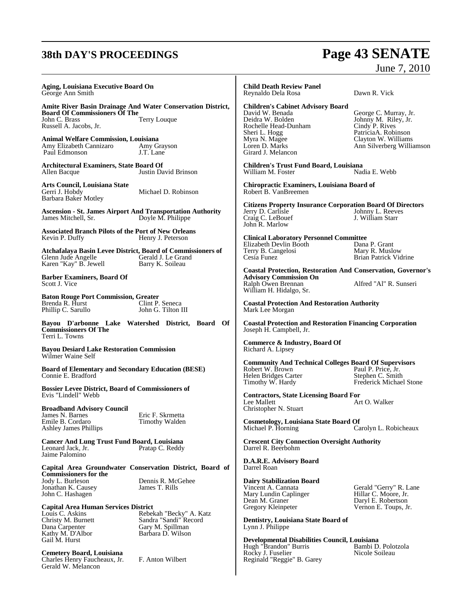## **38th DAY'S PROCEEDINGS Page 43 SENATE** June 7, 2010

| Aging, Louisiana Executive Board On<br>George Ann Smith                                                                                                                                    |                                                                                                                | <b>Child Death Review Panel</b><br>Reynaldo Dela Rosa                                                                                                                             | Dawn R. Vick                                                                                                                               |
|--------------------------------------------------------------------------------------------------------------------------------------------------------------------------------------------|----------------------------------------------------------------------------------------------------------------|-----------------------------------------------------------------------------------------------------------------------------------------------------------------------------------|--------------------------------------------------------------------------------------------------------------------------------------------|
| <b>Board Of Commissioners Of The</b><br>John C. Brass<br>Russell A. Jacobs, Jr.<br><b>Animal Welfare Commission, Louisiana</b><br>Amy Elizabeth Cannizaro<br>Paul Edmonson                 | <b>Amite River Basin Drainage And Water Conservation District,</b><br>Terry Louque<br>Amy Grayson<br>J.T. Lane | <b>Children's Cabinet Advisory Board</b><br>David W. Benada<br>Deidra W. Bolden<br>Rochelle Head-Dunham<br>Sheri L. Hogg<br>Myra N. Magee<br>Loren D. Marks<br>Girard J. Melancon | George C. Murray, Jr.<br>Johnny M. Riley, Jr.<br>Cindy P. Rives<br>PatriciaA. Robinson<br>Clayton W. Williams<br>Ann Silverberg Williamson |
| <b>Architectural Examiners, State Board Of</b><br>Allen Bacque                                                                                                                             | Justin David Brinson                                                                                           | <b>Children's Trust Fund Board, Louisiana</b><br>William M. Foster                                                                                                                | Nadia E. Webb                                                                                                                              |
| Arts Council, Louisiana State<br>Gerri J. Hobdy<br>Barbara Baker Motley                                                                                                                    | Michael D. Robinson                                                                                            | Chiropractic Examiners, Louisiana Board of<br>Robert B. VanBreemen                                                                                                                |                                                                                                                                            |
| <b>Ascension - St. James Airport And Transportation Authority</b><br>James Mitchell, Sr.                                                                                                   | Doyle M. Philippe                                                                                              | <b>Citizens Property Insurance Corporation Board Of Directors</b><br>Jerry D. Carlisle<br>Craig C. LeBouef<br>John R. Marlow                                                      | Johnny L. Reeves<br>J. William Starr                                                                                                       |
| <b>Associated Branch Pilots of the Port of New Orleans</b><br>Kevin P. Duffy<br>Atchafalaya Basin Levee District, Board of Commissioners of<br>Glenn Jude Angelle<br>Karen "Kay" B. Jewell | Henry J. Peterson<br>Gerald J. Le Grand                                                                        | <b>Clinical Laboratory Personnel Committee</b><br>Elizabeth Devlin Booth<br>Terry B. Cangelosi<br>Cesia Funez                                                                     | Dana P. Grant<br>Mary R. Muslow<br>Brian Patrick Vidrine                                                                                   |
| <b>Barber Examiners, Board Of</b><br>Scott J. Vice                                                                                                                                         | Barry K. Soileau                                                                                               | <b>Coastal Protection, Restoration And Conservation, Governor's</b><br><b>Advisory Commission On</b><br>Ralph Owen Brennan<br>William H. Hidalgo, Sr.                             | Alfred "Al" R. Sunseri                                                                                                                     |
| <b>Baton Rouge Port Commission, Greater</b><br>Brenda R. Hurst<br>Phillip C. Sarullo                                                                                                       | Clint P. Seneca<br>John G. Tilton III                                                                          | <b>Coastal Protection And Restoration Authority</b><br>Mark Lee Morgan                                                                                                            |                                                                                                                                            |
| <b>Commissioners Of The</b><br>Terri L. Towns                                                                                                                                              | Bayou D'arbonne Lake Watershed District, Board Of                                                              | <b>Coastal Protection and Restoration Financing Corporation</b><br>Joseph H. Campbell, Jr.                                                                                        |                                                                                                                                            |
| <b>Bayou Desiard Lake Restoration Commission</b><br>Wilmer Waine Self                                                                                                                      |                                                                                                                | Commerce & Industry, Board Of<br>Richard A. Lipsey                                                                                                                                |                                                                                                                                            |
| <b>Board of Elementary and Secondary Education (BESE)</b><br>Connie E. Bradford                                                                                                            |                                                                                                                | <b>Community And Technical Colleges Board Of Supervisors</b><br>Robert W. Brown<br>Helen Bridges Carter<br>Timothy W. Hardy                                                       | Paul P. Price, Jr.<br>Stephen C. Smith<br><b>Frederick Michael Stone</b>                                                                   |
| <b>Bossier Levee District, Board of Commissioners of</b><br>Evis "Lindell" Webb                                                                                                            |                                                                                                                | <b>Contractors, State Licensing Board For</b><br>Lee Mallett                                                                                                                      | Art O. Walker                                                                                                                              |
| <b>Broadband Advisory Council</b><br>James N. Barnes<br>Emile B. Cordaro<br><b>Ashley James Phillips</b>                                                                                   | Eric F. Skrmetta<br>Timothy Walden                                                                             | Christopher N. Stuart<br><b>Cosmetology, Louisiana State Board Of</b><br>Michael P. Horning                                                                                       | Carolyn L. Robicheaux                                                                                                                      |
| <b>Cancer And Lung Trust Fund Board, Louisiana</b><br>Leonard Jack, Jr.<br>Jaime Palomino                                                                                                  | Pratap C. Reddy                                                                                                | <b>Crescent City Connection Oversight Authority</b><br>Darrel R. Beerbohm                                                                                                         |                                                                                                                                            |
| <b>Commissioners for the</b><br>Jody L. Burleson                                                                                                                                           | Capital Area Groundwater Conservation District, Board of<br>Dennis R. McGehee                                  | D.A.R.E. Advisory Board<br>Darrel Roan<br><b>Dairy Stabilization Board</b>                                                                                                        |                                                                                                                                            |
| Jonathan K. Causey<br>John C. Hashagen                                                                                                                                                     | James T. Rills                                                                                                 | Vincent A. Cannata<br>Mary Lundin Caplinger<br>Dean M. Graner                                                                                                                     | Gerald "Gerry" R. Lane<br>Hillar C. Moore, Jr.<br>Daryl E. Robertson                                                                       |
| <b>Capital Area Human Services District</b><br>Louis C. Askins<br>Christy M. Burnett<br>Dana Carpenter<br>Kathy M. D'Albor                                                                 | Rebekah "Becky" A. Katz<br>Sandra "Sandi" Record<br>Gary M. Spillman<br>Barbara D. Wilson                      | Gregory Kleinpeter<br>Dentistry, Louisiana State Board of<br>Lynn J. Philippe                                                                                                     | Vernon E. Toups, Jr.                                                                                                                       |
| Gail M. Hurst<br><b>Cemetery Board, Louisiana</b><br>Charles Henry Faucheaux, Jr.<br>Gerald W. Melancon                                                                                    | F. Anton Wilbert                                                                                               | Developmental Disabilities Council, Louisiana<br>Hugh "Brandon" Burris<br>Rocky J. Fuselier<br>Reginald "Reggie" B. Garey                                                         | Bambi D. Polotzola<br>Nicole Soileau                                                                                                       |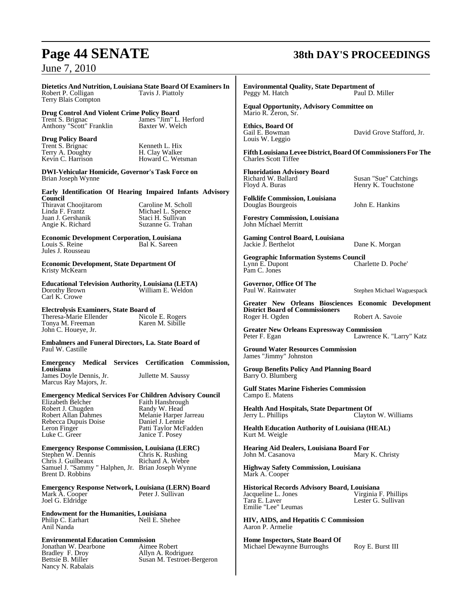**Dietetics And Nutrition, Louisiana State Board Of Examiners In** Robert P. Colligan Terry Blais Compton

**Drug Control And Violent Crime Policy Board** Trent S. Brignac James "Jim" L. Herford Anthony "Scott" Franklin Baxter W. Welch

**Drug Policy Board** Trent S. Brignac Kenneth L. Hix<br>
Terry A. Doughty H. Clay Walker Terry A. Doughty<br>Kevin C. Harrison

Howard C. Wetsman

**DWI-Vehicular Homicide, Governor's Task Force on** Brian Joseph Wynne

**Early Identification Of Hearing Impaired Infants Advisory Council**

Thiravat Choojitarom Caroline M. Scholl<br>
Linda F. Frantz Michael L. Spence Juan J. Gershanik Staci H. Sullivan<br>
Angie K. Richard Suzanne G. Trahan Angie K. Richard

Michael L. Spence<br>Staci H. Sullivan

**Economic Development Corporation, Louisiana** Louis S. Reine Jules J. Rousseau

**Economic Development, State Department Of** Kristy McKearn

**Educational Television Authority, Louisiana (LETA)** William E. Weldon Carl K. Crowe

**Electrolysis Examiners, State Board of** Theresa-Marie Ellender Nicole E. Rogers<br>
Tonya M. Freeman Karen M. Sibille Tonya M. Freeman John C. Houeye, Jr.

**Embalmers and Funeral Directors, La. State Board of** Paul W. Castille

**Emergency Medical Services Certification Commission, Louisiana** James Doyle Dennis, Jr. Jullette M. Saussy

Marcus Ray Majors, Jr.

## **Emergency Medical Services For Children Advisory Council**

Robert J. Chugden<br>Robert Allan Dahmes Rebecca Dupuis Doise<br>Leron Finger

Faith Hansbrough<br>Randy W. Head Melanie Harper Jarreau<br>Daniel J. Lennie Leron Finger Patti Taylor McFadden<br>
Luke C. Greer Patti Taylor McFadden Janice T. Posey

## **Emergency Response Commission, Louisiana (LERC)** Stephen W. Dennis Chris K. Rushing

Chris J. Guilbeaux Richard A. Webre Samuel J. "Sammy " Halphen, Jr. Brian Joseph Wynne Brent D. Robbins'

**Emergency Response Network, Louisiana (LERN) Board** Mark A. Cooper Joel G. Eldridge

**Endowment for the Humanities, Louisiana** Philip C. Earhart Anil Nanda

**Environmental Education Commission**

Jonathan W. Dearbone<br>Bradley F. Droy Bradley F. Droy Allyn A. Rodriguez Nancy N. Rabalais

Bettsie B. Miller Susan M. Testroet-Bergeron

## **Page 44 SENATE 38th DAY'S PROCEEDINGS**

**Environmental Quality, State Department of** Peggy M. Hatch

**Equal Opportunity, Advisory Committee on** Mario R. Zeron, Sr.

**Ethics, Board Of** Louis W. Leggio

David Grove Stafford, Jr.

**FifthLouisianaLevee District,BoardOf Commissioners For The** Charles Scott Tiffee

**Fluoridation Advisory Board** Richard W. Ballard Susan "Sue" Catchings<br>
Floyd A. Buras Susan Henry K. Touchstone

Henry K. Touchstone

**Folklife Commission, Louisiana** Douglas Bourgeois John E. Hankins

**Forestry Commission, Louisiana** John Michael Merritt

**Gaming Control Board, Louisiana** Jackie J. Berthelot Dane K. Morgan

**Geographic Information Systems Council**<br>Lynn E. Dupont Char Charlette D. Poche' Pam C. Jones

**Governor, Office Of The**

Stephen Michael Waguespack

**Greater New Orleans Biosciences Economic Development District Board of Commissioners** Roger H. Ogden Robert A. Savoie

**Greater New Orleans Expressway Commission** Peter F. Egan Lawrence K. "Larry" Katz

**Ground Water Resources Commission** James "Jimmy" Johnston

**Group Benefits Policy And Planning Board** Barry O. Blumberg

**Gulf States Marine Fisheries Commission** Campo E. Matens

**Health And Hospitals, State Department Of** Clayton W. Williams

**Health Education Authority of Louisiana (HEAL)** Kurt M. Weigle

**Hearing Aid Dealers, Louisiana Board For** Mary K. Christy

**Highway Safety Commission, Louisiana** Mark A. Cooper

**Historical Records Advisory Board, Louisiana** Jacqueline L. Jones<br>Tara E. Laver Lester G. Sullivan Emilie "Lee" Leumas

**HIV, AIDS, and Hepatitis C Commission** Aaron P. Armelie

**Home Inspectors, State Board Of** Michael Dewaynne Burroughs Roy E. Burst III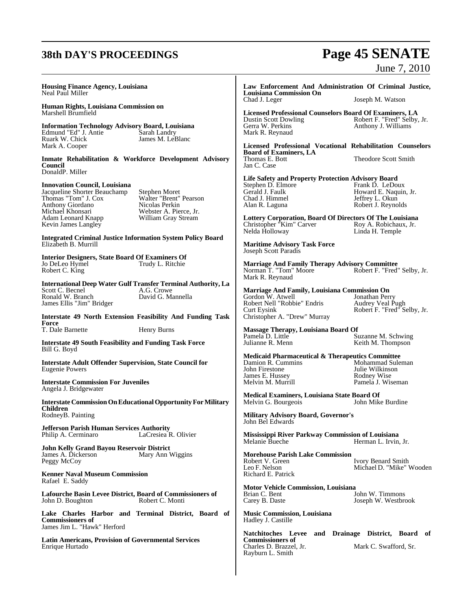## **38th DAY'S PROCEEDINGS Page 45 SENATE**

|                                                                                                                                                                                  |                                                                                                                                                                       |                                                                                                                                                                                                                                                 | June 7, 2010                                                                                                                  |
|----------------------------------------------------------------------------------------------------------------------------------------------------------------------------------|-----------------------------------------------------------------------------------------------------------------------------------------------------------------------|-------------------------------------------------------------------------------------------------------------------------------------------------------------------------------------------------------------------------------------------------|-------------------------------------------------------------------------------------------------------------------------------|
| Housing Finance Agency, Louisiana<br>Neal Paul Miller                                                                                                                            |                                                                                                                                                                       | Law Enforcement And Administration Of Criminal Justice,<br><b>Louisiana Commission On</b>                                                                                                                                                       |                                                                                                                               |
| Human Rights, Louisiana Commission on                                                                                                                                            |                                                                                                                                                                       | Chad J. Leger                                                                                                                                                                                                                                   | Joseph M. Watson                                                                                                              |
| Marshell Brumfield<br><b>Information Technology Advisory Board, Louisiana</b><br>Edmund "Ed" J. Antie<br>Ruark W. Chick                                                          | Sarah Landry<br>James M. LeBlanc                                                                                                                                      | <b>Licensed Professional Counselors Board Of Examiners, LA</b><br><b>Dustin Scott Dowling</b><br>Gerra W. Perkins<br>Mark R. Reynaud                                                                                                            | Robert F. "Fred" Selby, Jr.<br>Anthony J. Williams                                                                            |
| Mark A. Cooper                                                                                                                                                                   |                                                                                                                                                                       | Licensed Professional Vocational Rehabilitation Counselors<br><b>Board of Examiners, LA</b>                                                                                                                                                     |                                                                                                                               |
| Council<br>DonaldP. Miller                                                                                                                                                       | Inmate Rehabilitation & Workforce Development Advisory                                                                                                                | Thomas E. Bott<br>Jan C. Case                                                                                                                                                                                                                   | Theodore Scott Smith                                                                                                          |
| <b>Innovation Council, Louisiana</b><br>Jacqueline Shorter Beauchamp<br>Thomas "Tom" J. Cox<br>Anthony Giordano<br>Michael Khonsari<br>Adam Leonard Knapp<br>Kevin James Langley | Stephen Moret<br>Walter "Brent" Pearson<br>Nicolas Perkin<br>Webster A. Pierce, Jr.<br>William Gray Stream                                                            | <b>Life Safety and Property Protection Advisory Board</b><br>Stephen D. Elmore<br>Gerald J. Faulk<br>Chad J. Himmel<br>Alan R. Laguna<br>Lottery Corporation, Board Of Directors Of The Louisiana<br>Christopher "Kim" Carver<br>Nelda Holloway | Frank D. LeDoux<br>Howard E. Naquin, Jr.<br>Jeffrey L. Okun<br>Robert J. Reynolds<br>Roy A. Robichaux, Jr.<br>Linda H. Temple |
| <b>Integrated Criminal Justice Information System Policy Board</b><br>Elizabeth B. Murrill                                                                                       |                                                                                                                                                                       | <b>Maritime Advisory Task Force</b><br>Joseph Scott Paradis                                                                                                                                                                                     |                                                                                                                               |
| <b>Interior Designers, State Board Of Examiners Of</b><br>Jo DeLeo Hymel<br>Robert C. King                                                                                       | Trudy L. Ritchie                                                                                                                                                      | <b>Marriage And Family Therapy Advisory Committee</b><br>Norman T. "Tom" Moore<br>Mark R. Reynaud                                                                                                                                               | Robert F. "Fred" Selby, Jr.                                                                                                   |
| Scott C. Becnel<br>Ronald W. Branch<br>James Ellis "Jim" Bridger                                                                                                                 | International Deep Water Gulf Transfer Terminal Authority, La<br>A.G. Crowe<br>David G. Mannella<br><b>Interstate 49 North Extension Feasibility And Funding Task</b> | Marriage And Family, Louisiana Commission On<br>Gordon W. Atwell<br>Robert Nell "Robbie" Endris<br><b>Curt Eysink</b><br>Christopher A. "Drew" Murray                                                                                           | Jonathan Perry<br>Audrey Veal Pugh<br>Robert F. "Fred" Selby, Jr.                                                             |
| Force<br>T. Dale Barnette                                                                                                                                                        | Henry Burns                                                                                                                                                           | Massage Therapy, Louisiana Board Of                                                                                                                                                                                                             |                                                                                                                               |
| <b>Interstate 49 South Feasibility and Funding Task Force</b><br>Bill G. Boyd                                                                                                    |                                                                                                                                                                       | Pamela D. Little<br>Julianne R. Menn                                                                                                                                                                                                            | Suzanne M. Schwing<br>Keith M. Thompson                                                                                       |
| <b>Interstate Adult Offender Supervision, State Council for</b><br><b>Eugenie Powers</b><br><b>Interstate Commission For Juveniles</b>                                           |                                                                                                                                                                       | <b>Medicaid Pharmaceutical &amp; Therapeutics Committee</b><br>Damion R. Cummins<br>John Firestone<br>James E. Hussey<br>Melvin M. Murrill                                                                                                      | Mohammad Suleman<br>Julie Wilkinson<br>Rodney Wise                                                                            |
| Angela J. Bridgewater                                                                                                                                                            |                                                                                                                                                                       | Medical Examiners, Louisiana State Board Of                                                                                                                                                                                                     | Pamela J. Wiseman                                                                                                             |
| Children<br>RodneyB. Painting                                                                                                                                                    | <b>Interstate Commission On Educational Opportunity For Military</b>                                                                                                  | Melvin G. Bourgeois<br>Military Advisory Board, Governor's                                                                                                                                                                                      | John Mike Burdine                                                                                                             |
| Jefferson Parish Human Services Authority<br>Philip A. Cerminaro                                                                                                                 | LaCresiea R. Olivier                                                                                                                                                  | John Bel Edwards<br>Mississippi River Parkway Commission of Louisiana<br>Melanie Bueche                                                                                                                                                         | Herman L. Irvin, Jr.                                                                                                          |
| John Kelly Grand Bayou Reservoir District<br>James A. Dickerson<br>Peggy McCoy<br><b>Kenner Naval Museum Commission</b>                                                          | Mary Ann Wiggins                                                                                                                                                      | <b>Morehouse Parish Lake Commission</b><br>Robert V. Green<br>Leo F. Nelson<br>Richard E. Patrick                                                                                                                                               | Ivory Benard Smith<br>Michael D. "Mike" Wooden                                                                                |
| Rafael E. Saddy<br>Lafourche Basin Levee District, Board of Commissioners of<br>John D. Boughton                                                                                 | Robert C. Monti                                                                                                                                                       | <b>Motor Vehicle Commission, Louisiana</b><br>Brian C. Bent<br>Carey B. Daste                                                                                                                                                                   | John W. Timmons<br>Joseph W. Westbrook                                                                                        |
| <b>Commissioners of</b><br>James Jim L. "Hawk" Herford                                                                                                                           | Lake Charles Harbor and Terminal District, Board of                                                                                                                   | <b>Music Commission, Louisiana</b><br>Hadley J. Castille                                                                                                                                                                                        |                                                                                                                               |
| <b>Latin Americans, Provision of Governmental Services</b><br>Enrique Hurtado                                                                                                    |                                                                                                                                                                       | Natchitoches Levee and Drainage District, Board of<br><b>Commissioners of</b><br>Charles D. Brazzel, Jr.<br>Rayburn L. Smith                                                                                                                    | Mark C. Swafford, Sr.                                                                                                         |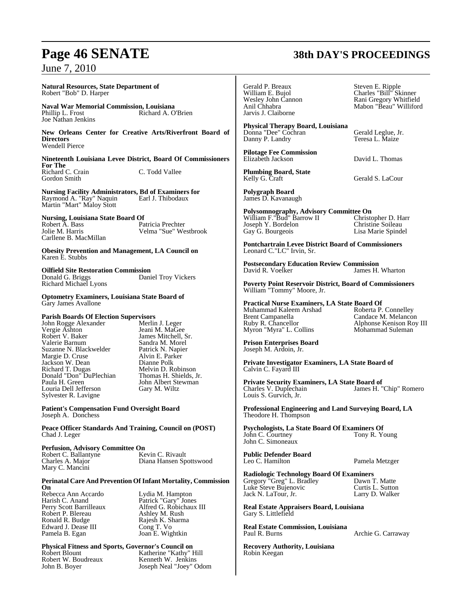## **Page 46 SENATE 38th DAY'S PROCEEDINGS**

June 7, 2010

**Natural Resources, State Department of**  Robert "Bob" D. Harper

**Naval War Memorial Commission, Louisiana** Richard A. O'Brien Joe Nathan Jenkins

**New Orleans Center for Creative Arts/Riverfront Board of Directors** Wendell Pierce

**Nineteenth Louisiana Levee District, Board Of Commissioners For The** Richard C. Crain C. Todd Vallee Gordon Smith

**Nursing Facility Administrators, Bd of Examiners for** Raymond A. "Ray" Naquin Earl J. Thibodaux Martin "Mart" Maloy Stott

**Nursing, Louisiana State Board Of<br>Robert A. Bass Patricia Prechter** Robert A. Bass<br>Jolie M. Harris Velma "Sue" Westbrook Carllene B. MacMillan

**Obesity Prevention and Management, LA Council on** Karen E. Stubbs

**Oilfield Site Restoration Commission**<br>
Donald G. Briggs **Show Band Troy Vickers** Donald G. Briggs Richard Michael Lyons

**Optometry Examiners, Louisiana State Board of** Gary James Avallone

## **Parish Boards Of Election Supervisors**

John Rogge Alexander<br>Vergie Ashton Vergie Ashton Jeani M. MaGee<br>Robert V. Baker James Mitchell, 9 Robert V. Baker James Mitchell, Sr.<br>Valerie Barnum Sandra M. Morel Suzanne N. Blackwelder Patrick N. Napie<br>
Margie D. Cruse Patrick N. Parker Margie D. Cruse Alvin E. Parker<br>
Jackson W. Dean Alvin E. Polk Jackson W. Dean<br>Richard T. Dugas Donald "Don" DuPlechian<br>Paula H. Green Louria Dell Jefferson Sylvester R. Lavigne

Sandra M. Morel<br>Patrick N. Napier Melvin D. Robinson<br>Thomas H. Shields, Jr. John Albert Stewman<br>Gary M. Wiltz

**Patient's Compensation Fund Oversight Board** Joseph A. Donchess

**Peace Officer Standards And Training, Council on (POST)** Chad J. Leger

## **Perfusion, Advisory Committee On<br>Robert C. Ballantyne Kevin C. Rivault**

Robert C. Ballantyne<br>Charles A. Major Mary C. Mancini

Diana Hansen Spottswood

#### **Perinatal Care And Prevention Of Infant Mortality, Commission On**

Rebecca Ann Accardo Lydia M. Hampton<br>
Harish C. Anand Patrick "Gary" Jone Harish C. Anand Patrick "Gary" Jones Perry Scott Barrilleaux Alfred G. Robict<br>
Robert P. Blereau Ashley M. Rush<br>
Ronald R. Budge Rajesh K. Sharm Edward J. Dease III<br>Pamela B. Egan

Perry Scott Barrilleaux Alfred G. Robichaux III Rajesh K. Sharma<br>Cong T. Vo Joan E. Wightkin

**Physical Fitness and Sports, Governor's Council on** Robert Blount Katherine "Kathy" Hill Robert W. Boudreaux Kenneth W. Jenkins John B. Boyer Joseph Neal "Joey" Odom

Gerald P. Breaux Steven E. Ripple Anil Chhabra Mabon "Beau" Williford Jarvis J. Claiborne

**Physical Therapy Board, Louisiana** Donna "Dee" Cochran Gerald Leglue, Jr. Danny P. Landry

**Pilotage Fee Commission** Elizabeth Jackson David L. Thomas

**Plumbing Board, State**

**Polygraph Board** James D. Kavanaugh

**Polysomnography, Advisory Committee On** William F."Bud" Barrow II Christopher D. Harr V. Bordelon Christine Soileau<br>
Gay G. Bourgeois Christine Soileau<br>
Cay G. Bourgeois Lisa Marie Spinde

Lisa Marie Spindel

**Pontchartrain Levee District Board of Commissioners** Leonard C."LC" Irvin, Sr.

**Postsecondary Education Review Commission** James H. Wharton

**Poverty Point Reservoir District, Board of Commissioners** William "Tommy" Moore, Jr.

**Practical Nurse Examiners, LA State Board Of** Muhammad Kaleem Arshad<br>Brent Campanella Brent Campanella **Candace M. Melancon**<br>
Ruby R. Chancellor **Candace M. Melancon**<br>
Alphonse Kenison Roy Myron "Myra" L. Collins

Alphonse Kenison Roy III<br>Mohammad Suleman

**Prison Enterprises Board** Joseph M. Ardoin, Jr.

**Private Investigator Examiners, LA State Board of** Calvin C. Fayard III

**Private Security Examiners, LA State Board of** Charles V. Duplechain Louis S. Gurvich, Jr.

**Professional Engineering and Land Surveying Board, LA** Theodore H. Thompson

**Psychologists, La State Board Of Examiners Of** John C. Courtney Tony R. Young John C. Simoneaux

**Public Defender Board** Leo C. Hamilton Pamela Metzger

**Radiologic Technology Board Of Examiners**

Gregory "Greg" L. Bradley Dawn T. Matte Luke Steve Bujenovic Curtis L. Sutton Jack N. LaTour, Jr.

**Real Estate Appraisers Board, Louisiana** Gary S. Littlefield

**Real Estate Commission, Louisiana**

Archie G. Carraway

**Recovery Authority, Louisiana** Robin Keegan

William E. Bujol Charles "Bill" Skinner Wesley John Cannon Rani Gregory Whitfield

Gerald S. LaCour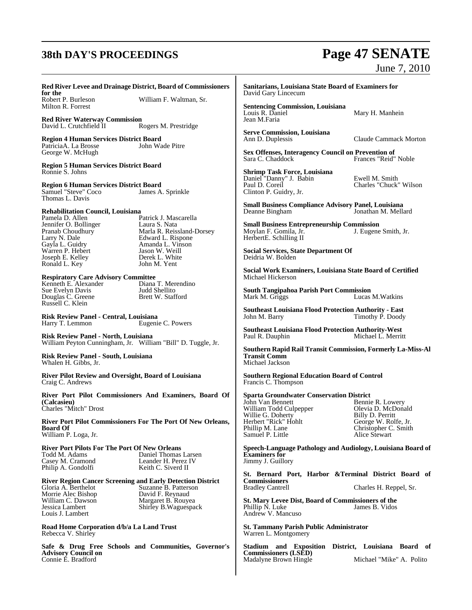## **38th DAY'S PROCEEDINGS Page 47 SENATE**

# June 7, 2010

Mary H. Manhein

## **Red River Levee and Drainage District, Board of Commissioners**

**for the**<br>Robert P. Burleson Milton R. Forrest

William F. Waltman, Sr.

**Red River Waterway Commission**<br>David L. Crutchfield II Rogers M. Prestridge David L. Crutchfield II

**Region 4 Human Services District Board** PatriciaA. La Brosse George W. McHugh

**Region 5 Human Services District Board** Ronnie S. Johns

**Region 6 Human Services District Board** Samuel "Steve" Coco James A. Sprinkle Thomas L. Davis

**Rehabilitation Council, Louisiana**

Jennifer O. Bollinger<br>Pranab Choudhury Gayla L. Guidry Amanda L. Vinson Barry W. Bare<br>Gayla L. Guidry<br>Warren P. Hebert<br>Joseph E. Kelley Joseph E. Kelley Derek L. White Ronald L. Key John M. Yent

Patrick J. Mascarella<br>Laura S. Nata Pranab Choudhury Marla R. Reissland-Dorsey<br>
Larry N. Dale Edward L. Rispone Edward L. Rispone

## **Respiratory Care Advisory Committee**<br>Kenneth E. Alexander Diana T. Merendino

Kenneth E. Alexander Diana T. Merendino Biana Diana T. Merendino Biana Diana T. Merendino Biana Diana T. Merendino Biana Diana T. Merendino Biana Diana T. Merendino Biana Diana Diana Diana Diana Diana Diana Diana Diana Dia Sue Evelyn Davis Judd Shellito Douglas C. Greene Russell C. Klein

**Risk Review Panel - Central, Louisiana** Eugenie C. Powers

**Risk Review Panel - North, Louisiana** William Peyton Cunningham, Jr. William "Bill" D. Tuggle, Jr.

**Risk Review Panel - South, Louisiana** Whalen H. Gibbs, Jr.

**River Pilot Review and Oversight, Board of Louisiana** Craig C. Andrews

**River Port Pilot Commissioners And Examiners, Board Of (Calcasieu)** Charles "Mitch" Drost

**River Port Pilot Commissioners For The Port Of New Orleans, Board Of** William P. Loga, Jr.

## **River Port Pilots For The Port Of New Orleans**

Casey M. Cramond<br>
Philip A. Gondolfi<br>
Keith C. Siverd II Philip A. Gondolfi

Daniel Thomas Larsen<br>Leander H. Perez IV

## **River Region Cancer Screening and Early Detection District**

Morrie Alec Bishop<br>William C. Dawson Louis J. Lambert

Suzanne B. Patterson<br>David F. Reynaud William C. Dawson Margaret B. Rouyea Jessica Lambert Shirley B.Waguespack

**Road Home Corporation d/b/a La Land Trust** Rebecca V. Shirley

**Safe & Drug Free Schools and Communities, Governor's Advisory Council on** Connie E. Bradford

**Sanitarians, Louisiana State Board of Examiners for** David Gary Lincecum

**Sentencing Commission, Louisiana** Jean M.Faria

**Serve Commission, Louisiana**

Claude Cammack Morton

**Sex Offenses, Interagency Council on Prevention of** Frances "Reid" Noble

**Shrimp Task Force, Louisiana** Daniel "Danny" J. Babin Ewell M. Smith Paul D. Coreil Charles "Chuck" Wilson Clinton P. Guidry, Jr.

**Small Business Compliance Advisory Panel, Louisiana** Jonathan M. Mellard

**Small Business Entrepreneurship Commission** Moylan F. Gomila, Jr. HerbertE. Schilling II

**Social Services, State Department Of** Deidria W. Bolden

**Social Work Examiners, Louisiana State Board of Certified** Michael Hickerson

**South Tangipahoa Parish Port Commission** Lucas M. Watkins

**Southeast Louisiana Flood Protection Authority - East** Timothy P. Doody

**Southeast Louisiana Flood Protection Authority-West** Michael L. Merritt

**Southern Rapid Rail Transit Commission, Formerly La-Miss-Al Transit Comm** Michael Jackson

**Southern Regional Education Board of Control** Francis C. Thompson

**Sparta Groundwater Conservation District**

William Todd Culpepper Olevia D. McDonald Willie G. Doherty<br>Herbert "Rick" Hohlt Herbert "Rick" Hohlt George W. Rolfe, Jr.<br>Phillip M. Lane Christopher C. Smith Samuel P. Little

Bennie R. Lowery<br>Olevia D. McDonald Christopher C. Smith<br>Alice Stewart

**Speech-Language Pathology and Audiology, Louisiana Board of Examiners for** Jimmy J. Guillory

**St. Bernard Port, Harbor &Terminal District Board of Commissioners**

Charles H. Reppel, Sr.

**St. Mary Levee Dist, Board of Commissioners of the** Phillip N. Luke James B. Vidos Andrew V. Mancuso

**St. Tammany Parish Public Administrator** Warren L. Montgomery

**Stadium and Exposition District, Louisiana Board of Commissioners (LSED)** Madalyne Brown Hingle Michael "Mike" A. Polito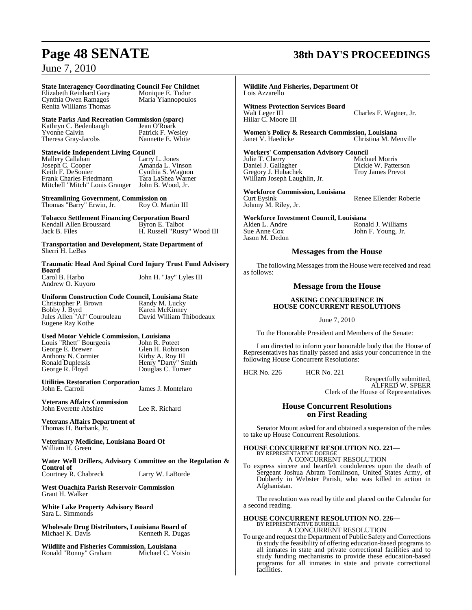## **State Interagency Coordinating Council For Childnet**

Cynthia Owen Ramagos Renita Williams Thomas

Elizabeth Reinhard Gary Monique E. Tudor<br>
Cynthia Owen Ramagos Maria Yiannopoulos

## **State Parks And Recreation Commission (sparc)**

Kathryn C. Bedenbaugh Jean O'Roark Yvonne Calvin Patrick F. Wesley Theresa Gray-Jacobs Nannette E. White

## **Statewide Independent Living Council**<br>Mallery Callahan Larry L. Jones

Mallery Callahan<br>Joseph C. Cooper Joseph C. Cooper Amanda L. Vinson Keith F. DeSonier Cynthia S. Wagnon Keith F. DeSonier<br>
Frank Charles Friedmann Tara LaShea Warner<br>
Mitchell "Mitch" Louis Granger John B. Wood, Jr. Mitchell "Mitch" Louis Granger

**Streamlining Government, Commission on**<br>Thomas "Barry" Erwin, Jr. Roy O. Martin III Thomas "Barry" Erwin, Jr.

**Tobacco Settlement Financing Corporation Board** Kendall Allen Broussard<br>Jack B. Files H. Russell "Rusty" Wood III

**Transportation and Development, State Department of** Sherri H. LeBas

**Traumatic Head And Spinal Cord Injury Trust Fund Advisory Board**<br>Carol B. Harbo John H. "Jay" Lyles III

## **Uniform Construction Code Council, Louisiana State**

Christopher P. Brown<br>Bobby J. Byrd Jules Allen "Al" Courouleau Eugene Ray Kothe

Andrew O. Kuyoro

Karen McKinney<br>David William Thibodeaux

## **Used Motor Vehicle Commission, Louisiana**

Louis "Rhett" Bourgeois<br>George E. Brewer Anthony N. Cormier<br>Ronald Duplessis<br>George R. Floyd Ronald Duplessis Henry "Darty" Smith George R. Floyd Douglas C. Turner

Glen H. Robinson

**Utilities Restoration Corporation** James J. Montelaro

**Veterans Affairs Commission** John Everette Abshire Lee R. Richard

**Veterans Affairs Department of** Thomas H. Burbank, Jr.

**Veterinary Medicine, Louisiana Board Of** William H. Green

**Water Well Drillers, Advisory Committee on the Regulation & Control of** Courtney R. Chabreck Larry W. LaBorde

**West Ouachita Parish Reservoir Commission** Grant H. Walker

**White Lake Property Advisory Board** Sara L. Simmonds

**Wholesale Drug Distributors, Louisiana Board of** Kenneth R. Dugas

**Wildlife and Fisheries Commission, Louisiana** Ronald "Ronny" Graham

## **Page 48 SENATE 38th DAY'S PROCEEDINGS**

### **Wildlife And Fisheries, Department Of** Lois Azzarello

**Witness Protection Services Board** Charles F. Wagner, Jr. Hillar C. Moore III

**Women's Policy & Research Commission, Louisiana** Christina M. Menville

**Workers' Compensation Advisory Council** Julie T. Cherry Michael Morris Daniel J. Gallagher Dickie W. Patterson Gregory J. Hubachek Troy James Prevot William Joseph Laughlin, Jr.

**Workforce Commission, Louisiana** Johnny M. Riley, Jr.

Renee Ellender Roberie

**Workforce Investment Council, Louisiana**

Jason M. Dedon

Alden L. Andre Ronald J. Williams<br>
Sue Anne Cox John F. Young, Jr. John F. Young, Jr.

## **Messages from the House**

The following Messages from the House were received and read as follows:

## **Message from the House**

## **ASKING CONCURRENCE IN HOUSE CONCURRENT RESOLUTIONS**

June 7, 2010

To the Honorable President and Members of the Senate:

I am directed to inform your honorable body that the House of Representatives has finally passed and asks your concurrence in the following House Concurrent Resolutions:

HCR No. 226 HCR No. 221

Respectfully submitted, ALFRED W. SPEER Clerk of the House of Representatives

## **House Concurrent Resolutions on First Reading**

Senator Mount asked for and obtained a suspension of the rules to take up House Concurrent Resolutions.

## **HOUSE CONCURRENT RESOLUTION NO. 221—** BY REPRESENTATIVE DOERGE A CONCURRENT RESOLUTION

To express sincere and heartfelt condolences upon the death of Sergeant Joshua Abram Tomlinson, United States Army, of Dubberly in Webster Parish, who was killed in action in Afghanistan.

The resolution was read by title and placed on the Calendar for a second reading.

## **HOUSE CONCURRENT RESOLUTION NO. 226—** BY REPRESENTATIVE BURRELL A CONCURRENT RESOLUTION

To urge and request the Department of Public Safety and Corrections to study the feasibility of offering education-based programs to all inmates in state and private correctional facilities and to study funding mechanisms to provide these education-based programs for all inmates in state and private correctional facilities.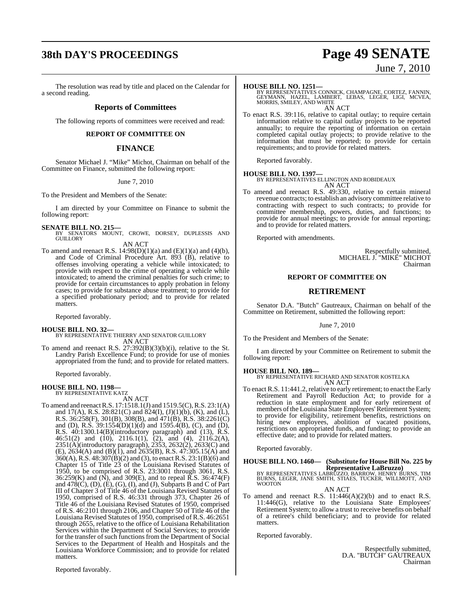## **38th DAY'S PROCEEDINGS Page 49 SENATE**

## The resolution was read by title and placed on the Calendar for a second reading.

## **Reports of Committees**

The following reports of committees were received and read:

## **REPORT OF COMMITTEE ON**

## **FINANCE**

Senator Michael J. "Mike" Michot, Chairman on behalf of the Committee on Finance, submitted the following report:

June 7, 2010

To the President and Members of the Senate:

I am directed by your Committee on Finance to submit the following report:

## **SENATE BILL NO. 215—**

BY SENATORS MOUNT, CROWE, DORSEY, DUPLESSIS AND GUILLORY AN ACT

To amend and reenact R.S.  $14:98(D)(1)(a)$  and  $(E)(1)(a)$  and  $(4)(b)$ , and Code of Criminal Procedure Art. 893 (B), relative to offenses involving operating a vehicle while intoxicated; to provide with respect to the crime of operating a vehicle while intoxicated; to amend the criminal penalties for such crime; to provide for certain circumstances to apply probation in felony cases; to provide for substance abuse treatment; to provide for a specified probationary period; and to provide for related matters.

Reported favorably.

**HOUSE BILL NO. 32—** BY REPRESENTATIVE THIERRY AND SENATOR GUILLORY AN ACT

To amend and reenact R.S. 27:392(B)(3)(b)(i), relative to the St. Landry Parish Excellence Fund; to provide for use of monies appropriated from the fund; and to provide for related matters.

Reported favorably.

## **HOUSE BILL NO. 1198—** BY REPRESENTATIVE KATZ

AN ACT

To amend and reenactR.S. 17:1518.1(J) and 1519.5(C),R.S. 23:1(A) and 17(A), R.S. 28:821(C) and  $824(I)$ ,  $(J)(1)(b)$ ,  $(K)$ , and  $(L)$ , R.S. 36:258(F), 301(B), 308(B), and 471(B), R.S. 38:2261(C) and (D), R.S.  $39:1554(D)(1)(d)$  and  $1595.4(B)$ , (C), and (D), R.S. 40:1300.14(B)(introductory paragraph) and (13), R.S. 46:51(2) and (10), 2116.1(1), (2), and (4), 2116.2(A), 2351(A)(introductory paragraph), 2353, 2632(2), 2633(C) and  $(E)$ , 2634(A) and (B)(1), and 2635(B), R.S. 47:305.15(A) and 360(A), R.S. 48:307(B)(2) and (3), to enact R.S. 23:1(B)(6) and Chapter 15 of Title 23 of the Louisiana Revised Statutes of 1950, to be comprised of R.S. 23:3001 through 3061, R.S. 36:259(K) and (N), and 309(E), and to repeal  $\overline{R}$ .S. 36:474(F) and  $478(C)$ , (D), (E), (G), (I), and (J), Subparts B and C of Part III of Chapter 3 of Title 46 of the Louisiana Revised Statutes of 1950, comprised of R.S. 46:331 through 373, Chapter 26 of Title 46 of the Louisiana Revised Statutes of 1950, comprised of R.S. 46:2101 through 2106, and Chapter 50 of Title 46 of the Louisiana Revised Statutes of 1950, comprised of R.S. 46:2651 through 2655, relative to the office of Louisiana Rehabilitation Services within the Department of Social Services; to provide for the transfer of such functions from the Department of Social Services to the Department of Health and Hospitals and the Louisiana Workforce Commission; and to provide for related matters.

June 7, 2010

**HOUSE BILL NO. 1251—**<br>BY REPRESENTATIVES CONNICK, CHAMPAGNE, CORTEZ, FANNIN,<br>GEYMANN, HAZEL, LAMBERT, LEBAS, LEGER, LIGI, MCVEA,<br>MORRIS, SMILEY, AND WHITE AN ACT

To enact R.S. 39:116, relative to capital outlay; to require certain information relative to capital outlay projects to be reported annually; to require the reporting of information on certain completed capital outlay projects; to provide relative to the information that must be reported; to provide for certain requirements; and to provide for related matters.

Reported favorably.

**HOUSE BILL NO. 1397—** BY REPRESENTATIVES ELLINGTON AND ROBIDEAUX AN ACT

To amend and reenact R.S. 49:330, relative to certain mineral revenue contracts; to establish an advisory committee relative to contracting with respect to such contracts; to provide for committee membership, powers, duties, and functions; to provide for annual meetings; to provide for annual reporting; and to provide for related matters.

Reported with amendments.

Respectfully submitted, MICHAEL J. "MIKE" MICHOT Chairman

## **REPORT OF COMMITTEE ON**

## **RETIREMENT**

Senator D.A. "Butch" Gautreaux, Chairman on behalf of the Committee on Retirement, submitted the following report:

### June 7, 2010

To the President and Members of the Senate:

I am directed by your Committee on Retirement to submit the following report:

**HOUSE BILL NO. 189—** BY REPRESENTATIVE RICHARD AND SENATOR KOSTELKA AN ACT

To enact R.S. 11:441.2, relative to early retirement; to enact the Early Retirement and Payroll Reduction Act; to provide for a reduction in state employment and for early retirement of members of the Louisiana State Employees' Retirement System; to provide for eligibility, retirement benefits, restrictions on hiring new employees, abolition of vacated positions, restrictions on appropriated funds, and funding; to provide an effective date; and to provide for related matters.

Reported favorably.

## **HOUSE BILL NO. 1460— (Substitute for House Bill No. 225 by Representative LaBruzzo)**

BY REPRESENTATIVES LABRŪZZO, BARROW, HENRY BURNS, TIM<br>BURNS, LEGER, JANE SMITH, STIAES, TUCKER, WILLMOTT, AND WOOTON AN ACT

To amend and reenact R.S. 11:446(A)(2)(b) and to enact R.S. 11:446(G), relative to the Louisiana State Employees' Retirement System; to allow a trust to receive benefits on behalf of a retiree's child beneficiary; and to provide for related matters.

Reported favorably.

Respectfully submitted, D.A. "BUTCH" GAUTREAUX Chairman

Reported favorably.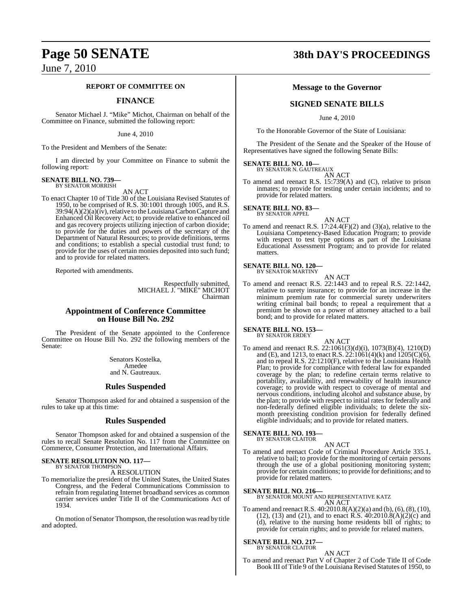## **Page 50 SENATE 38th DAY'S PROCEEDINGS**

## **REPORT OF COMMITTEE ON**

## **FINANCE**

Senator Michael J. "Mike" Michot, Chairman on behalf of the Committee on Finance, submitted the following report:

June 4, 2010

To the President and Members of the Senate:

I am directed by your Committee on Finance to submit the following report:

#### **SENATE BILL NO. 739—** BY SENATOR MORRISH

AN ACT

To enact Chapter 10 of Title 30 of the Louisiana Revised Statutes of 1950, to be comprised of R.S. 30:1001 through 1005, and R.S.  $39:94(A)(2)(a)(iv)$ , relative to the Louisiana Carbon Capture and Enhanced Oil Recovery Act; to provide relative to enhanced oil and gas recovery projects utilizing injection of carbon dioxide; to provide for the duties and powers of the secretary of the Department of Natural Resources; to provide definitions, terms and conditions; to establish a special custodial trust fund; to provide for the uses of certain monies deposited into such fund; and to provide for related matters.

Reported with amendments.

Respectfully submitted, MICHAEL J. "MIKE" MICHOT Chairman

## **Appointment of Conference Committee on House Bill No. 292**

The President of the Senate appointed to the Conference Committee on House Bill No. 292 the following members of the Senate:

> Senators Kostelka, Amedee and N. Gautreaux.

## **Rules Suspended**

Senator Thompson asked for and obtained a suspension of the rules to take up at this time:

## **Rules Suspended**

Senator Thompson asked for and obtained a suspension of the rules to recall Senate Resolution No. 117 from the Committee on Commerce, Consumer Protection, and International Affairs.

## **SENATE RESOLUTION NO. 117—**

BY SENATOR THOMPSON A RESOLUTION

To memorialize the president of the United States, the United States Congress, and the Federal Communications Commission to refrain from regulating Internet broadband services as common carrier services under Title II of the Communications Act of 1934.

On motion of Senator Thompson, the resolution wasread by title and adopted.

## **Message to the Governor**

## **SIGNED SENATE BILLS**

June 4, 2010

To the Honorable Governor of the State of Louisiana:

The President of the Senate and the Speaker of the House of Representatives have signed the following Senate Bills:

## **SENATE BILL NO. 10—** BY SENATOR N. GAUTREAUX

AN ACT

To amend and reenact R.S. 15:739(A) and (C), relative to prison inmates; to provide for testing under certain incidents; and to provide for related matters.

**SENATE BILL NO. 83—** BY SENATOR APPEL

AN ACT To amend and reenact R.S.  $17:24.4(F)(2)$  and  $(3)(a)$ , relative to the Louisiana Competency-Based Education Program; to provide with respect to test type options as part of the Louisiana Educational Assessment Program; and to provide for related matters.

#### **SENATE BILL NO. 120—** BY SENATOR MARTINY

AN ACT

To amend and reenact R.S. 22:1443 and to repeal R.S. 22:1442, relative to surety insurance; to provide for an increase in the minimum premium rate for commercial surety underwriters writing criminal bail bonds; to repeal a requirement that a premium be shown on a power of attorney attached to a bail bond; and to provide for related matters.

## **SENATE BILL NO. 153—** BY SENATOR ERDEY

AN ACT

To amend and reenact R.S. 22:1061(3)(d)(i), 1073(B)(4), 1210(D) and (E), and 1213, to enact R.S.  $22:1061(4)$ (k) and  $1205(C)(6)$ , and to repeal R.S. 22:1210(F), relative to the Louisiana Health Plan; to provide for compliance with federal law for expanded coverage by the plan; to redefine certain terms relative to portability, availability, and renewability of health insurance coverage; to provide with respect to coverage of mental and nervous conditions, including alcohol and substance abuse, by the plan; to provide with respect to initial rates for federally and non-federally defined eligible individuals; to delete the sixmonth preexisting condition provision for federally defined eligible individuals; and to provide for related matters.

## **SENATE BILL NO. 193—** BY SENATOR CLAITOR

AN ACT To amend and reenact Code of Criminal Procedure Article 335.1, relative to bail; to provide for the monitoring of certain persons through the use of a global positioning monitoring system; provide for certain conditions; to provide for definitions; and to provide for related matters.

**SENATE BILL NO. 216—** BY SENATOR MOUNT AND REPRESENTATIVE KATZ AN ACT

To amend and reenact R.S. 40:2010.8(A)(2)(a) and (b), (6), (8), (10), (12), (13) and (21), and to enact R.S.  $40:2010.8(A)(2)(c)$  and (d), relative to the nursing home residents bill of rights; to provide for certain rights; and to provide for related matters.

## **SENATE BILL NO. 217—** BY SENATOR CLAITOR

AN ACT To amend and reenact Part V of Chapter 2 of Code Title II of Code Book III of Title 9 of the Louisiana Revised Statutes of 1950, to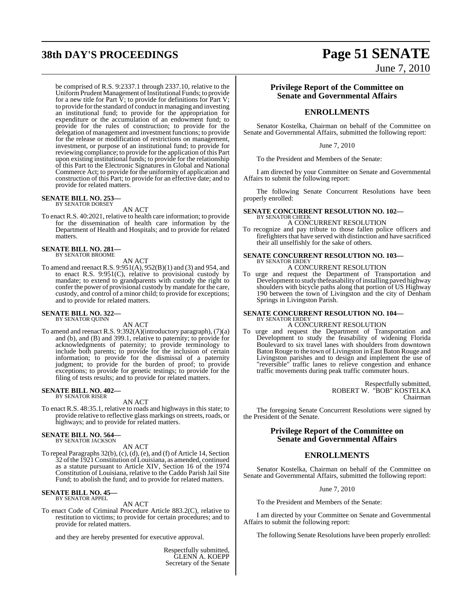# **38th DAY'S PROCEEDINGS Page 51 SENATE**

June 7, 2010

be comprised of R.S. 9:2337.1 through 2337.10, relative to the Uniform Prudent Management of Institutional Funds; to provide for a new title for Part  $\bar{V}$ ; to provide for definitions for Part V; to provide forthe standard of conduct in managing and investing an institutional fund; to provide for the appropriation for expenditure or the accumulation of an endowment fund; to provide for the rules of construction; to provide for the delegation of management and investment functions; to provide for the release or modification of restrictions on management, investment, or purpose of an institutional fund; to provide for reviewing compliance; to provide for the application of this Part upon existing institutional funds; to provide for the relationship of this Part to the Electronic Signatures in Global and National Commerce Act; to provide for the uniformity of application and construction of this Part; to provide for an effective date; and to provide for related matters.

## **SENATE BILL NO. 253—** BY SENATOR DORSEY

AN ACT

To enact R.S. 40:2021, relative to health care information; to provide for the dissemination of health care information by the Department of Health and Hospitals; and to provide for related matters.

## **SENATE BILL NO. 281—** BY SENATOR BROOME

AN ACT

To amend and reenact R.S. 9:951(A), 952(B)(1) and (3) and 954, and to enact R.S. 9:951(C), relative to provisional custody by mandate; to extend to grandparents with custody the right to confer the power of provisional custody by mandate for the care, custody, and control of a minor child; to provide for exceptions; and to provide for related matters.

## **SENATE BILL NO. 322—** BY SENATOR QUINN

AN ACT

To amend and reenact R.S. 9:392(A)(introductory paragraph), (7)(a) and (b), and (B) and 399.1, relative to paternity; to provide for acknowledgments of paternity; to provide terminology to include both parents; to provide for the inclusion of certain information; to provide for the dismissal of a paternity judgment; to provide for the burden of proof; to provide exceptions; to provide for genetic testings; to provide for the filing of tests results; and to provide for related matters.

## **SENATE BILL NO. 402—** BY SENATOR RISER

AN ACT

To enact R.S. 48:35.1, relative to roads and highways in this state; to provide relative to reflective glass markings on streets, roads, or highways; and to provide for related matters.

## **SENATE BILL NO. 564—** BY SENATOR JACKSON

AN ACT

To repeal Paragraphs 32(b), (c), (d), (e), and (f) of Article 14, Section 32 ofthe 1921Constitution ofLouisiana, as amended, continued as a statute pursuant to Article XIV, Section 16 of the 1974 Constitution of Louisiana, relative to the Caddo Parish Jail Site Fund; to abolish the fund; and to provide for related matters.

## **SENATE BILL NO. 45—** BY SENATOR APPEL

AN ACT

To enact Code of Criminal Procedure Article 883.2(C), relative to restitution to victims; to provide for certain procedures; and to provide for related matters.

and they are hereby presented for executive approval.

Respectfully submitted, GLENN A. KOEPP Secretary of the Senate

## **Privilege Report of the Committee on Senate and Governmental Affairs**

## **ENROLLMENTS**

Senator Kostelka, Chairman on behalf of the Committee on Senate and Governmental Affairs, submitted the following report:

## June 7, 2010

To the President and Members of the Senate:

I am directed by your Committee on Senate and Governmental Affairs to submit the following report:

The following Senate Concurrent Resolutions have been properly enrolled:

#### **SENATE CONCURRENT RESOLUTION NO. 102—** BY SENATOR CHEEK

A CONCURRENT RESOLUTION

To recognize and pay tribute to those fallen police officers and firefighters that have served with distinction and have sacrificed their all unselfishly for the sake of others.

#### **SENATE CONCURRENT RESOLUTION NO. 103—** BY SENATOR ERDEY

A CONCURRENT RESOLUTION

To urge and request the Department of Transportation and Development to study thefeasability of installing paved highway shoulders with bicycle paths along that portion of US Highway 190 between the town of Livingston and the city of Denham Springs in Livingston Parish.

### **SENATE CONCURRENT RESOLUTION NO. 104—** BY SENATOR ERDEY

A CONCURRENT RESOLUTION

To urge and request the Department of Transportation and Development to study the feasability of widening Florida Boulevard to six travel lanes with shoulders from downtown Baton Rouge to the town of Livingston in East Baton Rouge and Livingston parishes and to design and implement the use of "reversible" traffic lanes to relieve congestion and enhance traffic movements during peak traffic commuter hours.

> Respectfully submitted, ROBERT W. "BOB" KOSTELKA Chairman

The foregoing Senate Concurrent Resolutions were signed by the President of the Senate.

## **Privilege Report of the Committee on Senate and Governmental Affairs**

## **ENROLLMENTS**

Senator Kostelka, Chairman on behalf of the Committee on Senate and Governmental Affairs, submitted the following report:

June 7, 2010

To the President and Members of the Senate:

I am directed by your Committee on Senate and Governmental Affairs to submit the following report:

The following Senate Resolutions have been properly enrolled: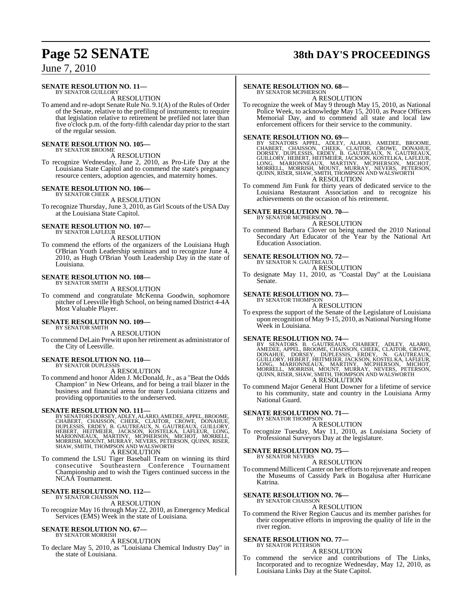## **Page 52 SENATE 38th DAY'S PROCEEDINGS**

## June 7, 2010

#### **SENATE RESOLUTION NO. 11—** BY SENATOR GUILLORY

A RESOLUTION

To amend and re-adopt Senate Rule No. 9.1(A) of the Rules of Order of the Senate, relative to the prefiling of instruments; to require that legislation relative to retirement be prefiled not later than five o'clock p.m. of the forty-fifth calendar day prior to the start of the regular session.

#### **SENATE RESOLUTION NO. 105—** BY SENATOR BROOME

### A RESOLUTION

To recognize Wednesday, June 2, 2010, as Pro-Life Day at the Louisiana State Capitol and to commend the state's pregnancy resource centers, adoption agencies, and maternity homes.

#### **SENATE RESOLUTION NO. 106—** BY SENATOR CHEEK

A RESOLUTION

To recognize Thursday, June 3, 2010, as Girl Scouts of the USA Day at the Louisiana State Capitol.

### **SENATE RESOLUTION NO. 107—** BY SENATOR LAFLEUR

A RESOLUTION

To commend the efforts of the organizers of the Louisiana Hugh O'Brian Youth Leadership seminars and to recognize June 4, 2010, as Hugh O'Brian Youth Leadership Day in the state of Louisiana.

#### **SENATE RESOLUTION NO. 108—** BY SENATOR SMITH

A RESOLUTION

To commend and congratulate McKenna Goodwin, sophomore pitcher of Leesville High School, on being named District 4-4A Most Valuable Player.

## **SENATE RESOLUTION NO. 109—** BY SENATOR SMITH

A RESOLUTION

To commend DeLain Prewitt upon her retirement as administrator of the City of Leesville.

## **SENATE RESOLUTION NO. 110—**

BY SENATOR DUPLESSIS A RESOLUTION

To commend and honor Alden J. McDonald, Jr., as a "Beat the Odds Champion" in New Orleans, and for being a trail blazer in the business and financial arena for many Louisiana citizens and providing opportunities to the underserved.

SENATE RESOLUTION NO. 111—<br>BY SENATORS DORSEY, ADLEY, ALARIO, AMEDEE, APPEL, BROOME, CHABERT, CHAISSON, CHEEK, CLAITOR, CRÓWE, DONAHUE,<br>DUPLESSIS, ERDEY, B. GAUTREAUX, N. GAUTREAUX, GUILLORY,<br>HEBERT, HEITMEIER, JACKSON, KO

A RESOLUTION

To commend the LSU Tiger Baseball Team on winning its third consecutive Southeastern Conference Tournament Championship and to wish the Tigers continued success in the NCAA Tournament.

#### **SENATE RESOLUTION NO. 112—** BY SENATOR CHAISSON

A RESOLUTION

To recognize May 16 through May 22, 2010, as Emergency Medical Services (EMS) Week in the state of Louisiana.

#### **SENATE RESOLUTION NO. 67—** BY SENATOR MORRISH

A RESOLUTION

To declare May 5, 2010, as "Louisiana Chemical Industry Day" in the state of Louisiana.

## **SENATE RESOLUTION NO. 68—**

BY SENATOR MCPHERSON A RESOLUTION

To recognize the week of May 9 through May 15, 2010, as National Police Week, to acknowledge May 15, 2010, as Peace Officers Memorial Day, and to commend all state and local law enforcement officers for their service to the community.

**SENATE RESOLUTION NO. 69—**<br>BY SENATORS APPEL, ADLEY, ALARIO, AMEDEE, BROOME,<br>CHABERT, CHAISSON, CHEEK, CLAITOR, CROWE, DONAHUE,<br>DORSEY, DUPLESSIS, ERDEY, B. GAUTREAUX, N. GAUTREAUX, GUILLORY, HEBERT, HEITMEIER, JACKSON, KOŠTELKA, LAFLEUR,<br>LONG, MARIONNEAUX, MARTINY, MCPHERSON, MICHOT,<br>MORRELL, MORRISH, MOUNT, MURRAY, NEVERS, PETERSON,<br>QUINN, RISER, SHAW, SMITH, THOMPSON AND A RESOLUTION

To commend Jim Funk for thirty years of dedicated service to the Louisiana Restaurant Association and to recognize his achievements on the occasion of his retirement.

## **SENATE RESOLUTION NO. 70—**

BY SENATOR MCPHERSON A RESOLUTION

To commend Barbara Clover on being named the 2010 National Secondary Art Educator of the Year by the National Art Education Association.

## **SENATE RESOLUTION NO. 72—**

BY SENATOR N. GAUTREAUX A RESOLUTION

To designate May 11, 2010, as "Coastal Day" at the Louisiana Senate.

## **SENATE RESOLUTION NO. 73—**

#### BY SENATOR THOMPSON A RESOLUTION

To express the support of the Senate of the Legislature of Louisiana upon recognition of May 9-15, 2010, as National Nursing Home Week in Louisiana.

SENATE RESOLUTION NO. 74—<br>BY SENATORS B. GAUTREAUX, CHABERT, ADLEY, ALARIO, AMEDEE, APPEL, BROOME, CHAISSON, CHEEK, CLAITOR, CROWE, DONAHUE, DORSEY, DUPLESSIS, ERDEY, N. GAUTREAUX, GUILLORY, HEBERT, HEITMEIER, JACKSON, KOS A RESOLUTION

To commend Major General Hunt Downer for a lifetime of service to his community, state and country in the Louisiana Army National Guard.

## **SENATE RESOLUTION NO. 71—**

BY SENATOR THOMPSON A RESOLUTION

To recognize Tuesday, May 11, 2010, as Louisiana Society of Professional Surveyors Day at the legislature.

#### **SENATE RESOLUTION NO. 75—** BY SENATOR NEVERS

A RESOLUTION

To commend Millicent Canter on her efforts to rejuvenate and reopen the Museums of Cassidy Park in Bogalusa after Hurricane Katrina.

## **SENATE RESOLUTION NO. 76—**

BY SENATOR CHAISSON A RESOLUTION

To commend the River Region Caucus and its member parishes for their cooperative efforts in improving the quality of life in the river region.

## **SENATE RESOLUTION NO. 77—**

BY SENATOR PETERSON A RESOLUTION

To commend the service and contributions of The Links, Incorporated and to recognize Wednesday, May 12, 2010, as Louisiana Links Day at the State Capitol.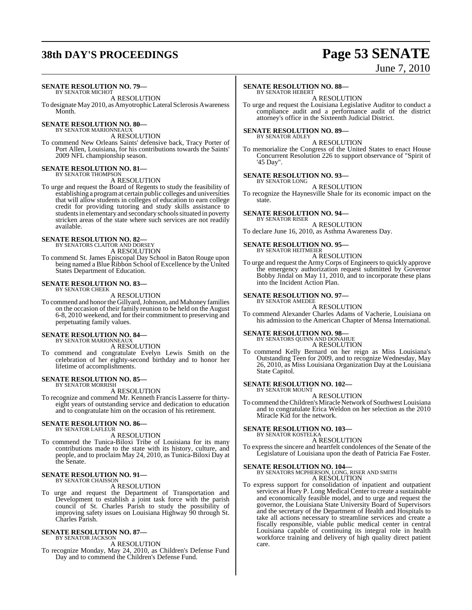## **38th DAY'S PROCEEDINGS Page 53 SENATE**

## June 7, 2010

#### **SENATE RESOLUTION NO. 79—** BY SENATOR MICHOT

A RESOLUTION

To designate May 2010, as Amyotrophic Lateral Sclerosis Awareness Month.

#### **SENATE RESOLUTION NO. 80—** BY SENATOR MARIONNEAUX

A RESOLUTION

To commend New Orleans Saints' defensive back, Tracy Porter of Port Allen, Louisiana, for his contributions towards the Saints' 2009 NFL championship season.

## **SENATE RESOLUTION NO. 81—** BY SENATOR THOMPSON

A RESOLUTION

To urge and request the Board of Regents to study the feasibility of establishing a programat certain public colleges and universities that will allow students in colleges of education to earn college credit for providing tutoring and study skills assistance to students in elementary and secondary schools situated in poverty stricken areas of the state where such services are not readily available.

## **SENATE RESOLUTION NO. 82—** BY SENATORS CLAITOR AND DORSEY

A RESOLUTION

To commend St. James Episcopal Day School in Baton Rouge upon being named a Blue Ribbon School of Excellence by the United States Department of Education.

#### **SENATE RESOLUTION NO. 83—** BY SENATOR CHEEK

A RESOLUTION

To commend and honor the Gillyard, Johnson, and Mahoney families on the occasion of their family reunion to be held on the August 6-8, 2010 weekend, and for their commitment to preserving and perpetuating family values.

## **SENATE RESOLUTION NO. 84—** BY SENATOR MARIONNEAUX

A RESOLUTION

To commend and congratulate Evelyn Lewis Smith on the celebration of her eighty-second birthday and to honor her lifetime of accomplishments.

#### **SENATE RESOLUTION NO. 85—** BY SENATOR MORRISH

A RESOLUTION

To recognize and commend Mr. Kenneth Francis Lasserre for thirtyeight years of outstanding service and dedication to education and to congratulate him on the occasion of his retirement.

### **SENATE RESOLUTION NO. 86—** BY SENATOR LAFLEUR

A RESOLUTION

To commend the Tunica-Biloxi Tribe of Louisiana for its many contributions made to the state with its history, culture, and people, and to proclaim May 24, 2010, as Tunica-Biloxi Day at the Senate.

## **SENATE RESOLUTION NO. 91—** BY SENATOR CHAISSON

## A RESOLUTION

To urge and request the Department of Transportation and Development to establish a joint task force with the parish council of St. Charles Parish to study the possibility of improving safety issues on Louisiana Highway 90 through St. Charles Parish.

#### **SENATE RESOLUTION NO. 87—** BY SENATOR JACKSON

A RESOLUTION

To recognize Monday, May 24, 2010, as Children's Defense Fund Day and to commend the Children's Defense Fund.

## **SENATE RESOLUTION NO. 88—**

BY SENATOR HEBERT A RESOLUTION

To urge and request the Louisiana Legislative Auditor to conduct a compliance audit and a performance audit of the district attorney's office in the Sixteenth Judicial District.

#### **SENATE RESOLUTION NO. 89—** BY SENATOR ADLEY

A RESOLUTION

To memorialize the Congress of the United States to enact House Concurrent Resolution 226 to support observance of "Spirit of '45 Day".

## **SENATE RESOLUTION NO. 93—**

BY SENATOR LONG A RESOLUTION

To recognize the Haynesville Shale for its economic impact on the state.

## **SENATE RESOLUTION NO. 94—**

BY SENATOR RISER A RESOLUTION

To declare June 16, 2010, as Asthma Awareness Day.

#### **SENATE RESOLUTION NO. 95—** BY SENATOR HEITMEIER

A RESOLUTION

To urge and request the Army Corps of Engineers to quickly approve the emergency authorization request submitted by Governor Bobby Jindal on May 11, 2010, and to incorporate these plans into the Incident Action Plan.

#### **SENATE RESOLUTION NO. 97—** BY SENATOR AMEDEE

A RESOLUTION

To commend Alexander Charles Adams of Vacherie, Louisiana on his admission to the American Chapter of Mensa International.

## **SENATE RESOLUTION NO. 98—** BY SENATORS QUINN AND DONAHUE

A RESOLUTION

To commend Kelly Bernard on her reign as Miss Louisiana's Outstanding Teen for 2009, and to recognize Wednesday, May 26, 2010, as Miss Louisiana Organization Day at the Louisiana State Capitol.

#### **SENATE RESOLUTION NO. 102—** BY SENATOR MOUNT

A RESOLUTION

To commend the Children's Miracle Network of Southwest Louisiana and to congratulate Erica Weldon on her selection as the 2010 Miracle Kid for the network.

#### **SENATE RESOLUTION NO. 103—** BY SENATOR KOSTELKA

A RESOLUTION

To express the sincere and heartfelt condolences of the Senate of the Legislature of Louisiana upon the death of Patricia Fae Foster.

**SENATE RESOLUTION NO. 104—** BY SENATORS MCPHERSON, LONG, RISER AND SMITH A RESOLUTION

To express support for consolidation of inpatient and outpatient services at Huey P. Long Medical Center to create a sustainable and economically feasible model, and to urge and request the governor, the Louisiana State University Board of Supervisors and the secretary of the Department of Health and Hospitals to take all actions necessary to streamline services and create a fiscally responsible, viable public medical center in central Louisiana capable of continuing its integral role in health workforce training and delivery of high quality direct patient care.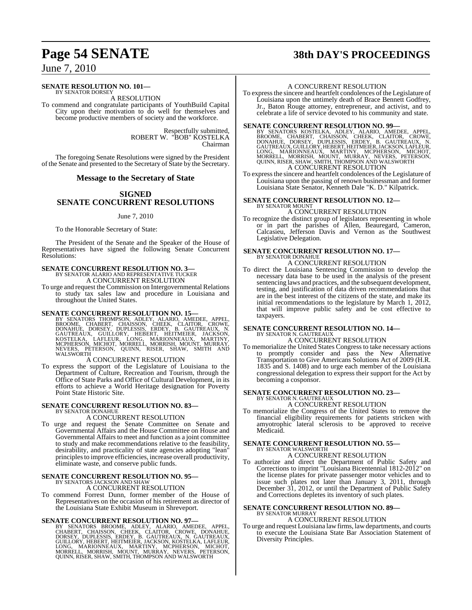## **SENATE RESOLUTION NO. 101—**

BY SENATOR DORSEY A RESOLUTION

To commend and congratulate participants of YouthBuild Capital City upon their motivation to do well for themselves and become productive members of society and the workforce.

> Respectfully submitted, ROBERT W. "BOB" KOSTELKA Chairman

The foregoing Senate Resolutions were signed by the President of the Senate and presented to the Secretary of State by the Secretary.

## **Message to the Secretary of State**

## **SIGNED SENATE CONCURRENT RESOLUTIONS**

### June 7, 2010

To the Honorable Secretary of State:

The President of the Senate and the Speaker of the House of Representatives have signed the following Senate Concurrent Resolutions:

## **SENATE CONCURRENT RESOLUTION NO. 3—** BY SENATOR ALARIO AND REPRESENTATIVE TUCKER

A CONCURRENT RESOLUTION

To urge and request the Commission on Intergovernmental Relations to study tax sales law and procedure in Louisiana and throughout the United States.

SENATE CONCURRENT RESOLUTION NO. 15—<br>BY SENATORS THOMPSON, ADLEY, ALARIO, AMEDEE, APPEL, BROOME, CHABERT, CHAISSON, CHEEK, CLAITOR, CROWE,<br>DONAHUE, DORSEY, DUPLESSIS, ERDEY, B. GAUTREAUX, N.<br>GAUTREAUX, GUILLORY, HEBERT, HE NEVERS, PETWALSWORTH

## A CONCURRENT RESOLUTION

To express the support of the Legislature of Louisiana to the Department of Culture, Recreation and Tourism, through the Office of State Parks and Office of Cultural Development, in its efforts to achieve a World Heritage designation for Poverty Point State Historic Site.

## **SENATE CONCURRENT RESOLUTION NO. 83—** BY SENATOR DONAHUE A CONCURRENT RESOLUTION

To urge and request the Senate Committee on Senate and Governmental Affairs and the House Committee on House and Governmental Affairs to meet and function as a joint committee to study and make recommendations relative to the feasibility, desirability, and practicality of state agencies adopting "lean" principlesto improve efficiencies, increase overall productivity, eliminate waste, and conserve public funds.

### **SENATE CONCURRENT RESOLUTION NO. 95—** BY SENATORS JACKSON AND SHAW

A CONCURRENT RESOLUTION

To commend Forrest Dunn, former member of the House of Representatives on the occasion of his retirement as director of the Louisiana State Exhibit Museum in Shreveport.

SENATE CONCURRENT RESOLUTION NO. 97—<br>BY SENATORS BROOME, ADLEY, ALARIO, AMEDEE, APPEL, CHABERT, CHAISSON, CHEEK, CLAITOR, CROWE, DONAHUE,<br>CHABERT, CHAISSON, CHEEK, CLAITOR, CROWE, DONAHUE,<br>DORSEY, DUPLESSIS, ERDEY, B. GAUT QUINN, RISER, SHAW, SMITH, THOMPSON AND WALSWORTH

## **Page 54 SENATE 38th DAY'S PROCEEDINGS**

## A CONCURRENT RESOLUTION

To express the sincere and heartfelt condolences of the Legislature of Louisiana upon the untimely death of Brace Bennett Godfrey, Jr., Baton Rouge attorney, entrepreneur, and activist, and to celebrate a life of service devoted to his community and state.

## **SENATE CONCURRENT RESOLUTION NO. 99—**

BY SENATORS KOSTELKA, ADLEY, ALARIO, AMEDEE, APPEL,<br>BROOME, CHABERT, CHAISSON, CHEEK, CLAITOR, CROWE,<br>DONAHUE, DORSEY, DUPLESSIS, ERDEY, B. GAUTREAUX, N.<br>GAUTREAUX,GUILLORY,HEBERT,HEITMEIER,JACKSON,LAFLEUR,<br>LONG, MARIONNEA A CONCURRENT RESOLUTION

To expressthe sincere and heartfelt condolences of the Legislature of Louisiana upon the passing of renown businessman and former Louisiana State Senator, Kenneth Dale "K. D." Kilpatrick.

#### **SENATE CONCURRENT RESOLUTION NO. 12—** BY SENATOR MOUNT

A CONCURRENT RESOLUTION

To recognize the distinct group of legislators representing in whole or in part the parishes of Allen, Beauregard, Cameron, Calcasieu, Jefferson Davis and Vernon as the Southwest Legislative Delegation.

## **SENATE CONCURRENT RESOLUTION NO. 17—** BY SENATOR DONAHUE A CONCURRENT RESOLUTION

To direct the Louisiana Sentencing Commission to develop the necessary data base to be used in the analysis of the present sentencing laws and practices, and the subsequent development, testing, and justification of data driven recommendations that are in the best interest of the citizens of the state, and make its initial recommendations to the legislature by March 1, 2012, that will improve public safety and be cost effective to taxpayers.

## **SENATE CONCURRENT RESOLUTION NO. 14—** BY SENATOR N. GAUTREAUX A CONCURRENT RESOLUTION

To memorialize the United States Congress to take necessary actions to promptly consider and pass the New Alternative Transportation to Give Americans Solutions Act of 2009 (H.R. 1835 and S. 1408) and to urge each member of the Louisiana congressional delegation to express their support for the Act by becoming a cosponsor.

## **SENATE CONCURRENT RESOLUTION NO. 23—** BY SENATOR N. GAUTREAUX A CONCURRENT RESOLUTION

To memorialize the Congress of the United States to remove the financial eligibility requirements for patients stricken with amyotrophic lateral sclerosis to be approved to receive Medicaid.

## **SENATE CONCURRENT RESOLUTION NO. 55—** BY SENATOR WALSWORTH

A CONCURRENT RESOLUTION

To authorize and direct the Department of Public Safety and Corrections to imprint "Louisiana Bicentennial 1812-2012" on the license plates for private passenger motor vehicles and to issue such plates not later than January 3, 2011, through December 31, 2012, or until the Department of Public Safety and Corrections depletes its inventory of such plates.

## **SENATE CONCURRENT RESOLUTION NO. 89—**

BY SENATOR MURRAY A CONCURRENT RESOLUTION

To urge and request Louisiana lawfirms, lawdepartments, and courts to execute the Louisiana State Bar Association Statement of Diversity Principles.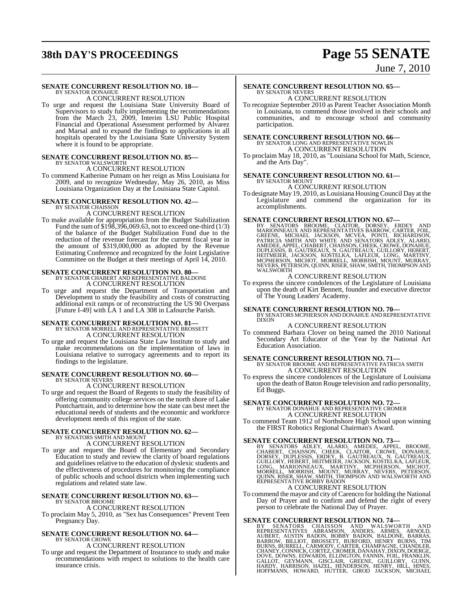## **38th DAY'S PROCEEDINGS Page 55 SENATE**

## June 7, 2010

#### **SENATE CONCURRENT RESOLUTION NO. 18—** BY SENATOR DONAHUE

A CONCURRENT RESOLUTION

To urge and request the Louisiana State University Board of Supervisors to study fully implementing the recommendations from the March 23, 2009, Interim LSU Public Hospital Financial and Operational Assessment performed by Alvarez and Marsal and to expand the findings to applications in all hospitals operated by the Louisiana State University System where it is found to be appropriate.

# **SENATE CONCURRENT RESOLUTION NO. 85—**<br>BY SENATOR WALSWORTH A CONCURRENT RESOLUTION

To commend Katherine Putnam on her reign as Miss Louisiana for 2009, and to recognize Wednesday, May 26, 2010, as Miss Louisiana Organization Day at the Louisiana State Capitol.

#### **SENATE CONCURRENT RESOLUTION NO. 42—** BY SENATOR CHAISSON

A CONCURRENT RESOLUTION

To make available for appropriation from the Budget Stabilization Fund the sum of \$198,396,069.63, not to exceed one-third (1/3) of the balance of the Budget Stabilization Fund due to the reduction of the revenue forecast for the current fiscal year in the amount of \$319,000,000 as adopted by the Revenue Estimating Conference and recognized by the Joint Legislative Committee on the Budget at their meetings of April 14, 2010.

## **SENATE CONCURRENT RESOLUTION NO. 80—**

BY SENATOR CHABERT AND REPRESENTATIVE BALDONE A CONCURRENT RESOLUTION

To urge and request the Department of Transportation and Development to study the feasibility and costs of constructing additional exit ramps or of reconstructing the US 90 Overpass [Future I-49] with LA 1 and LA 308 in Lafourche Parish.

## **SENATE CONCURRENT RESOLUTION NO. 81—**

BY SENATOR MORRELL AND REPRESENTATIVE BROSSETT A CONCURRENT RESOLUTION

To urge and request the Louisiana State Law Institute to study and make recommendations on the implementation of laws in Louisiana relative to surrogacy agreements and to report its findings to the legislature.

### **SENATE CONCURRENT RESOLUTION NO. 60—** BY SENATOR NEVERS

A CONCURRENT RESOLUTION

To urge and request the Board of Regents to study the feasibility of offering community college services on the north shore of Lake Pontchartrain, and to determine how the state can best meet the educational needs of students and the economic and workforce development needs of this region of the state.

## **SENATE CONCURRENT RESOLUTION NO. 62—** BY SENATORS SMITH AND MOUNT

A CONCURRENT RESOLUTION

To urge and request the Board of Elementary and Secondary Education to study and review the clarity of board regulations and guidelines relative to the education of dyslexic students and the effectiveness of procedures for monitoring the compliance of public schools and school districts when implementing such regulations and related state law.

### **SENATE CONCURRENT RESOLUTION NO. 63—** BY SENATOR BROOME

A CONCURRENT RESOLUTION

To proclaim May 5, 2010, as "Sex has Consequences" Prevent Teen Pregnancy Day.

## **SENATE CONCURRENT RESOLUTION NO. 64—**

BY SENATOR CROWE A CONCURRENT RESOLUTION

To urge and request the Department of Insurance to study and make recommendations with respect to solutions to the health care insurance crisis.

### **SENATE CONCURRENT RESOLUTION NO. 65—** BY SENATOR NEVERS

A CONCURRENT RESOLUTION To recognize September 2010 as Parent Teacher Association Month in Louisiana, to commend those involved in their schools and communities, and to encourage school and community

# **SENATE CONCURRENT RESOLUTION NO. 66—**<br>BY SENATOR LONG AND REPRESENTATIVE NOWLIN<br>A CONCURRENT RESOLUTION

participation.

To proclaim May 18, 2010, as "Louisiana School for Math, Science, and the Arts Day".

## **SENATE CONCURRENT RESOLUTION NO. 61—** BY SENATOR MOUNT

## A CONCURRENT RESOLUTION

To designate May 19, 2010, as Louisiana Housing Council Day at the Legislature and commend the organization for its accomplishments.

SENATE CONCURRENT RESOLUTION NO. 67—<br>BY SENATORS BROOME, CLAITOR, DORSEY, ERDEY AND<br>MARIONNEAUX AND REPRÉSENTATIVÉS BARROW, CARTER, FOIL,<br>GREENE, MICHAEL JACKSON, MCVEA, PONTI, RICHARDSON,<br>PATRICIA SMITH AND WHITE AND SENA WALSWORTH

## A CONCURRENT RESOLUTION

To express the sincere condolences of the Legislature of Louisiana upon the death of Kirt Bennett, founder and executive director of The Young Leaders' Academy.

## **SENATE CONCURRENT RESOLUTION NO. 70—** BY SENATORS MCPHERSON AND DONAHUE AND REPRESENTATIVE DIXON

A CONCURRENT RESOLUTION

To commend Barbara Clover on being named the 2010 National Secondary Art Educator of the Year by the National Art Education Association.

**SENATE CONCURRENT RESOLUTION NO. 71—**<br>BY SENATOR BROOME AND REPRESENTATIVE PATRICIA SMITH A CONCURRENT RESOLUTION

To express the sincere condolences of the Legislature of Louisiana upon the death of Baton Rouge television and radio personality, Ed Buggs.

## **SENATE CONCURRENT RESOLUTION NO. 72—** BY SENATOR DONAHUE AND REPRESENTATIVE CROMER

A CONCURRENT RESOLUTION To commend Team 1912 of Northshore High School upon winning

the FIRST Robotics Regional Chairman's Award.

## **SENATE CONCURRENT RESOLUTION NO. 73—**

BY SENATORS ADLEY, ALARIO, AMEDEE, APPEL, BROOME,<br>CHABERT, CHAISSON, CHEEK, CLAITOR, CROWE, DONAHUE,<br>DORSEY, DUPLESSIS, ERDEY, B. GAUTREAUX, N. GAUTREAUX,<br>GUILLORY, HEBERT, HEITMEIER, JACKSON, KOSTELKA, LAFLEUR,<br>LONG, MARI A CONCURRENT RESOLUTION

To commend the mayor and city of Carencro for holding the National Day of Prayer and to confirm and defend the right of every person to celebrate the National Day of Prayer.

## **SENATE CONCURRENT RESOLUTION NO. 74—**

BY SENATORS CHAISSON AND WALSWORTH AND<br>REPRESENTATIVES ABRAMSON, ANDERS, ARMES, ARNOLD,<br>AUBERT, AUSTIN BADON, BOBBY BADON, BALDONE, BARRAS,<br>BARROW, BILLIOT, BROSSETT, BURFORD, HENRY BURNS, TIM<br>BURNS, BURRELL, CARMODY, CART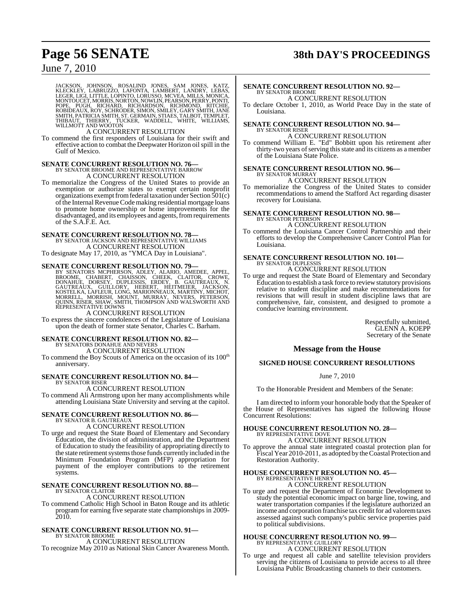## **Page 56 SENATE 38th DAY'S PROCEEDINGS**

## June 7, 2010

JACKSON, JOHNSON, ROSALIND JONES, SAM JONES, KATZ,<br>KLECKLEY, LABRUZZO, LAFONTA, LAMBERT, LANDRY, LEBAS,<br>LEGER,LIGI,LITTLE,LOPINTO,LORUSO,MCVEA,MILLS,MONICA,<br>MONTOUCET,MORRIS,NORTON,NOWLIN,PEARSON,PERRY,PONTI,<br>POPE, PUGH, R

## A CONCURRENT RESOLUTION

To commend the first responders of Louisiana for their swift and effective action to combat the Deepwater Horizon oil spill in the Gulf of Mexico.

## **SENATE CONCURRENT RESOLUTION NO. 76—** BY SENATOR BROOME AND REPRESENTATIVE BARROW A CONCURRENT RESOLUTION

To memorialize the Congress of the United States to provide an exemption or authorize states to exempt certain nonprofit organizations exempt from federal taxation under Section  $501(c)$ of the Internal Revenue Code making residential mortgage loans to promote home ownership or home improvements for the disadvantaged, and its employees and agents, from requirements of the S.A.F.E. Act.

**SENATE CONCURRENT RESOLUTION NO. 78—**<br>BY SENATOR JACKSON AND REPRESENTATIVE WILLIAMS A CONCURRENT RESOLUTION

To designate May 17, 2010, as "YMCA Day in Louisiana".

### **SENATE CONCURRENT RESOLUTION NO. 79—**

BY SENATORS MCPHERSON, ADLEY, ALARIO, AMEDEE, APPEL,<br>BROOME, CHABERT, CHAISSON, CHEEK, CLAITOR, CROWE,<br>DONAHUE, DORSEY, DUPLESSIS, ERDEY, B. GAUTREAUX, N.<br>GAUTREAUX, GUILLORY, HEBERT, HEITMEIER, JACKSON,<br>KOSTELKA, LAFLEUR,

A CONCURRENT RESOLUTION

To express the sincere condolences of the Legislature of Louisiana upon the death of former state Senator, Charles C. Barham.

## **SENATE CONCURRENT RESOLUTION NO. 82—**

BY SENATORS DONAHUE AND NEVERS A CONCURRENT RESOLUTION

To commend the Boy Scouts of America on the occasion of its  $100^{\text{th}}$ anniversary.

## **SENATE CONCURRENT RESOLUTION NO. 84—** BY SENATOR RISER

A CONCURRENT RESOLUTION

To commend Ali Armstrong upon her many accomplishments while attending Louisiana State University and serving at the capitol.

## **SENATE CONCURRENT RESOLUTION NO. 86—** BY SENATOR B. GAUTREAUX

A CONCURRENT RESOLUTION

To urge and request the State Board of Elementary and Secondary Education, the division of administration, and the Department of Education to study the feasibility of appropriating directly to the state retirement systems those funds currently included in the Minimum Foundation Program (MFP) appropriation for payment of the employer contributions to the retirement systems.

#### **SENATE CONCURRENT RESOLUTION NO. 88—** BY SENATOR CLAITOR

A CONCURRENT RESOLUTION<br>To commend Catholic High School in Baton Rouge and its athletic To commend Catholic High School in Baton Rouge and its athletic program for earning five separate state championships in 2009- 2010.

### **SENATE CONCURRENT RESOLUTION NO. 91—** BY SENATOR BROOME

A CONCURRENT RESOLUTION

To recognize May 2010 as National Skin Cancer Awareness Month.

#### **SENATE CONCURRENT RESOLUTION NO. 92—** BY SENATOR BROOME A CONCURRENT RESOLUTION

To declare October 1, 2010, as World Peace Day in the state of Louisiana.

## **SENATE CONCURRENT RESOLUTION NO. 94—** BY SENATOR RISER

## A CONCURRENT RESOLUTION

To commend William E. "Ed" Bobbitt upon his retirement after thirty-two years of serving this state and its citizens as a member of the Louisiana State Police.

## **SENATE CONCURRENT RESOLUTION NO. 96—** BY SENATOR MURRAY

## A CONCURRENT RESOLUTION

To memorialize the Congress of the United States to consider recommendations to amend the Stafford Act regarding disaster recovery for Louisiana.

#### **SENATE CONCURRENT RESOLUTION NO. 98—** BY SENATOR PETERSON A CONCURRENT RESOLUTION

To commend the Louisiana Cancer Control Partnership and their

efforts to develop the Comprehensive Cancer Control Plan for Louisiana.

### **SENATE CONCURRENT RESOLUTION NO. 101—** BY SENATOR DUPLESSIS A CONCURRENT RESOLUTION

To urge and request the State Board of Elementary and Secondary Education to establish a task force to reviewstatutory provisions relative to student discipline and make recommendations for revisions that will result in student discipline laws that are comprehensive, fair, consistent, and designed to promote a conducive learning environment.

> Respectfully submitted, GLENN A. KOEPP Secretary of the Senate

## **Message from the House**

## **SIGNED HOUSE CONCURRENT RESOLUTIONS**

## June 7, 2010

To the Honorable President and Members of the Senate:

I am directed to inform your honorable body that the Speaker of the House of Representatives has signed the following House Concurrent Resolutions:

## **HOUSE CONCURRENT RESOLUTION NO. 28—** BY REPRESENTATIVE DOVE A CONCURRENT RESOLUTION

To approve the annual state integrated coastal protection plan for Fiscal Year 2010-2011, as adopted by the Coastal Protection and Restoration Authority.

## **HOUSE CONCURRENT RESOLUTION NO. 45—** BY REPRESENTATIVE HENRY

## A CONCURRENT RESOLUTION

To urge and request the Department of Economic Development to study the potential economic impact on barge line, towing, and water transportation companies if the legislature authorized an income and corporation franchise tax credit for ad valoremtaxes assessed against such company's public service properties paid to political subdivisions.

## **HOUSE CONCURRENT RESOLUTION NO. 99—** BY REPRESENTATIVE GUILLORY A CONCURRENT RESOLUTION

To urge and request all cable and satellite television providers serving the citizens of Louisiana to provide access to all three Louisiana Public Broadcasting channels to their customers.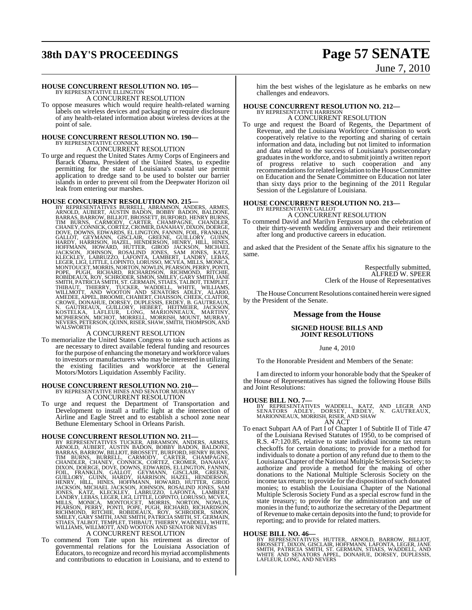## **38th DAY'S PROCEEDINGS Page 57 SENATE**

# June 7, 2010

## **HOUSE CONCURRENT RESOLUTION NO. 105—** BY REPRESENTATIVE ELLINGTON

A CONCURRENT RESOLUTION

To oppose measures which would require health-related warning labels on wireless devices and packaging or require disclosure of any health-related information about wireless devices at the point of sale.

# **HOUSE CONCURRENT RESOLUTION NO. 190—** BY REPRESENTATIVE CONNICK A CONCURRENT RESOLUTION

To urge and request the United States Army Corps of Engineers and Barack Obama, President of the United States, to expedite permitting for the state of Louisiana's coastal use permit application to dredge sand to be used to bolster our barrier islands in order to prevent oil from the Deepwater Horizon oil leak from entering our marshes. leak from entering our marshes.

HOUSE CONCURRENT RESOLUTION NO. 215—78 KEPRESSENTATIVES BURRENL, ABRAMSON, ANDERS, ARNOLD, AUBERT, AUSTIN BADON, BOBBY BADON, BALDONE, BARRAS, BARROW, BILLIOT, BROSSETT, BURFORD, HENRES, CHANG, CHANG, CHANG, CHANG, CHANG,

To memorialize the United States Congress to take such actions as are necessary to direct available federal funding and resources forthe purpose of enhancing the monetary and workforce values to investors or manufacturers who may be interested in utilizing the existing facilities and workforce at the General Motors/Motors Liquidation Assembly Facility.

# **HOUSE CONCURRENT RESOLUTION NO. 210—**<br>BY REPRESENTATIVE HINES AND SENATOR MURRAY<br>A CONCURRENT RESOLUTION

To urge and request the Department of Transportation and Development to install a traffic light at the intersection of Airline and Eagle Street and to establish a school zone near Bethune Elementary School in Orleans Parish.

HOUSE CONCURRENT RESOLUTION NO. 211—<br>BY REPRESENTATIVES TUCKER, ABRAMSON, ANDERS, ARMES,<br>ARNOLD, AUBERT, AUSTIN BADON, BOBBY BADON, BALDONE,<br>BARRAS, BARROW, BILLIOT, BROSSETT, BURFORD, HENRY BURNS,<br>TIM BURNS, BURRELL, CARM

To commend Tom Tate upon his retirement as director of governmental relations for the Louisiana Association of Educators, to recognize and record his myriad accomplishments and contributions to education in Louisiana, and to extend to

him the best wishes of the legislature as he embarks on new challenges and endeavors.

## **HOUSE CONCURRENT RESOLUTION NO. 212—** BY REPRESENTATIVE HARRISON

A CONCURRENT RESOLUTION

To urge and request the Board of Regents, the Department of Revenue, and the Louisiana Workforce Commission to work cooperatively relative to the reporting and sharing of certain information and data, including but not limited to information and data related to the success of Louisiana's postsecondary graduatesin the workforce, and to submit jointly a written report of progress relative to such cooperation and any recommendations for related legislation to the House Committee on Education and the Senate Committee on Education not later than sixty days prior to the beginning of the 2011 Regular Session of the Legislature of Louisiana.

### **HOUSE CONCURRENT RESOLUTION NO. 213—** BY REPRESENTATIVE GALLOT

A CONCURRENT RESOLUTION

To commend David and Marilyn Ferguson upon the celebration of their thirty-seventh wedding anniversary and their retirement after long and productive careers in education.

and asked that the President of the Senate affix his signature to the same.

> Respectfully submitted, ALFRED W. SPEER Clerk of the House of Representatives

The House Concurrent Resolutions contained herein were signed by the President of the Senate.

## **Message from the House**

## **SIGNED HOUSE BILLS AND JOINT RESOLUTIONS**

## June 4, 2010

To the Honorable President and Members of the Senate:

I am directed to inform your honorable body that the Speaker of the House of Representatives has signed the following House Bills and Joint Resolutions:

## **HOUSE BILL NO. 7—**

BY REPRESENTATIVES WADDELL, KATZ, AND LEGER AND<br>SENATORS ADLEY, DORSEY, ERDEY, N. GAUTREAUX,<br>MARIONNEAUX,MORRISH,RISER,AND SHAW AN ACT

To enact Subpart AA of Part I of Chapter 1 of Subtitle II of Title 47 of the Louisiana Revised Statutes of 1950, to be comprised of R.S. 47:120.85, relative to state individual income tax return checkoffs for certain donations; to provide for a method for individuals to donate a portion of any refund due to them to the LouisianaChapter ofthe National Multiple Sclerosis Society; to authorize and provide a method for the making of other donations to the National Multiple Sclerosis Society on the income tax return; to provide for the disposition of such donated monies; to establish the Louisiana Chapter of the National Multiple Sclerosis Society Fund as a special escrow fund in the state treasury; to provide for the administration and use of monies in the fund; to authorize the secretary of the Department ofRevenue to make certain depositsinto the fund; to provide for reporting; and to provide for related matters.

## **HOUSE BILL NO. 46—**

BY REPRESENTATIVES HUTTER, ARNOLD, BARROW, BILLIOT,<br>BROSSETT,DIXON,GISCLAIR,HOFFMANN,LAFONTA,LEGER,JANE<br>SMITH, PATRICIA SMITH,ST.GERMAIN,STIAES,WADDELL,AND<br>WHITE AND SENATORS APPEL,DONAHUE,DORSEY,DUPLESSIS,<br>LAFLEUR,LONG,AN